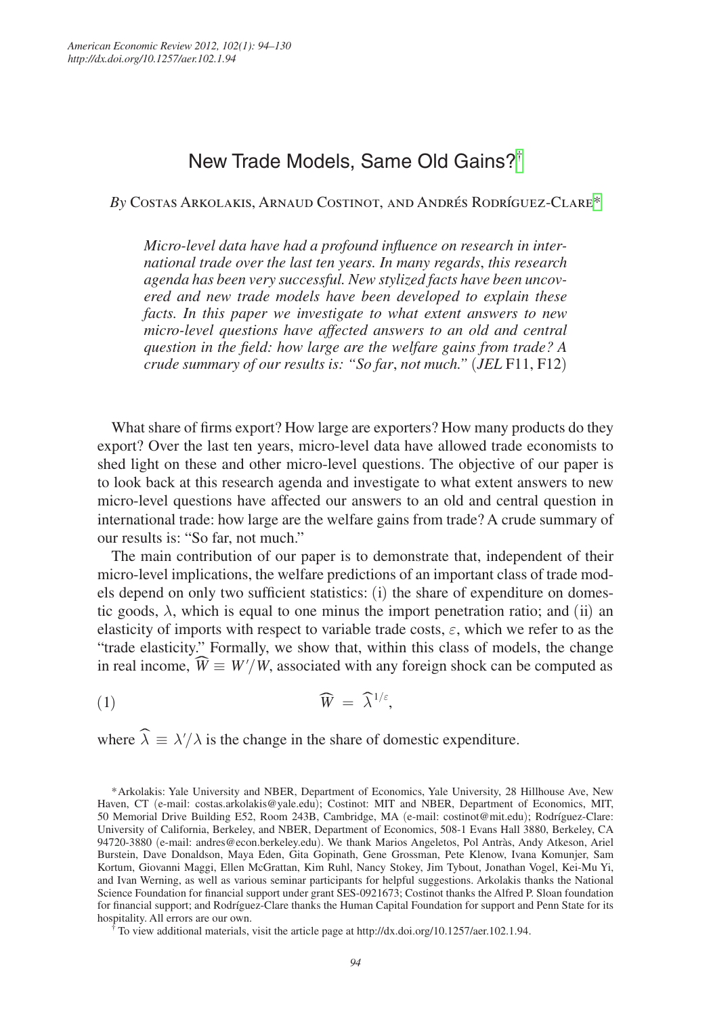## New Trade Models, Same Old Gains?[†](#page-0-0)

*By* Costas Arkolakis, Arnaud Costinot, and Andrés Rodríguez-Clare[\\*](#page-0-1)

*Micro-level data have had a profound influence on research in international trade over the last ten years. In many regards*, *this research agenda has been very successful. New stylized facts have been uncovered and new trade models have been developed to explain these facts. In this paper we investigate to what extent answers to new micro-level questions have affected answers to an old and central question in the field: how large are the welfare gains from trade? A crude summary of our results is: "So far*, *not much."* (*JEL* F11, F12)

What share of firms export? How large are exporters? How many products do they export? Over the last ten years, micro-level data have allowed trade economists to shed light on these and other micro-level questions. The objective of our paper is to look back at this research agenda and investigate to what extent answers to new micro-level questions have affected our answers to an old and central question in international trade: how large are the welfare gains from trade? A crude summary of our results is: "So far, not much."

The main contribution of our paper is to demonstrate that, independent of their micro-level implications, the welfare predictions of an important class of trade models depend on only two sufficient statistics: (i) the share of expenditure on domestic goods,  $\lambda$ , which is equal to one minus the import penetration ratio; and (ii) an elasticity of imports with respect to variable trade costs,  $\varepsilon$ , which we refer to as the "trade elasticity." Formally, we show that, within this class of models, the change Easticity of imports with respect to variable trade costs,  $\varepsilon$ , which we refer to as the "trade elasticity." Formally, we show that, within this class of models, the change in real income,  $\widehat{W} \equiv W'/W$ , associated with

$$
\widehat{W} = \widehat{\lambda}^{1/\varepsilon},
$$

where  $\hat{\lambda} \equiv \lambda'/\lambda$  is the change in the share of domestic expenditure.

<span id="page-0-1"></span>\*Arkolakis: Yale University and NBER, Department of Economics, Yale University, 28 Hillhouse Ave, New Haven, CT (e-mail: costas.arkolakis@yale.edu); Costinot: MIT and NBER, Department of Economics, MIT, 50 Memorial Drive Building E52, Room 243B, Cambridge, MA (e-mail: costinot@mit.edu); Rodríguez-Clare: University of California, Berkeley, and NBER, Department of Economics, 508-1 Evans Hall 3880, Berkeley, CA 94720-3880 (e-mail: andres@econ.berkeley.edu). We thank Marios Angeletos, Pol Antràs, Andy Atkeson, Ariel Burstein, Dave Donaldson, Maya Eden, Gita Gopinath, Gene Grossman, Pete Klenow, Ivana Komunjer, Sam Kortum, Giovanni Maggi, Ellen McGrattan, Kim Ruhl, Nancy Stokey, Jim Tybout, Jonathan Vogel, Kei-Mu Yi, and Ivan Werning, as well as various seminar participants for helpful suggestions. Arkolakis thanks the National Science Foundation for financial support under grant SES-0921673; Costinot thanks the Alfred P. Sloan foundation for financial support; and Rodríguez-Clare thanks the Human Capital Foundation for support and Penn State for its hospitality. All errors are our own.<br><sup>†</sup> To view additional materials, visit the article page at [http://dx.doi.org/10.1257/aer.102.1.94.](http://dx.doi.org/10.1257/aer.102.1.94)

<span id="page-0-0"></span>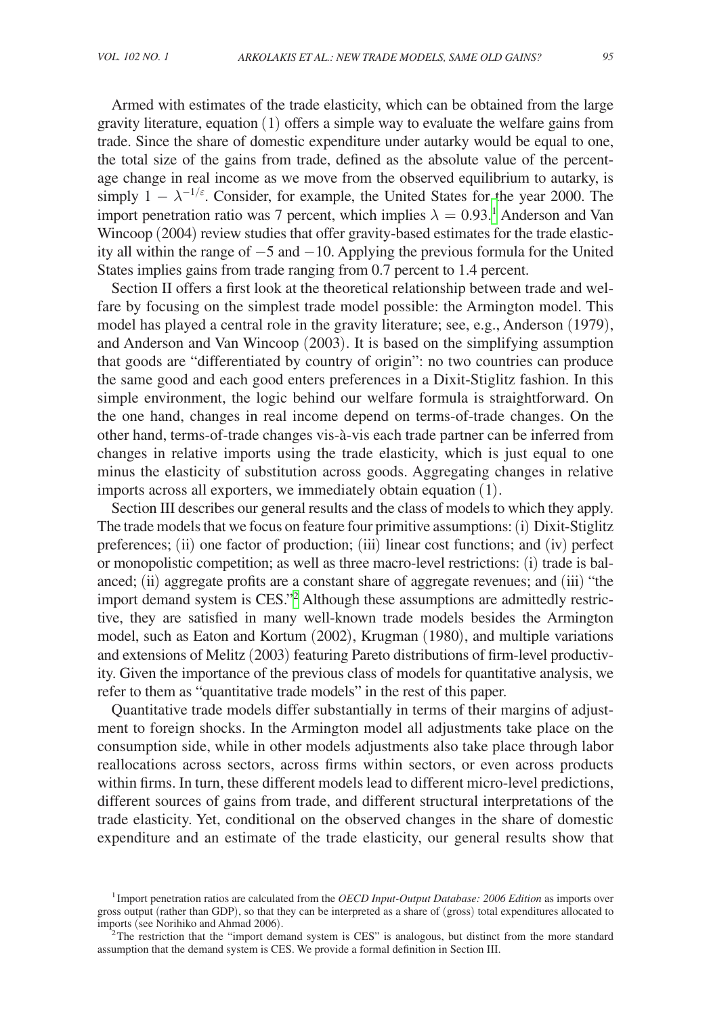Armed with estimates of the trade elasticity, which can be obtained from the large gravity literature, equation (1) offers a simple way to evaluate the welfare gains from trade. Since the share of domestic expenditure under autarky would be equal to one, the total size of the gains from trade, defined as the absolute value of the percentage change in real income as we move from the observed equilibrium to autarky, is simply  $1 - \lambda^{-1/\varepsilon}$ . Consider, for example, the United States for the year 2000. The import penetration ratio was 7 percent, which implies  $\lambda = 0.93$ .<sup>1</sup> Anderson and Van Wincoop (2004) review studies that offer gravity-based estimates for the trade elasticity all within the range of −5 and −10. Applying the previous formula for the United States implies gains from trade ranging from 0.7 percent to 1.4 percent.

Section II offers a first look at the theoretical relationship between trade and welfare by focusing on the simplest trade model possible: the Armington model. This model has played a central role in the gravity literature; see, e.g., Anderson (1979), and Anderson and Van Wincoop (2003). It is based on the simplifying assumption that goods are "differentiated by country of origin": no two countries can produce the same good and each good enters preferences in a Dixit-Stiglitz fashion. In this simple environment, the logic behind our welfare formula is straightforward. On the one hand, changes in real income depend on terms-of-trade changes. On the other hand, terms-of-trade changes vis-à-vis each trade partner can be inferred from changes in relative imports using the trade elasticity, which is just equal to one minus the elasticity of substitution across goods. Aggregating changes in relative imports across all exporters, we immediately obtain equation (1).

Section III describes our general results and the class of models to which they apply. The trade models that we focus on feature four primitive assumptions: (i) Dixit-Stiglitz preferences; (ii) one factor of production; (iii) linear cost functions; and (iv) perfect or monopolistic competition; as well as three macro-level restrictions: (i) trade is balanced; (ii) aggregate profits are a constant share of aggregate revenues; and (iii) "the import demand system is CES."<sup>[2](#page-1-1)</sup> Although these assumptions are admittedly restrictive, they are satisfied in many well-known trade models besides the Armington model, such as Eaton and Kortum (2002), Krugman (1980), and multiple variations and extensions of Melitz (2003) featuring Pareto distributions of firm-level productivity. Given the importance of the previous class of models for quantitative analysis, we refer to them as "quantitative trade models" in the rest of this paper.

Quantitative trade models differ substantially in terms of their margins of adjustment to foreign shocks. In the Armington model all adjustments take place on the consumption side, while in other models adjustments also take place through labor reallocations across sectors, across firms within sectors, or even across products within firms. In turn, these different models lead to different micro-level predictions, different sources of gains from trade, and different structural interpretations of the trade elasticity. Yet, conditional on the observed changes in the share of domestic expenditure and an estimate of the trade elasticity, our general results show that

<span id="page-1-0"></span><sup>1</sup> Import penetration ratios are calculated from the *OECD Input-Output Database: 2006 Edition* as imports over gross output (rather than GDP), so that they can be interpreted as a share of (gross) total expenditures allocated to imports (see Norihiko and Ahmad 2006).

<span id="page-1-1"></span> $\mathrm{F}^2$ The restriction that the "import demand system is CES" is analogous, but distinct from the more standard assumption that the demand system is CES. We provide a formal definition in Section III.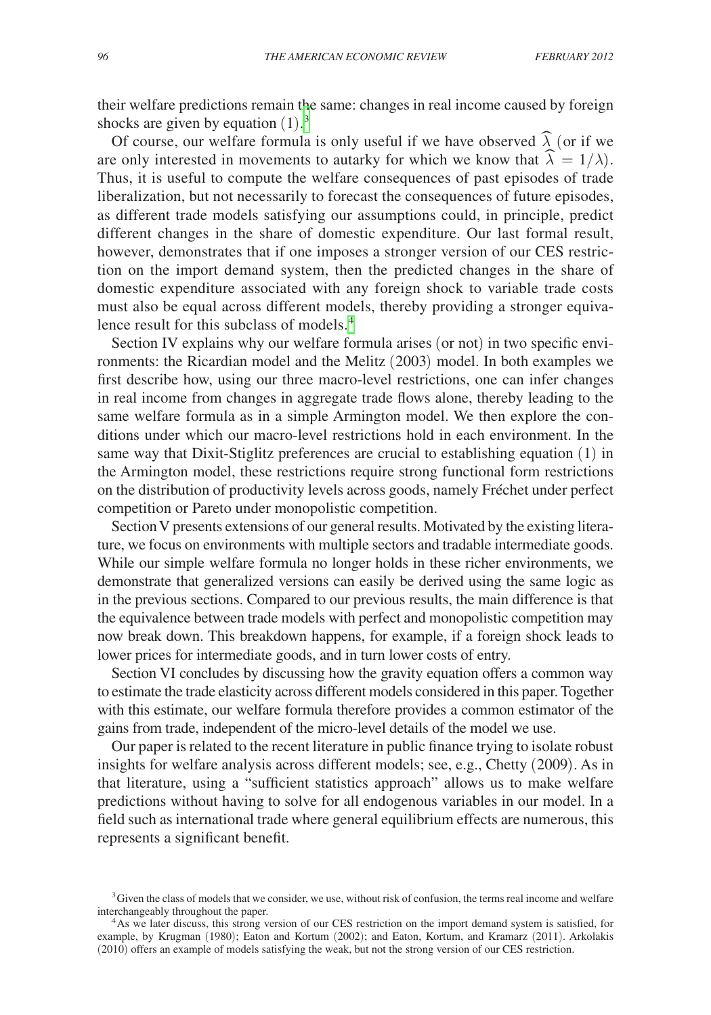their welfare predictions remain the same: changes in real income caused by foreign shocks are given by equation  $(1)$ .<sup>3</sup> ocks are given by equation (1).<sup>3</sup><br>Of course, our welfare formula is only useful if we have observed  $\hat{\lambda}$  (or if we

Of course, our welfare formula is only useful if we have observed  $\hat{\lambda}$  (or if we are only interested in movements to autarky for which we know that  $\hat{\lambda} = 1/\lambda$ ). Thus, it is useful to compute the welfare consequences of past episodes of trade liberalization, but not necessarily to forecast the consequences of future episodes, as different trade models satisfying our assumptions could, in principle, predict different changes in the share of domestic expenditure. Our last formal result, however, demonstrates that if one imposes a stronger version of our CES restriction on the import demand system, then the predicted changes in the share of domestic expenditure associated with any foreign shock to variable trade costs must also be equal across different models, thereby providing a stronger equiva-lence result for this subclass of models.<sup>[4](#page-2-1)</sup>

Section IV explains why our welfare formula arises (or not) in two specific environments: the Ricardian model and the Melitz (2003) model. In both examples we first describe how, using our three macro-level restrictions, one can infer changes in real income from changes in aggregate trade flows alone, thereby leading to the same welfare formula as in a simple Armington model. We then explore the conditions under which our macro-level restrictions hold in each environment. In the same way that Dixit-Stiglitz preferences are crucial to establishing equation (1) in the Armington model, these restrictions require strong functional form restrictions on the distribution of productivity levels across goods, namely Fréchet under perfect competition or Pareto under monopolistic competition.

Section V presents extensions of our general results. Motivated by the existing literature, we focus on environments with multiple sectors and tradable intermediate goods. While our simple welfare formula no longer holds in these richer environments, we demonstrate that generalized versions can easily be derived using the same logic as in the previous sections. Compared to our previous results, the main difference is that the equivalence between trade models with perfect and monopolistic competition may now break down. This breakdown happens, for example, if a foreign shock leads to lower prices for intermediate goods, and in turn lower costs of entry.

Section VI concludes by discussing how the gravity equation offers a common way to estimate the trade elasticity across different models considered in this paper. Together with this estimate, our welfare formula therefore provides a common estimator of the gains from trade, independent of the micro-level details of the model we use.

Our paper is related to the recent literature in public finance trying to isolate robust insights for welfare analysis across different models; see, e.g., Chetty (2009). As in that literature, using a "sufficient statistics approach" allows us to make welfare predictions without having to solve for all endogenous variables in our model. In a field such as international trade where general equilibrium effects are numerous, this represents a significant benefit.

<span id="page-2-0"></span><sup>&</sup>lt;sup>3</sup>Given the class of models that we consider, we use, without risk of confusion, the terms real income and welfare interchangeably throughout the paper.<br><sup>4</sup>As we later discuss, this strong version of our CES restriction on the import demand system is satisfied, for

<span id="page-2-1"></span>example, by Krugman (1980); Eaton and Kortum (2002); and Eaton, Kortum, and Kramarz (2011). Arkolakis (2010) offers an example of models satisfying the weak, but not the strong version of our CES restriction.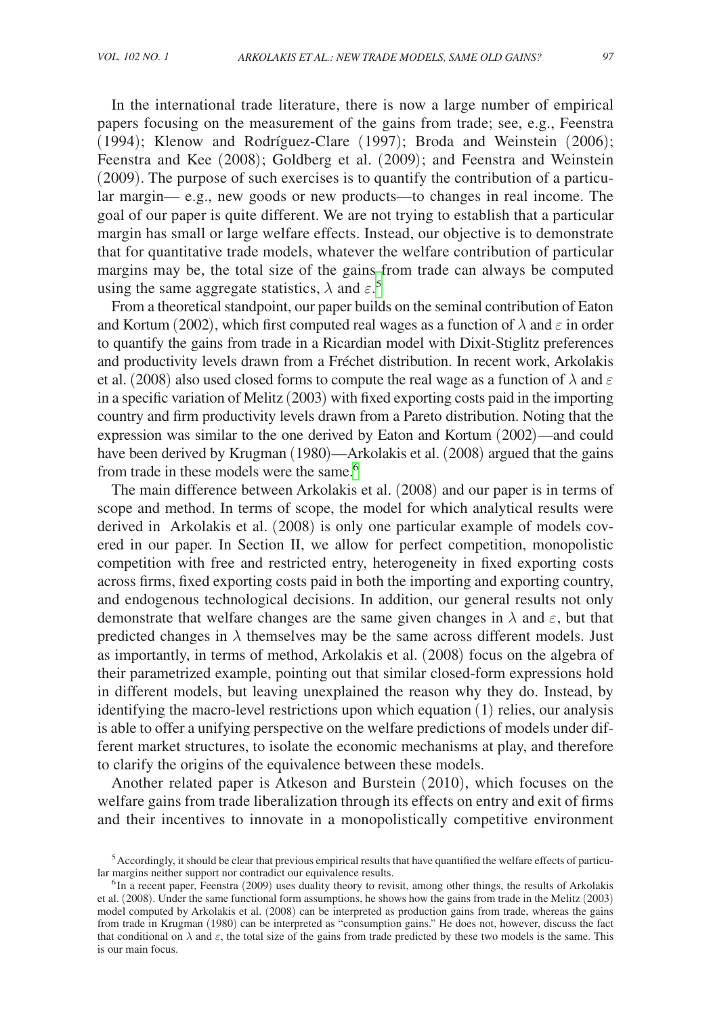In the international trade literature, there is now a large number of empirical papers focusing on the measurement of the gains from trade; see, e.g., Feenstra (1994); Klenow and Rodríguez-Clare (1997); Broda and Weinstein (2006); Feenstra and Kee (2008); Goldberg et al. (2009); and Feenstra and Weinstein (2009). The purpose of such exercises is to quantify the contribution of a particular margin— e.g., new goods or new products—to changes in real income. The goal of our paper is quite different. We are not trying to establish that a particular margin has small or large welfare effects. Instead, our objective is to demonstrate that for quantitative trade models, whatever the welfare contribution of particular margins may be, the total size of the gains from trade can always be computed using the same aggregate statistics,  $\lambda$  and  $\varepsilon$ .<sup>[5](#page-3-0)</sup>

From a theoretical standpoint, our paper builds on the seminal contribution of Eaton and Kortum (2002), which first computed real wages as a function of  $\lambda$  and  $\varepsilon$  in order to quantify the gains from trade in a Ricardian model with Dixit-Stiglitz preferences and productivity levels drawn from a Fréchet distribution. In recent work, Arkolakis et al. (2008) also used closed forms to compute the real wage as a function of  $\lambda$  and  $\varepsilon$ in a specific variation of Melitz (2003) with fixed exporting costs paid in the importing country and firm productivity levels drawn from a Pareto distribution. Noting that the expression was similar to the one derived by Eaton and Kortum (2002)—and could have been derived by Krugman (1980)—Arkolakis et al. (2008) argued that the gains from trade in these models were the same.<sup>6</sup>

The main difference between Arkolakis et al. (2008) and our paper is in terms of scope and method. In terms of scope, the model for which analytical results were derived in Arkolakis et al. (2008) is only one particular example of models covered in our paper. In Section II, we allow for perfect competition, monopolistic competition with free and restricted entry, heterogeneity in fixed exporting costs across firms, fixed exporting costs paid in both the importing and exporting country, and endogenous technological decisions. In addition, our general results not only demonstrate that welfare changes are the same given changes in  $\lambda$  and  $\varepsilon$ , but that predicted changes in  $\lambda$  themselves may be the same across different models. Just as importantly, in terms of method, Arkolakis et al. (2008) focus on the algebra of their parametrized example, pointing out that similar closed-form expressions hold in different models, but leaving unexplained the reason why they do. Instead, by identifying the macro-level restrictions upon which equation (1) relies, our analysis is able to offer a unifying perspective on the welfare predictions of models under different market structures, to isolate the economic mechanisms at play, and therefore to clarify the origins of the equivalence between these models.

Another related paper is Atkeson and Burstein (2010), which focuses on the welfare gains from trade liberalization through its effects on entry and exit of firms and their incentives to innovate in a monopolistically competitive environment

<span id="page-3-0"></span> $<sup>5</sup>$  Accordingly, it should be clear that previous empirical results that have quantified the welfare effects of particular margins neither support nor contradict our equivalence results.</sup>

<span id="page-3-1"></span> $\delta$ In a recent paper, Feenstra (2009) uses duality theory to revisit, among other things, the results of Arkolakis et al. (2008). Under the same functional form assumptions, he shows how the gains from trade in the Melitz (2003) model computed by Arkolakis et al. (2008) can be interpreted as production gains from trade, whereas the gains from trade in Krugman (1980) can be interpreted as "consumption gains." He does not, however, discuss the fact that conditional on  $\lambda$  and  $\varepsilon$ , the total size of the gains from trade predicted by these two models is the same. This is our main focus.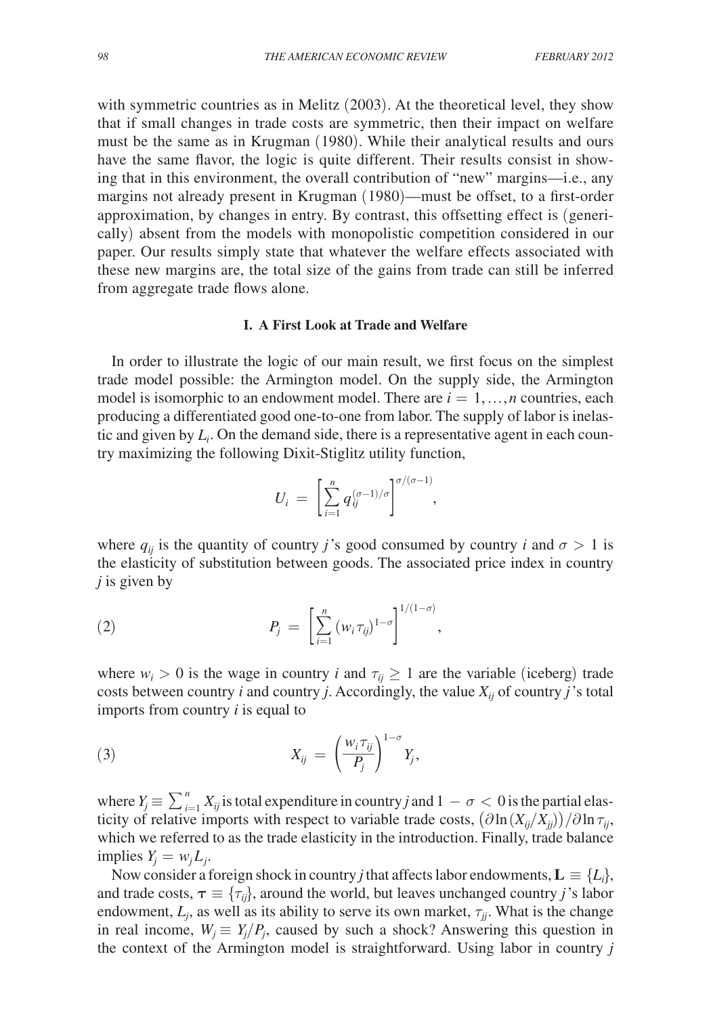<span id="page-4-0"></span>with symmetric countries as in Melitz (2003). At the theoretical level, they show that if small changes in trade costs are symmetric, then their impact on welfare must be the same as in Krugman (1980). While their analytical results and ours have the same flavor, the logic is quite different. Their results consist in showing that in this environment, the overall contribution of "new" margins—i.e., any margins not already present in Krugman (1980)—must be offset, to a first-order approximation, by changes in entry. By contrast, this offsetting effect is (generically) absent from the models with monopolistic competition considered in our paper. Our results simply state that whatever the welfare effects associated with these new margins are, the total size of the gains from trade can still be inferred from aggregate trade flows alone.

#### **I. A First Look at Trade and Welfare**

In order to illustrate the logic of our main result, we first focus on the simplest trade model possible: the Armington model. On the supply side, the Armington model is isomorphic to an endowment model. There are  $i = 1, \ldots, n$  countries, each producing a differentiated good one-to-one from labor. The supply of labor is inelastic and given by  $L_i$ . On the demand side, there is a representative agent in each country maximizing the following Dixit-Stiglitz utility function,

$$
U_i\,=\,\left[\sum_{i=1}^n q_{ij}^{(\sigma-1)/\sigma}\right]^{\sigma/(\sigma-1)},
$$

where  $q_{ij}$  is the quantity of country *j*'s good consumed by country *i* and  $\sigma > 1$  is the elasticity of substitution between goods. The associated price index in country *j* is given by

(2) 
$$
P_j = \left[ \sum_{i=1}^n (w_i \tau_{ij})^{1-\sigma} \right]^{1/(1-\sigma)},
$$

where  $w_i > 0$  is the wage in country *i* and  $\tau_{ii} \geq 1$  are the variable (iceberg) trade costs between country *i* and country *j*. Accordingly, the value  $X_{ij}$  of country *j*'s total imports from country *i* is equal to

(3) 
$$
X_{ij} = \left(\frac{w_i \tau_{ij}}{P_j}\right)^{1-\sigma} Y_j,
$$

where  $Y_j \equiv \sum_{i=1}^n X_{ij}$  is total expenditure in country *j* and  $1 - \sigma < 0$  is the partial elasticity of relative imports with respect to variable trade costs,  $(\partial \ln(X_{ii}/X_{ii}))/\partial \ln \tau_{ii}$ , which we referred to as the trade elasticity in the introduction. Finally, trade balance implies  $Y_j = w_j L_j$ .

Now consider a foreign shock in country *j* that affects labor endowments,  $\mathbf{L} \equiv \{L_i\}$ , and trade costs,  $\tau \equiv \{\tau_{ii}\}\$ , around the world, but leaves unchanged country *j*'s labor endowment,  $L_i$ , as well as its ability to serve its own market,  $\tau_{ij}$ . What is the change in real income,  $W_j \equiv Y_j/P_j$ , caused by such a shock? Answering this question in the context of the Armington model is straightforward. Using labor in country *j*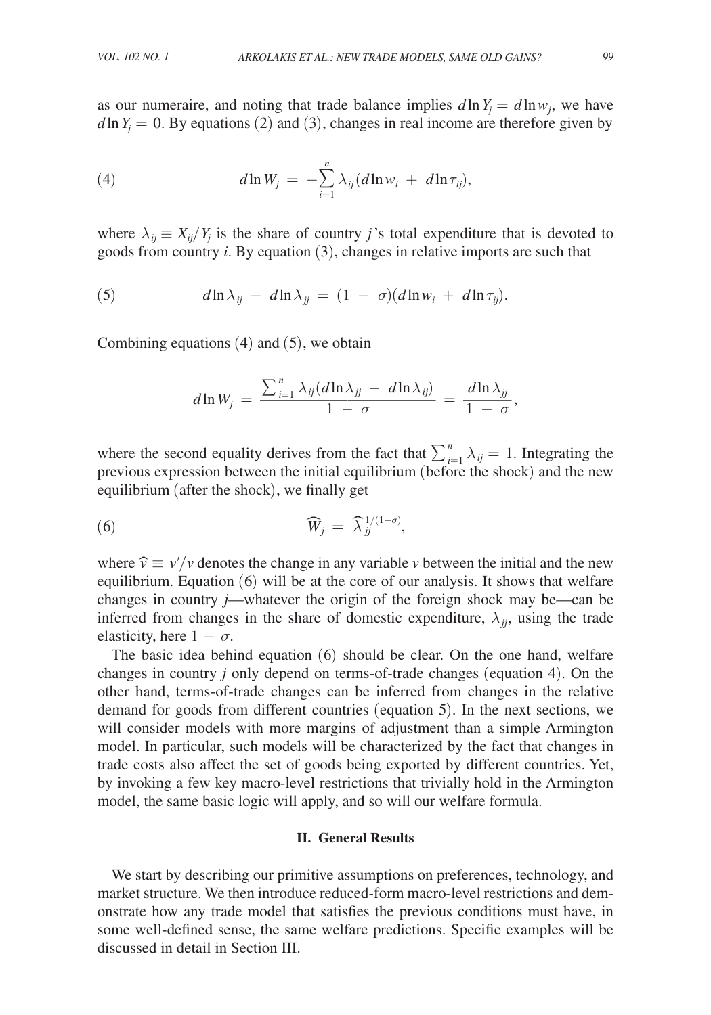<span id="page-5-0"></span>as our numeraire, and noting that trade balance implies  $d\ln Y_i = d\ln w_i$ , we have  $d \ln Y_i = 0$ . By equations (2) and (3), changes in real income are therefore given by

(4) 
$$
d\ln W_j = -\sum_{i=1}^n \lambda_{ij} (d\ln w_i + d\ln \tau_{ij}),
$$

where  $\lambda_{ij} \equiv X_{ij}/Y_j$  is the share of country *j*'s total expenditure that is devoted to goods from country *i*. By equation (3), changes in relative imports are such that

(5) 
$$
d\ln\lambda_{ij} - d\ln\lambda_{jj} = (1 - \sigma)(d\ln w_i + d\ln\tau_{ij}).
$$

Combining equations  $(4)$  and  $(5)$ , we obtain

Equations (4) and (5), we obtain

\n
$$
d\ln W_j = \frac{\sum_{i=1}^n \lambda_{ij} (d\ln \lambda_{jj} - d\ln \lambda_{ij})}{1 - \sigma} = \frac{d\ln \lambda_{jj}}{1 - \sigma},
$$
\nand equality derives from the fact that

\n
$$
\sum_{i=1}^n \lambda_{ij} = 1.
$$

where the second equality derives from the fact that  $\sum_{i=1}^{n} \lambda_{ij} = 1$ . Integrating the previous expression between the initial equilibrium (before the shock) and the new

equilibrium (after the shock), we finally get  
(6) 
$$
\widehat{W}_j = \widehat{\lambda}_{jj}^{1/(1-\sigma)},
$$

where  $\hat{v} \equiv v'/v$  denotes the change in any variable *v* between the initial and the new equilibrium. Equation (6) will be at the core of our analysis. It shows that welfare changes in country *j*—whatever the origin of the foreign shock may be—can be inferred from changes in the share of domestic expenditure,  $\lambda_{ji}$ , using the trade elasticity, here  $1 - \sigma$ .

The basic idea behind equation (6) should be clear. On the one hand, welfare changes in country *j* only depend on terms-of-trade changes (equation 4). On the other hand, terms-of-trade changes can be inferred from changes in the relative demand for goods from different countries (equation 5). In the next sections, we will consider models with more margins of adjustment than a simple Armington model. In particular, such models will be characterized by the fact that changes in trade costs also affect the set of goods being exported by different countries. Yet, by invoking a few key macro-level restrictions that trivially hold in the Armington model, the same basic logic will apply, and so will our welfare formula.

#### **II. General Results**

We start by describing our primitive assumptions on preferences, technology, and market structure. We then introduce reduced-form macro-level restrictions and demonstrate how any trade model that satisfies the previous conditions must have, in some well-defined sense, the same welfare predictions. Specific examples will be discussed in detail in Section III.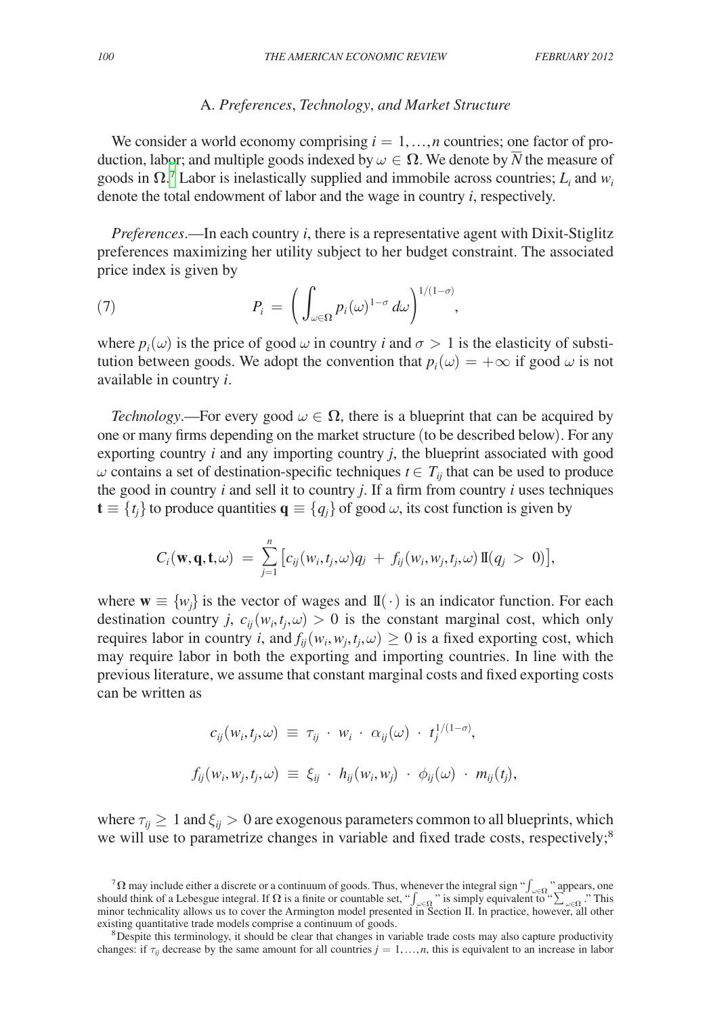#### A. *Preferences*, *Technology*, *and Market Structure*

<span id="page-6-0"></span>We consider a world economy comprising  $i = 1, \ldots, n$  countries; one factor of prowe consider a world economy comprising  $i = 1,...,n$  countries, one factor of production, labor; and multiple goods indexed by  $\omega \in \Omega$ . We denote by  $\overline{N}$  the measure of goods in  $\Omega$ .<sup>[7](#page-6-1)</sup> Labor is inelastically supplied and immobile across countries;  $L_i$  and  $w_i$ denote the total endowment of labor and the wage in country *i*, respectively.

*Preferences*.—In each country *i*, there is a representative agent with Dixit-Stiglitz preferences maximizing her utility subject to her budget constraint. The associated price index is given by

(7) 
$$
P_i = \left( \int_{\omega \in \Omega} p_i(\omega)^{1-\sigma} d\omega \right)^{1/(1-\sigma)},
$$

where  $p_i(\omega)$  is the price of good  $\omega$  in country *i* and  $\sigma > 1$  is the elasticity of substitution between goods. We adopt the convention that  $p_i(\omega) = +\infty$  if good  $\omega$  is not available in country *i*.

*Technology*.—For every good  $\omega \in \Omega$ , there is a blueprint that can be acquired by one or many firms depending on the market structure (to be described below). For any exporting country *i* and any importing country *j*, the blueprint associated with good  $\omega$  contains a set of destination-specific techniques  $t \in T_{ij}$  that can be used to produce the good in country *i* and sell it to country *j*. If a firm from country *i* uses techniques **t** ≡ {*t<sub>i</sub>*} to produce quantities  $\mathbf{q}$  ≡ {*q<sub>i</sub>*} of good  $\omega$ , its cost function is given by

$$
C_i(\mathbf{w}, \mathbf{q}, \mathbf{t}, \omega) = \sum_{j=1}^n \big[ c_{ij}(w_i, t_j, \omega) q_j + f_{ij}(w_i, w_j, t_j, \omega) \, \mathbb{I}(q_j > 0) \big],
$$

where  $\mathbf{w} \equiv \{w_j\}$  is the vector of wages and  $\mathbb{I}(\cdot)$  is an indicator function. For each destination country *j*,  $c_{ij}(w_i, t_j, \omega) > 0$  is the constant marginal cost, which only requires labor in country *i*, and  $f_{ii}(w_i, w_j, t_j, \omega) \ge 0$  is a fixed exporting cost, which may require labor in both the exporting and importing countries. In line with the previous literature, we assume that constant marginal costs and fixed exporting costs can be written as

$$
c_{ij}(w_i, t_j, \omega) \equiv \tau_{ij} \cdot w_i \cdot \alpha_{ij}(\omega) \cdot t_j^{1/(1-\sigma)},
$$
  

$$
f_{ij}(w_i, w_j, t_j, \omega) \equiv \xi_{ij} \cdot h_{ij}(w_i, w_j) \cdot \phi_{ij}(\omega) \cdot m_{ij}(t_j),
$$

where  $\tau_{ij} \geq 1$  and  $\xi_{ij} > 0$  are exogenous parameters common to all blueprints, which we will use to parametrize changes in variable and fixed trade costs, respectively;<sup>8</sup>

<span id="page-6-1"></span><sup>&</sup>lt;sup>7</sup>Ω may include either a discrete or a continuum of goods. Thus, whenever the integral sign "∫<sub>ω∈Ω</sub>" appears, one should think of a Lebesgue integral. If  $\Omega$  is a finite or countable set, " $\int_{\omega \in \Omega}$ " is simply equivalent to " $\sum_{\omega \in \Omega}$ " This minor technicality allows us to cover the Armington model presented in Section II. In p existing quantitative trade models comprise a continuum of goods.<br><sup>8</sup>Despite this terminology, it should be clear that changes in variable trade costs may also capture productivity

changes: if  $\tau_{ii}$  decrease by the same amount for all countries  $j = 1, ..., n$ , this is equivalent to an increase in labor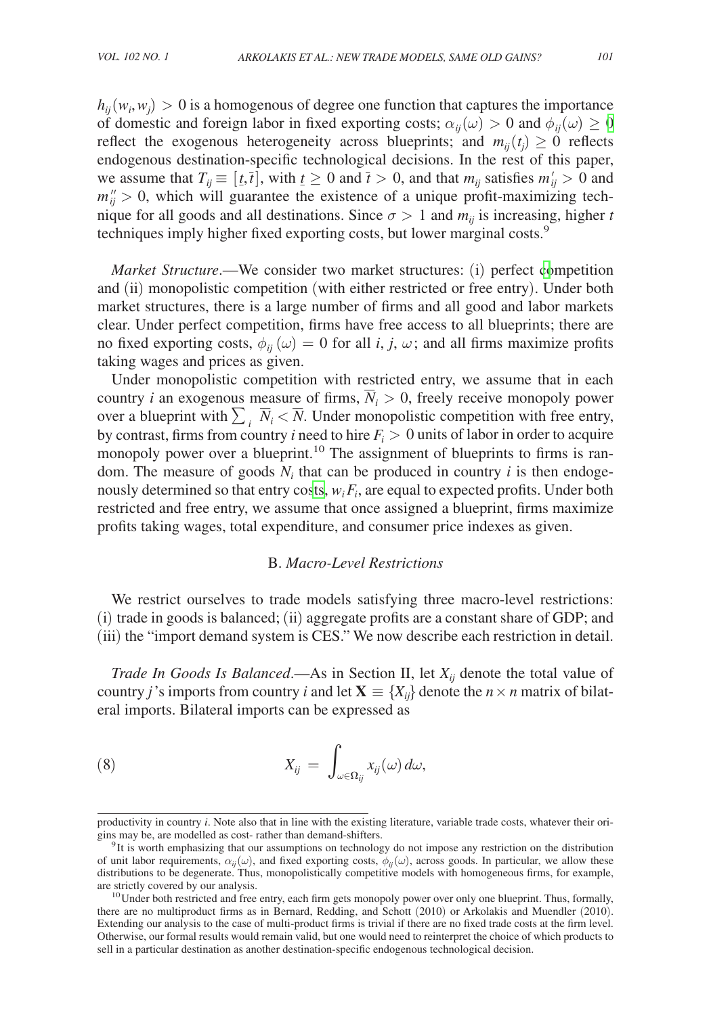<span id="page-7-0"></span> $h_{ij}(w_i, w_j) > 0$  is a homogenous of degree one function that captures the importance of domestic and foreign labor in fixed exporting costs;  $\alpha_{ii}(\omega) > 0$  $\alpha_{ii}(\omega) > 0$  and  $\phi_{ii}(\omega) \ge 0$ reflect the exogenous heterogeneity across blueprints; and  $m_{ij}(t_j) \geq 0$  reflects endogenous destination-specific technological decisions. In the rest of this paper, we assume that  $T_{ij} \equiv [t, \bar{t}]$ , with  $t \ge 0$  and  $\bar{t} > 0$ , and that  $m_{ij}$  satisfies  $m'_{ij} > 0$  and  $m''_{ii} > 0$ , which will guarantee the existence of a unique profit-maximizing technique for all goods and all destinations. Since  $\sigma > 1$  and  $m_{ij}$  is increasing, higher *t* techniques imply higher fixed exporting costs, but lower marginal costs.<sup>9</sup>

*Market Structure*.—We consider two market structures: (i) perfect [co](#page-7-2)mpetition and (ii) monopolistic competition (with either restricted or free entry). Under both market structures, there is a large number of firms and all good and labor markets clear. Under perfect competition, firms have free access to all blueprints; there are no fixed exporting costs,  $\phi_{ii}(\omega) = 0$  for all *i*, *j*,  $\omega$ ; and all firms maximize profits taking wages and prices as given.

Under monopolistic competition with restricted entry, we assume that in each country *i* an exogenous measure of firms,  $\overline{N}_i > 0$ , freely receive monopoly power country *i* an exogenous measure of firms,  $N_i > 0$ , freely receive monopoly power over a blueprint with  $\sum_i \overline{N}_i < \overline{N}$ . Under monopolistic competition with free entry, by contrast, firms from country *i* need to hire  $F_i > 0$  units of labor in order to acquire monopoly power over a blueprint.<sup>10</sup> The assignment of blueprints to firms is random. The measure of goods  $N_i$  that can be produced in country  $i$  is then endogenously determined so that entry co[sts,](#page-7-3)  $w_i F_i$ , are equal to expected profits. Under both restricted and free entry, we assume that once assigned a blueprint, firms maximize profits taking wages, total expenditure, and consumer price indexes as given.

#### B. *Macro-Level Restrictions*

We restrict ourselves to trade models satisfying three macro-level restrictions: (i) trade in goods is balanced; (ii) aggregate profits are a constant share of GDP; and (iii) the "import demand system is CES." We now describe each restriction in detail.

*Trade In Goods Is Balanced*.—As in Section II, let  $X_{ii}$  denote the total value of country *j*'s imports from country *i* and let  $X \equiv \{X_{ii}\}\$  denote the  $n \times n$  matrix of bilateral imports. Bilateral imports can be expressed as

(8) 
$$
X_{ij} = \int_{\omega \in \Omega_{ij}} x_{ij}(\omega) d\omega,
$$

<span id="page-7-1"></span>productivity in country *i*. Note also that in line with the existing literature, variable trade costs, whatever their origins may be, are modelled as cost- rather than demand-shifters.<br><sup>9</sup>It is worth emphasizing that our assumptions on technology do not impose any restriction on the distribution

<span id="page-7-2"></span>of unit labor requirements,  $\alpha_{ij}(\omega)$ , and fixed exporting costs,  $\phi_{ij}(\omega)$ , across goods. In particular, we allow these distributions to be degenerate. Thus, monopolistically competitive models with homogeneous firms, for example,

<span id="page-7-3"></span>are strictly covered by our analysis.<br><sup>10</sup>Under both restricted and free entry, each firm gets monopoly power over only one blueprint. Thus, formally, there are no multiproduct firms as in Bernard, Redding, and Schott (2010) or Arkolakis and Muendler (2010). Extending our analysis to the case of multi-product firms is trivial if there are no fixed trade costs at the firm level. Otherwise, our formal results would remain valid, but one would need to reinterpret the choice of which products to sell in a particular destination as another destination-specific endogenous technological decision.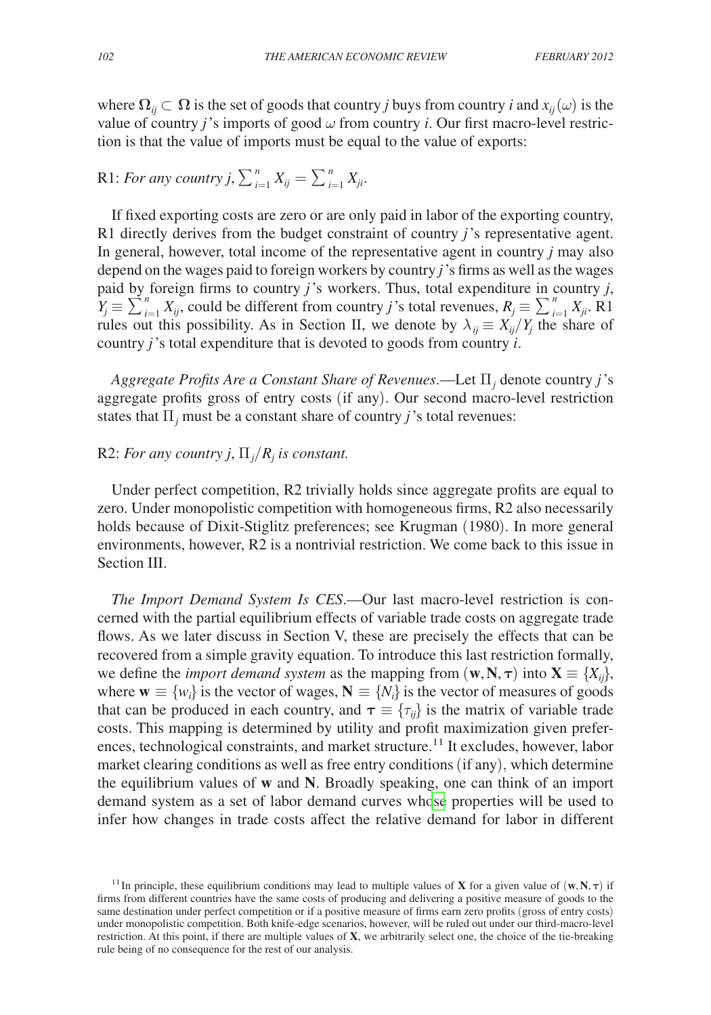where  $\Omega_{ii} \subset \Omega$  is the set of goods that country *j* buys from country *i* and  $x_{ii}(\omega)$  is the value of country *j*'s imports of good  $\omega$  from country *i*. Our first macro-level restriction is that the value of imports must be equal to the value of exports:

# R1: *For any country j*,  $\sum_{i=1}^{n} X_{ij} = \sum_{i=1}^{n} X_{ji}$ .

If fixed exporting costs are zero or are only paid in labor of the exporting country, R1 directly derives from the budget constraint of country *j*'s representative agent. In general, however, total income of the representative agent in country *j* may also depend on the wages paid to foreign workers by country *j*'s firms as well as the wages paid by foreign firms to country *j*'s workers. Thus, total expenditure in country *j*,  $Y_j \equiv \sum_{i=1}^n X_{ij}$ , could be different from country *j*'s total revenues,  $R_j \equiv \sum_{i=1}^n X_{ji}$ . R1 rules out this possibility. As in Section II, we denote by  $\lambda_{ij} \equiv X_{ij}/Y_j$  the share of country *j*'s total expenditure that is devoted to goods from country *i*.

*Aggregate Profits Are a Constant Share of Revenues*.—Let Π*<sup>j</sup>* denote country *j*'s aggregate profits gross of entry costs (if any). Our second macro-level restriction states that Π*<sup>j</sup>* must be a constant share of country *j*'s total revenues:

### R2: *For any country j*,  $\Pi_j/R_j$  *is constant.*

Under perfect competition, R2 trivially holds since aggregate profits are equal to zero. Under monopolistic competition with homogeneous firms, R2 also necessarily holds because of Dixit-Stiglitz preferences; see Krugman (1980). In more general environments, however, R2 is a nontrivial restriction. We come back to this issue in Section III.

*The Import Demand System Is CES*.—Our last macro-level restriction is concerned with the partial equilibrium effects of variable trade costs on aggregate trade flows. As we later discuss in Section V, these are precisely the effects that can be recovered from a simple gravity equation. To introduce this last restriction formally, we define the *import demand system* as the mapping from  $(\mathbf{w}, \mathbf{N}, \tau)$  into  $\mathbf{X} \equiv \{X_{ii}\}\$ , where  $\mathbf{w} \equiv \{w_i\}$  is the vector of wages,  $\mathbf{N} \equiv \{N_i\}$  is the vector of measures of goods that can be produced in each country, and  $\tau \equiv \{\tau_{ij}\}\$ is the matrix of variable trade costs. This mapping is determined by utility and profit maximization given preferences, technological constraints, and market structure.<sup>11</sup> It excludes, however, labor market clearing conditions as well as free entry conditions (if any), which determine the equilibrium values of **w** and **N**. Broadly speaking, one can think of an import demand system as a set of labor demand curves wh[ose](#page-8-0) properties will be used to infer how changes in trade costs affect the relative demand for labor in different

<span id="page-8-0"></span><sup>&</sup>lt;sup>11</sup>In principle, these equilibrium conditions may lead to multiple values of **X** for a given value of  $(\mathbf{w}, \mathbf{N}, \tau)$  if firms from different countries have the same costs of producing and delivering a positive measure of goods to the same destination under perfect competition or if a positive measure of firms earn zero profits (gross of entry costs) under monopolistic competition. Both knife-edge scenarios, however, will be ruled out under our third-macro-level restriction. At this point, if there are multiple values of **X**, we arbitrarily select one, the choice of the tie-breaking rule being of no consequence for the rest of our analysis.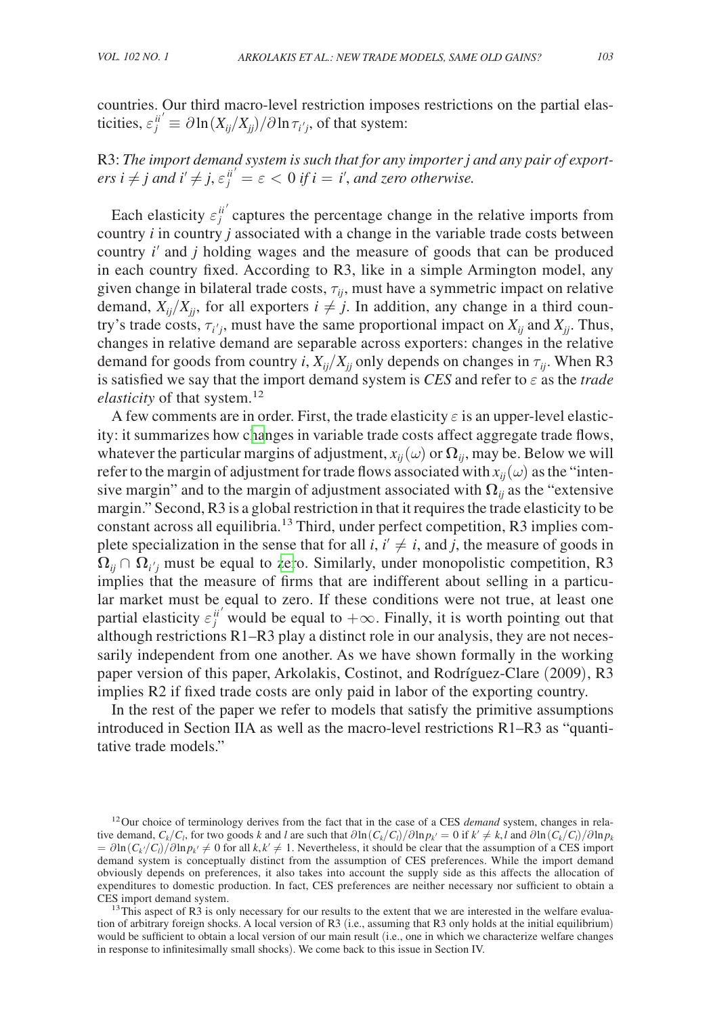countries. Our third macro-level restriction imposes restrictions on the partial elasticities,  $\varepsilon_j^{ii'} \equiv \partial \ln(X_{ij}/X_{jj})/\partial \ln \tau_{i'j}$ , of that system:

## R3: *The import demand system is such that for any importer j and any pair of exporters*  $i \neq j$  *and*  $i' \neq j$ ,  $\varepsilon_j^{ii'} = \varepsilon < 0$  *if*  $i = i'$ *, and zero otherwise.*

Each elasticity  $\varepsilon_j^{ii'}$  captures the percentage change in the relative imports from country *i* in country *j* associated with a change in the variable trade costs between country *i*′ and *j* holding wages and the measure of goods that can be produced in each country fixed. According to R3, like in a simple Armington model, any given change in bilateral trade costs,  $\tau_{ii}$ , must have a symmetric impact on relative demand,  $X_{ii}/X_{ii}$ , for all exporters  $i \neq j$ . In addition, any change in a third country's trade costs,  $\tau_i'$ , must have the same proportional impact on  $X_{ii}$  and  $X_{ii}$ . Thus, changes in relative demand are separable across exporters: changes in the relative demand for goods from country *i*,  $X_{ij}/X_{ji}$  only depends on changes in  $\tau_{ij}$ . When R3 is satisfied we say that the import demand system is *CES* and refer to  $\varepsilon$  as the *trade elasticity* of that system.<sup>12</sup>

A few comments are in order. First, the trade elasticity  $\varepsilon$  is an upper-level elasticity: it summarizes how c[ha](#page-9-0)nges in variable trade costs affect aggregate trade flows, whatever the particular margins of adjustment,  $x_{ii}(\omega)$  or  $\Omega_{ii}$ , may be. Below we will refer to the margin of adjustment for trade flows associated with  $x_{ii}(\omega)$  as the "intensive margin" and to the margin of adjustment associated with  $\Omega$ <sup>*i*</sup> as the "extensive" margin." Second, R3 is a global restriction in that it requires the trade elasticity to be constant across all equilibria.13 Third, under perfect competition, R3 implies complete specialization in the sense that for all  $i, i' \neq i$ , and *j*, the measure of goods in  $\Omega_{ij} \cap \Omega_{i'j}$  must be equal to [zer](#page-9-1)o. Similarly, under monopolistic competition, R3 implies that the measure of firms that are indifferent about selling in a particular market must be equal to zero. If these conditions were not true, at least one partial elasticity  $\varepsilon_j^{ii'}$  would be equal to  $+\infty$ . Finally, it is worth pointing out that although restrictions R1–R3 play a distinct role in our analysis, they are not necessarily independent from one another. As we have shown formally in the working paper version of this paper, Arkolakis, Costinot, and Rodríguez-Clare (2009), R3 implies R2 if fixed trade costs are only paid in labor of the exporting country.

In the rest of the paper we refer to models that satisfy the primitive assumptions introduced in Section IIA as well as the macro-level restrictions R1–R3 as "quantitative trade models."

<span id="page-9-0"></span><sup>&</sup>lt;sup>12</sup>Our choice of terminology derives from the fact that in the case of a CES *demand* system, changes in relative demand,  $C_k/C_l$ , for two goods *k* and *l* are such that ∂ln( $C_k/C_l$ )/∂ln  $p_k' = 0$  if  $k' \neq k, l$  and ∂ln( $C_k/C_l$ )/∂ln  $p_k$  $= \partial \ln \left( \frac{C_k}{C_l} \right) / \partial \ln p_k' \neq 0$  for all  $k, k' \neq 1$ . Nevertheless, it should be clear that the assumption of a CES import demand system is conceptually distinct from the assumption of CES preferences. While the import demand obviously depends on preferences, it also takes into account the supply side as this affects the allocation of expenditures to domestic production. In fact, CES preferences are neither necessary nor sufficient to obtain a CES import demand system. 13This aspect of R3 is only necessary for our results to the extent that we are interested in the welfare evalua-

<span id="page-9-1"></span>tion of arbitrary foreign shocks. A local version of R3 (i.e., assuming that R3 only holds at the initial equilibrium) would be sufficient to obtain a local version of our main result (i.e., one in which we characterize welfare changes in response to infinitesimally small shocks). We come back to this issue in Section IV.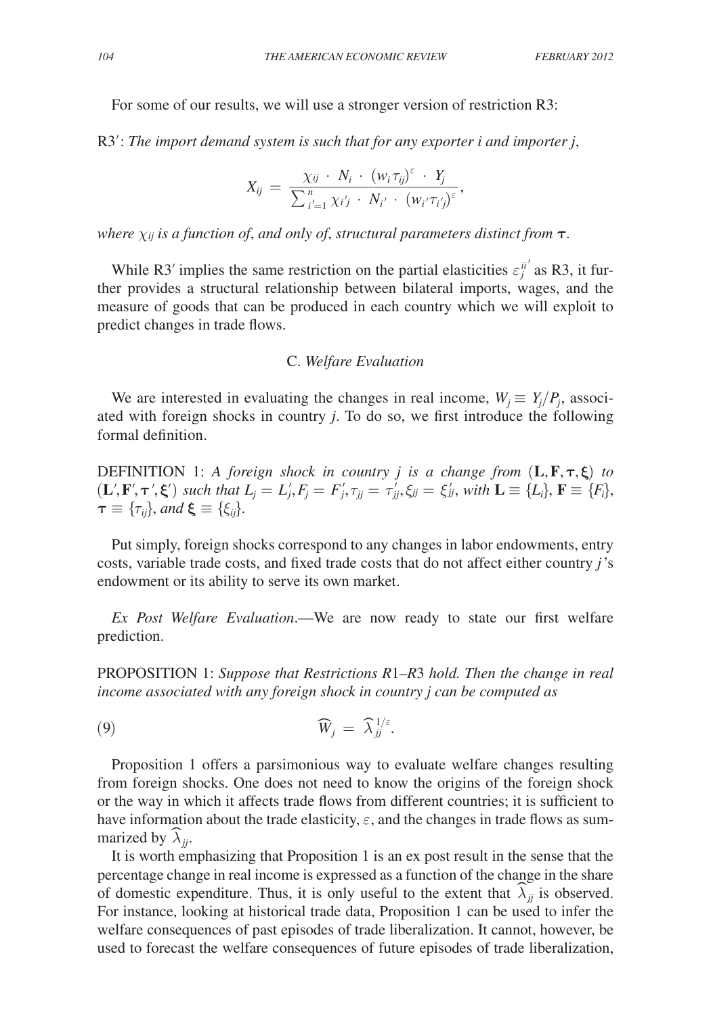For some of our results, we will use a stronger version of restriction R3:

R3′: *The import demand system is such that for any exporter i and importer j*,

<span id="page-10-0"></span>For some of our results, we will use a stronger version of:  
\nR3': The import demand system is such that for any exporte  
\n
$$
X_{ij} = \frac{\chi_{ij} \cdot N_i \cdot (w_i \tau_{ij})^{\varepsilon} \cdot Y_j}{\sum_{i'=1}^{n} \chi_{i'} \cdot N_{i'} \cdot (w_{i'} \tau_{i'})^{\varepsilon}},
$$
\nwhere  $\chi_{ij}$  is a function of, and only of, structural parameters

*where* χ*ij is a function of*, *and only of*, *structural parameters distinct from* **τ**.

While R3' implies the same restriction on the partial elasticities  $\varepsilon_j^{ii'}$  as R3, it further provides a structural relationship between bilateral imports, wages, and the measure of goods that can be produced in each country which we will exploit to predict changes in trade flows.

#### C. *Welfare Evaluation*

We are interested in evaluating the changes in real income,  $W_j \equiv Y_j/P_j$ , associated with foreign shocks in country *j*. To do so, we first introduce the following formal definition.

Definition 1: *A foreign shock in country j is a change from* (**L**,**F**,**τ**,**ξ**) *to*   $(\mathbf{L}',\mathbf{F}',\boldsymbol{\tau}',\boldsymbol{\xi}')$  such that  $L_j=L'_j$ ,  $F_j=F'_j$ ,  $\tau_{jj}=\tau'_{jj}$ ,  $\xi_{jj}=\xi'_{jj}$ , with  $\mathbf{L}\equiv\{L_i\}$ ,  $\mathbf{F}\equiv\{F_i\}$ ,  $\tau \equiv \{\tau_{ii}\}\$ *, and*  $\xi \equiv \{\xi_{ii}\}\$ *.* 

Put simply, foreign shocks correspond to any changes in labor endowments, entry costs, variable trade costs, and fixed trade costs that do not affect either country *j*'s endowment or its ability to serve its own market.

*Ex Post Welfare Evaluation*.—We are now ready to state our first welfare prediction.

Proposition 1: *Suppose that Restrictions R*1*–R*3 *hold. Then the change in real income associated with any foreign shock in country j can be computed as*<br>
(9)  $\widehat{W}_j = \widehat{\lambda}_{jj}^{1/\varepsilon}$ .

$$
\widehat{W}_j = \widehat{\lambda}_{jj}^{1/\varepsilon}.
$$

Proposition 1 offers a parsimonious way to evaluate welfare changes resulting from foreign shocks. One does not need to know the origins of the foreign shock or the way in which it affects trade flows from different countries; it is sufficient to have information about the trade elasticity,  $\varepsilon$ , and the changes in trade flows as sumhave informatic<br>marized by  $\widehat{\lambda}_{jj}$ .

It is worth emphasizing that Proposition 1 is an ex post result in the sense that the percentage change in real income is expressed as a function of the change in the share percentage change in real income is expressed as a function of the change in the share of domestic expenditure. Thus, it is only useful to the extent that  $\hat{\lambda}_{jj}$  is observed. For instance, looking at historical trade data, Proposition 1 can be used to infer the welfare consequences of past episodes of trade liberalization. It cannot, however, be used to forecast the welfare consequences of future episodes of trade liberalization,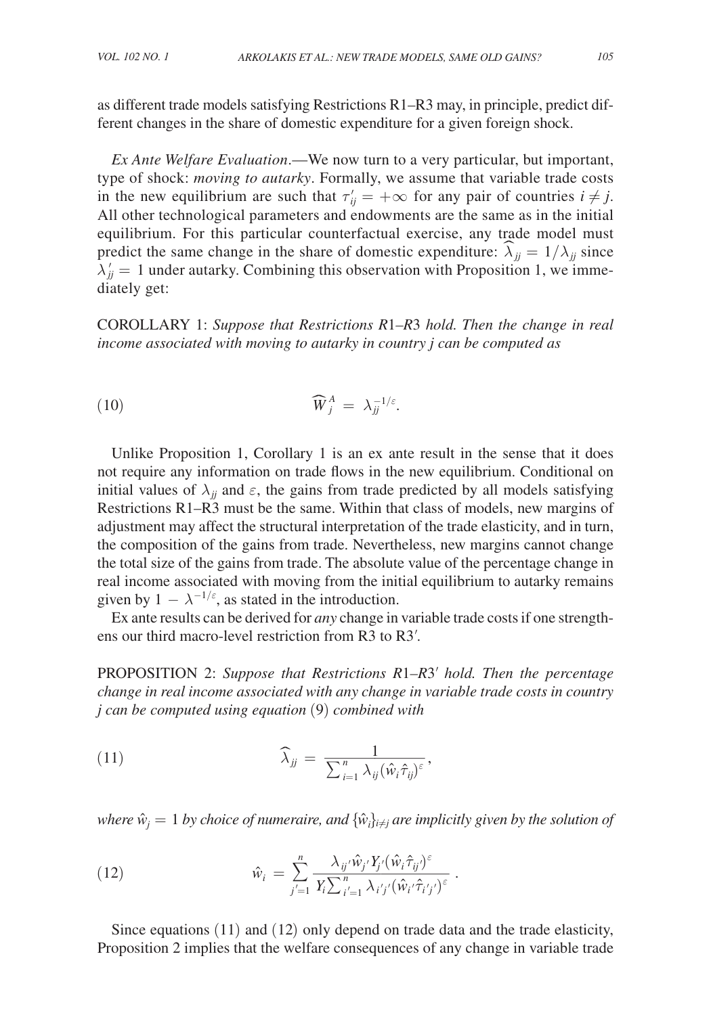as different trade models satisfying Restrictions R1–R3 may, in principle, predict different changes in the share of domestic expenditure for a given foreign shock.

*Ex Ante Welfare Evaluation*.—We now turn to a very particular, but important, type of shock: *moving to autarky*. Formally, we assume that variable trade costs in the new equilibrium are such that  $\tau'_{ij} = +\infty$  for any pair of countries  $i \neq j$ . All other technological parameters and endowments are the same as in the initial equilibrium. For this particular counterfactual exercise, any trade model must equilibrium. For this particular counterfactual exercise, any trade model must<br>predict the same change in the share of domestic expenditure:  $\hat{\lambda}_{jj} = 1/\lambda_{jj}$  since  $\lambda_{ii}^{\prime} = 1$  under autarky. Combining this observation with Proposition 1, we immediately get:

Corollary 1: *Suppose that Restrictions R*1*–R*3 *hold. Then the change in real income associated with moving to autarky in country j can be computed as*

(10) 
$$
\widehat{W}_{j}^{A} = \lambda_{jj}^{-1/\varepsilon}.
$$

Unlike Proposition 1, Corollary 1 is an ex ante result in the sense that it does not require any information on trade flows in the new equilibrium. Conditional on initial values of  $\lambda_{ji}$  and  $\varepsilon$ , the gains from trade predicted by all models satisfying Restrictions R1–R3 must be the same. Within that class of models, new margins of adjustment may affect the structural interpretation of the trade elasticity, and in turn, the composition of the gains from trade. Nevertheless, new margins cannot change the total size of the gains from trade. The absolute value of the percentage change in real income associated with moving from the initial equilibrium to autarky remains given by  $1 - \lambda^{-1/\varepsilon}$ , as stated in the introduction.

Ex ante results can be derived for *any* change in variable trade costs if one strengthens our third macro-level restriction from R3 to R3′.

Proposition 2: *Suppose that Restrictions R*1*–R*3′ *hold. Then the percentage change in real income associated with any change in variable trade costs in country* 

*j* can be computed using equation (9) combined with  
\n(11) 
$$
\widehat{\lambda}_{jj} = \frac{1}{\sum_{i=1}^{n} \lambda_{ij} (\widehat{w}_i \widehat{\tau}_{ij})^{\epsilon}},
$$

where 
$$
\hat{w}_j = 1
$$
 by choice of numeraire, and  $\{\hat{w}_i\}_{i \neq j}$  are implicitly given by the solution of  
\n(12) 
$$
\hat{w}_i = \sum_{j'=1}^n \frac{\lambda_{ij'} \hat{w}_j Y_j (\hat{w}_i \hat{\tau}_{ij'})^{\varepsilon}}{Y_i \sum_{i'=1}^n \lambda_{i'j'} (\hat{w}_{i'} \hat{\tau}_{i'j'})^{\varepsilon}}.
$$

Since equations (11) and (12) only depend on trade data and the trade elasticity, Proposition 2 implies that the welfare consequences of any change in variable trade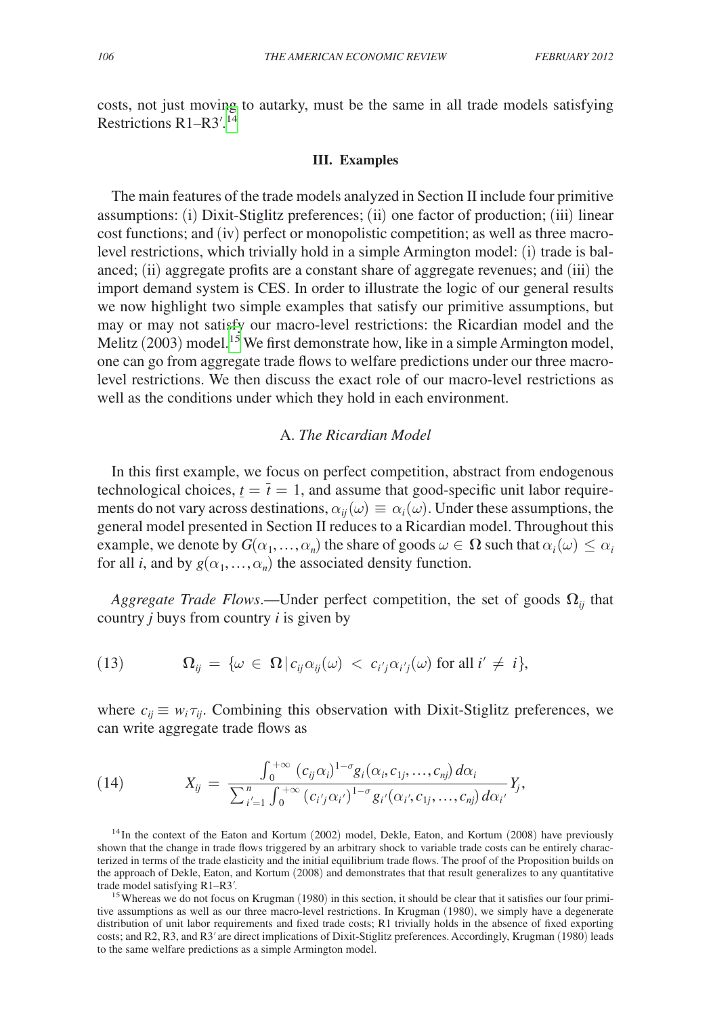<span id="page-12-0"></span>costs, not just moving to autarky, must be the same in all trade models satisfying Restrictions R1–R3'.<sup>[14](#page-12-1)</sup>

#### **III. Examples**

The main features of the trade models analyzed in Section II include four primitive assumptions: (i) Dixit-Stiglitz preferences; (ii) one factor of production; (iii) linear cost functions; and (iv) perfect or monopolistic competition; as well as three macrolevel restrictions, which trivially hold in a simple Armington model: (i) trade is balanced; (ii) aggregate profits are a constant share of aggregate revenues; and (iii) the import demand system is CES. In order to illustrate the logic of our general results we now highlight two simple examples that satisfy our primitive assumptions, but may or may not satisfy our macro-level restrictions: the Ricardian model and the Melitz  $(2003)$  model.<sup>15</sup> We first demonstrate how, like in a simple Armington model, one can go from aggregate trade flows to welfare predictions under our three macrolevel restrictions. We then discuss the exact role of our macro-level restrictions as well as the conditions under which they hold in each environment.

#### A. *The Ricardian Model*

In this first example, we focus on perfect competition, abstract from endogenous technological choices,  $\underline{t} = \overline{t} = 1$ , and assume that good-specific unit labor requirements do not vary across destinations,  $\alpha_{ii}(\omega) \equiv \alpha_i(\omega)$ . Under these assumptions, the general model presented in Section II reduces to a Ricardian model. Throughout this example, we denote by  $G(\alpha_1, ..., \alpha_n)$  the share of goods  $\omega \in \Omega$  such that  $\alpha_i(\omega) \leq \alpha_i$ for all *i*, and by  $g(\alpha_1, ..., \alpha_n)$  the associated density function.

*Aggregate Trade Flows.*—Under perfect competition, the set of goods  $\Omega_{ij}$  that country *j* buys from country *i* is given by

(13) 
$$
\Omega_{ij} = \{ \omega \in \Omega \, | \, c_{ij}\alpha_{ij}(\omega) < c_{i'j}\alpha_{i'j}(\omega) \text{ for all } i' \neq i \},
$$

where  $c_{ij} \equiv w_i \tau_{ij}$ . Combining this observation with Dixit-Stiglitz preferences, we can write aggregate trade flows as

where 
$$
c_{ij} = w_i \cdot i_j
$$
. Combining this observation with *DX* is singular,  $P_i$  can write aggregate trade flows as

\n(14)

\n
$$
X_{ij} = \frac{\int_0^{+\infty} (c_{ij}\alpha_i)^{1-\sigma} g_i(\alpha_i, c_{1j}, \ldots, c_{nj}) d\alpha_i}{\sum_{i'=1}^n \int_0^{+\infty} (c_{i'j}\alpha_{i'})^{1-\sigma} g_{i'}(\alpha_{i'}, c_{1j}, \ldots, c_{nj}) d\alpha_{i'}} Y_j,
$$

<span id="page-12-1"></span><sup>14</sup>In the context of the Eaton and Kortum (2002) model, Dekle, Eaton, and Kortum (2008) have previously shown that the change in trade flows triggered by an arbitrary shock to variable trade costs can be entirely characterized in terms of the trade elasticity and the initial equilibrium trade flows. The proof of the Proposition builds on the approach of Dekle, Eaton, and Kortum (2008) and demonstrates that that result generalizes to any quantitative trade model satisfying R1–R3'.

<span id="page-12-2"></span><sup>15</sup> Whereas we do not focus on Krugman (1980) in this section, it should be clear that it satisfies our four primitive assumptions as well as our three macro-level restrictions. In Krugman (1980), we simply have a degenerate distribution of unit labor requirements and fixed trade costs; R1 trivially holds in the absence of fixed exporting costs; and R2, R3, and R3′ are direct implications of Dixit-Stiglitz preferences. Accordingly, Krugman (1980) leads to the same welfare predictions as a simple Armington model.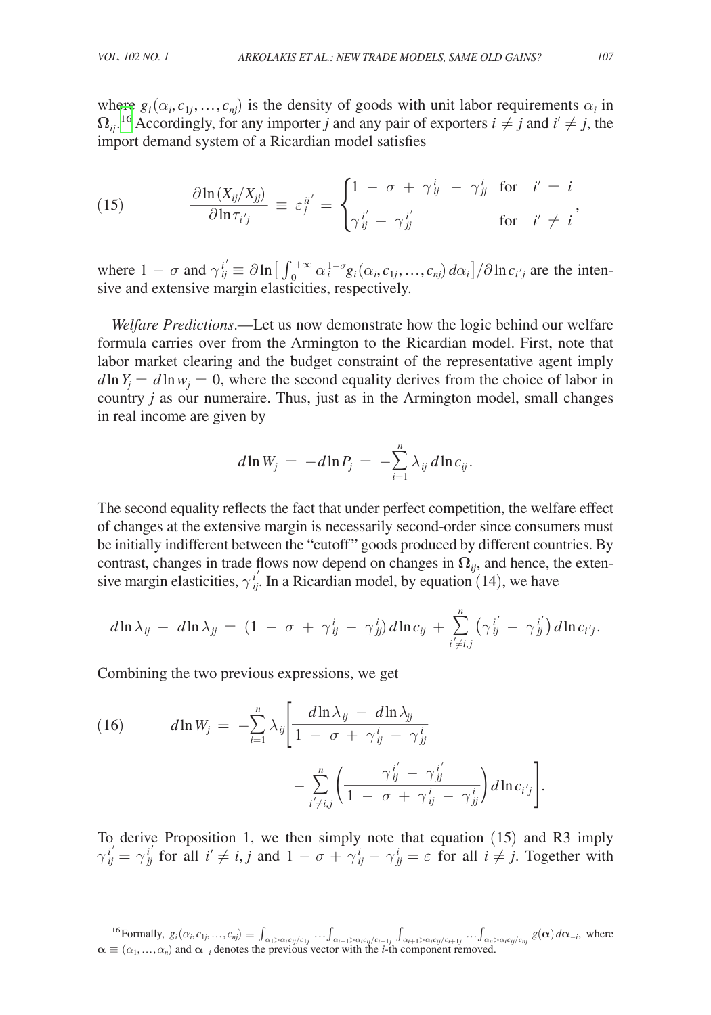where  $g_i(\alpha_i, c_{1j},...,c_{nj})$  is the density of goods with unit labor requirements  $\alpha_i$  in  $\Omega_{ij}$ <sup>[16](#page-13-0)</sup> Accordingly, for any importer *j* and any pair of exporters *i*  $\neq j$  and *i*′  $\neq j$ , the

$$
\frac{\partial \ln(X_{ij}/X_{jj})}{\partial \ln \tau_{i'j}} \equiv \varepsilon_j^{ii'} = \begin{cases} 1 - \sigma + \gamma_{ij}^i - \gamma_{jj}^i & \text{for } i' = i \\ \gamma_{ij}^{i'} - \gamma_{jj}^{i'} & \text{for } i' = i \\ \gamma_{ij}^{i'} - \gamma_{jj}^{i'} & \text{for } i' \neq i \end{cases}
$$

where  $1 - \sigma$  and  $\gamma_{ij}^{i'} \equiv \partial \ln \left[ \int_0^{+\infty} \alpha_i^{1-\sigma} g_i(\alpha_i, c_{1j}, \dots, c_{nj}) d\alpha_i \right] / \partial \ln c_{i'j}$  are the intensive and extensive margin elasticities, respectively.

*Welfare Predictions*.—Let us now demonstrate how the logic behind our welfare formula carries over from the Armington to the Ricardian model. First, note that labor market clearing and the budget constraint of the representative agent imply  $d \ln Y_i = d \ln w_i = 0$ , where the second equality derives from the choice of labor in country *j* as our numeraire. Thus, just as in the Armington model, small changes in real income are given by

$$
d\ln W_j = -d\ln P_j = -\sum_{i=1}^n \lambda_{ij} \, d\ln c_{ij}.
$$

The second equality reflects the fact that under perfect competition, the welfare effect of changes at the extensive margin is necessarily second-order since consumers must be initially indifferent between the "cutoff" goods produced by different countries. By contrast, changes in trade flows now depend on changes in  $\Omega_{ii}$ , and hence, the extensive margin elasticities,  $\gamma_{ij}^{i'}$ . In a Ricardian model, by equation (14), we have

$$
d\ln\lambda_{ij} - d\ln\lambda_{jj} = (1 - \sigma + \gamma_{ij}^i - \gamma_{jj}^i) d\ln c_{ij} + \sum_{i'\neq i,j}^n (\gamma_{ij}^{i'} - \gamma_{jj}^{i'}) d\ln c_{i'j}.
$$

Combining the two previous expressions, we get

Combining the two previous expressions, we get  
\n(16) 
$$
d\ln W_j = -\sum_{i=1}^n \lambda_{ij} \left[ \frac{d\ln \lambda_{ij} - d\ln \lambda_{jj}}{1 - \sigma + \gamma_{ij}^i - \gamma_{jj}^i} - \frac{1}{2} \frac{d\lambda_{ij} - \gamma_{jj}^i}{1 - \sigma + \gamma_{ij}^i - \gamma_{jj}^i} \right] d\ln c_{i'j}.
$$

To derive Proposition 1, we then simply note that equation (15) and R3 imply  $\gamma_{ij}^{i'} = \gamma_{jj}^{i'}$  for all  $i' \neq i, j$  and  $1 - \sigma + \gamma_{ij}^{i} - \gamma_{jj}^{i} = \varepsilon$  for all  $i \neq j$ . Together with

<span id="page-13-0"></span><sup>&</sup>lt;sup>16</sup> Formally,  $g_i(\alpha_i, c_{1j},...,c_{nj}) \equiv \int_{\alpha_1 > \alpha_i c_{ij}/c_{1j}} ... \int_{\alpha_{i-1} > \alpha_i c_{ij}/c_{i-1j}} \int_{\alpha_{i+1} > \alpha_i c_{ij}/c_{i+1j}} ... \int_{\alpha_n > \alpha_i c_{ij}/c_{nj}} g(\alpha) d\alpha_{-i}$ , where  $\alpha \equiv (\alpha_1,...,\alpha_n)$  and  $\alpha_{-i}$  denotes the previous vector with the *i*-th comp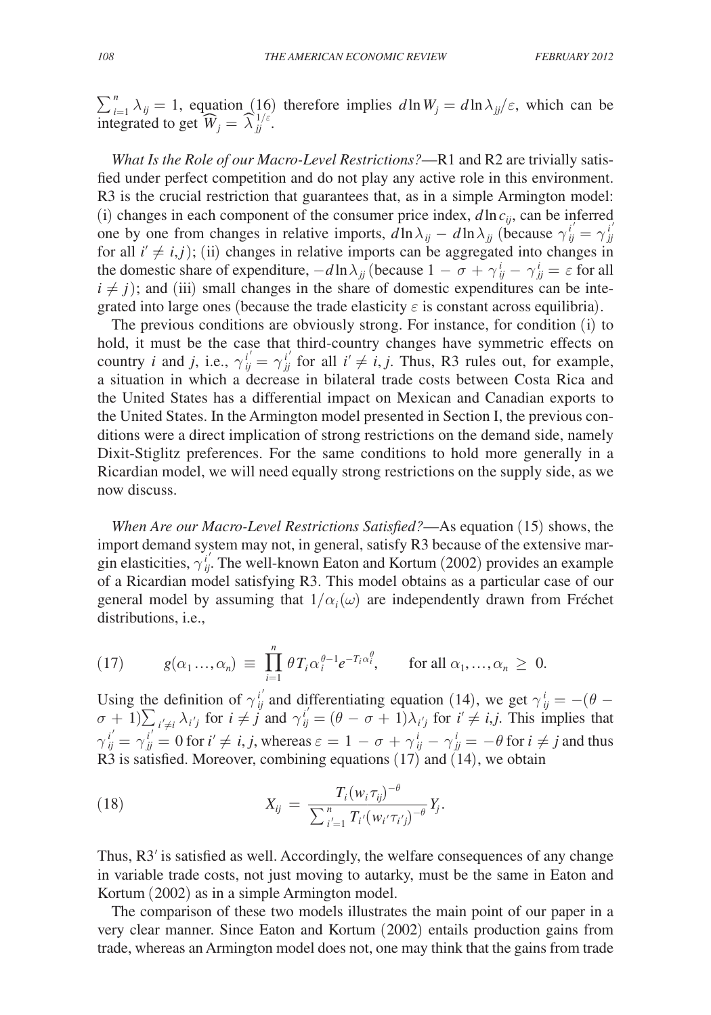$\sum_{i=1}^{n} \lambda_{ij} = 1$ , equation (16) therefore implies  $d \ln W_j = d \ln \lambda_{jj}/\varepsilon$ , which can be integrated to get  $\widehat{W}_j = \widehat{\lambda}_{jj}^{1/\varepsilon}$ .

*What Is the Role of our Macro-Level Restrictions?*—R1 and R2 are trivially satisfied under perfect competition and do not play any active role in this environment. R3 is the crucial restriction that guarantees that, as in a simple Armington model: (i) changes in each component of the consumer price index,  $d\ln c_{ij}$ , can be inferred one by one from changes in relative imports,  $d \ln \lambda_{ij} - d \ln \lambda_{jj}$  (because  $\gamma_{ij}^{i'} = \gamma_{jj}^{i'}$ for all  $i' \neq i, j$ ; (ii) changes in relative imports can be aggregated into changes in the domestic share of expenditure,  $-d \ln \lambda_{jj}$  (because  $1 - \sigma + \gamma_{ij}^i - \gamma_{jj}^i = \varepsilon$  for all  $i \neq j$ ); and (iii) small changes in the share of domestic expenditures can be integrated into large ones (because the trade elasticity  $\varepsilon$  is constant across equilibria).

The previous conditions are obviously strong. For instance, for condition (i) to hold, it must be the case that third-country changes have symmetric effects on country *i* and *j*, i.e.,  $\gamma_{ij}^{i'} = \gamma_{jj}^{i'}$  for all  $i' \neq i, j$ . Thus, R3 rules out, for example, a situation in which a decrease in bilateral trade costs between Costa Rica and the United States has a differential impact on Mexican and Canadian exports to the United States. In the Armington model presented in Section I, the previous conditions were a direct implication of strong restrictions on the demand side, namely Dixit-Stiglitz preferences. For the same conditions to hold more generally in a Ricardian model, we will need equally strong restrictions on the supply side, as we now discuss.

*When Are our Macro-Level Restrictions Satisfied?*—As equation (15) shows, the import demand system may not, in general, satisfy R3 because of the extensive margin elasticities,  $\gamma_{ij}^{i'}$ . The well-known Eaton and Kortum (2002) provides an example of a Ricardian model satisfying R3. This model obtains as a particular case of our general model by assuming that  $1/\alpha_i(\omega)$  are independently drawn from Fréchet distributions, i.e.,

(17) 
$$
g(\alpha_1...\alpha_n) \equiv \prod_{i=1}^n \theta T_i \alpha_i^{\theta-1} e^{-T_i \alpha_i^{\theta}}, \quad \text{for all } \alpha_1,...,\alpha_n \geq 0.
$$

Using the definition of  $\gamma_{ij}^{i'}$  and differentiating equation (14), we get  $\gamma_{ij}^{i} = -(\theta - \theta_{ij})$  $\sigma + 1$ ) $\sum_{i' \neq i} \lambda_{i'j}$  for  $i \neq j$  and  $\gamma_{ij}^{i'} = (\theta - \sigma + 1)\lambda_{i'j}$  for  $i' \neq i, j$ . This implies that  $\gamma_{ij}^{i'} = \gamma_{jj}^{i'} = 0$  for  $i' \neq i, j$ , whereas  $\varepsilon = 1 - \sigma + \gamma_{ij}^{i} - \gamma_{jj}^{i} = -\theta$  for  $i \neq j$  and thus

(18) 
$$
X_{ij} = \frac{T_i(w_i \tau_{ij})^{-\theta}}{\sum_{i'=1}^n T_{i'}(w_i \tau_{ij})^{-\theta}} Y_j.
$$

Thus, R3′ is satisfied as well. Accordingly, the welfare consequences of any change in variable trade costs, not just moving to autarky, must be the same in Eaton and Kortum (2002) as in a simple Armington model.

The comparison of these two models illustrates the main point of our paper in a very clear manner. Since Eaton and Kortum (2002) entails production gains from trade, whereas an Armington model does not, one may think that the gains from trade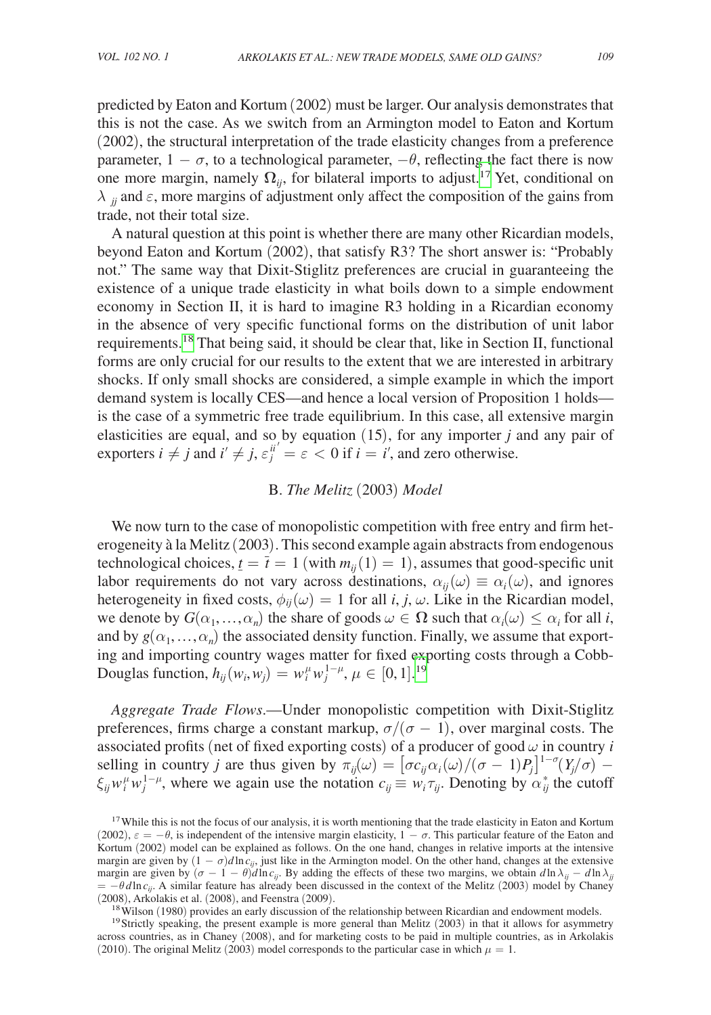<span id="page-15-0"></span>predicted by Eaton and Kortum (2002) must be larger. Our analysis demonstrates that this is not the case. As we switch from an Armington model to Eaton and Kortum (2002), the structural interpretation of the trade elasticity changes from a preference parameter,  $1 - \sigma$ , to a technological parameter,  $-\theta$ , reflecting the fact there is now one more margin, namely  $\Omega_{ij}$ , for bilateral imports to adjust.<sup>17</sup> Yet, conditional on  $\lambda_{ij}$  and  $\varepsilon$ , more margins of adjustment only affect the composition of the gains from trade, not their total size.

A natural question at this point is whether there are many other Ricardian models, beyond Eaton and Kortum (2002), that satisfy R3? The short answer is: "Probably not." The same way that Dixit-Stiglitz preferences are crucial in guaranteeing the existence of a unique trade elasticity in what boils down to a simple endowment economy in Section II, it is hard to imagine R3 holding in a Ricardian economy in the absence of very specific functional forms on the distribution of unit labor requirements.[18](#page-15-2) That being said, it should be clear that, like in Section II, functional forms are only crucial for our results to the extent that we are interested in arbitrary shocks. If only small shocks are considered, a simple example in which the import demand system is locally CES—and hence a local version of Proposition 1 holds is the case of a symmetric free trade equilibrium. In this case, all extensive margin elasticities are equal, and so by equation (15), for any importer *j* and any pair of exporters  $i \neq j$  and  $i' \neq j$ ,  $\varepsilon_j^{ii'} = \varepsilon < 0$  if  $i = i'$ , and zero otherwise.

#### B. *The Melitz* (2003) *Model*

We now turn to the case of monopolistic competition with free entry and firm heterogeneity à la Melitz (2003). This second example again abstracts from endogenous technological choices,  $\underline{t} = \overline{t} = 1$  (with  $m_{ij}(1) = 1$ ), assumes that good-specific unit labor requirements do not vary across destinations,  $\alpha_{ii}(\omega) \equiv \alpha_i(\omega)$ , and ignores heterogeneity in fixed costs,  $\phi_{ij}(\omega) = 1$  for all *i*, *j*,  $\omega$ . Like in the Ricardian model, we denote by  $G(\alpha_1, ..., \alpha_n)$  the share of goods  $\omega \in \Omega$  such that  $\alpha_i(\omega) \leq \alpha_i$  for all *i*, and by  $g(\alpha_1,...,\alpha_n)$  the associated density function. Finally, we assume that exporting and importing country wages matter for fixed exporting costs through a Cobb-Douglas function,  $h_{ij}(w_i, w_j) = w_i^{\mu} w_j^{1-\mu}, \mu \in [0, 1]$ .<sup>[19](#page-15-3)</sup>

*Aggregate Trade Flows*.—Under monopolistic competition with Dixit-Stiglitz preferences, firms charge a constant markup,  $\sigma/(\sigma - 1)$ , over marginal costs. The associated profits (net of fixed exporting costs) of a producer of good  $\omega$  in country *i* selling in country *j* are thus given by  $\pi_{ij}(\omega) = [\sigma c_{ij} \alpha_i(\omega) / (\sigma - 1)P_j]^{1-\sigma}(Y_j/\sigma)$  –  $\xi_{ij} w_i^{\mu} w_j^{1-\mu}$ , where we again use the notation  $c_{ij} \equiv w_i \tau_{ij}$ . Denoting by  $\alpha_{ij}^*$  the cutoff

<span id="page-15-1"></span><sup>&</sup>lt;sup>17</sup>While this is not the focus of our analysis, it is worth mentioning that the trade elasticity in Eaton and Kortum (2002),  $\varepsilon = -\theta$ , is independent of the intensive margin elasticity,  $1 - \sigma$ . This particular feature of the Eaton and Kortum (2002) model can be explained as follows. On the one hand, changes in relative imports at the intensive margin are given by  $(1 - \sigma) d \ln c_{ij}$ , just like in the Armington model. On the other hand, changes at the extensive margin are given by  $(\sigma - 1 - \theta)d\ln c_{ij}$ . By adding the effects of these two margins, we obtain  $d\ln \lambda_{ij} - d\ln \lambda_{ij}$  $= -\theta d \ln c_{ij}$ . A similar feature has already been discussed in the context of the Melitz (2003) model by Chaney (2008), Arkolakis et al. (2008), and Feenstra (2009).

<span id="page-15-3"></span><span id="page-15-2"></span><sup>&</sup>lt;sup>18</sup> Wilson (1980) provides an early discussion of the relationship between Ricardian and endowment models.<br><sup>19</sup> Strictly speaking, the present example is more general than Melitz (2003) in that it allows for asymmetry

across countries, as in Chaney (2008), and for marketing costs to be paid in multiple countries, as in Arkolakis (2010). The original Melitz (2003) model corresponds to the particular case in which  $\mu = 1$ .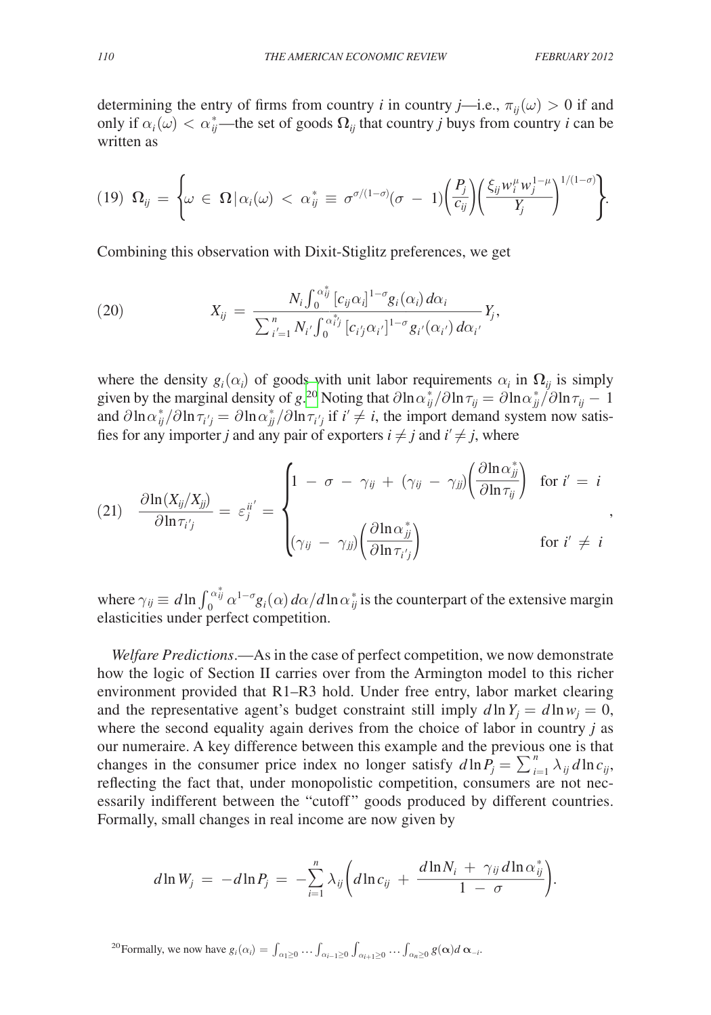determining the entry of firms from country *i* in country *j*—i.e.,  $\pi_{ii}(\omega) > 0$  if and only if  $\alpha_i(\omega) < \alpha_{ij}^*$ —the set of goods  $\Omega_{ij}$  that country *j* buys from country *i* can be written as

written as  
\n(19) 
$$
\Omega_{ij} = \left\{ \omega \in \Omega \, | \, \alpha_i(\omega) < \alpha_{ij}^* \equiv \sigma^{\sigma/(1-\sigma)}(\sigma-1) \left( \frac{P_j}{c_{ij}} \right) \left( \frac{\xi_{ij} w_i^{\mu} w_j^{1-\mu}}{Y_j} \right)^{1/(1-\sigma)} \right\}.
$$

Combining this observation with Dixit-Stiglitz preferences, we get

Combining this observation with Dixit-Stiglitz preferences, we g  
\n(20) 
$$
X_{ij} = \frac{N_i \int_0^{\alpha_{ij}^*} [c_{ij}\alpha_i]^{1-\sigma} g_i(\alpha_i) d\alpha_i}{\sum_{i'=1}^n N_{i'} \int_0^{\alpha_{i'}^*} [c_{i'j}\alpha_{i'}]^{1-\sigma} g_{i'}(\alpha_{i'}) d\alpha_{i'}}
$$

where the density  $g_i(\alpha_i)$  of goods with unit labor requirements  $\alpha_i$  in  $\Omega_{ij}$  is simply given by the marginal density of *g*.<sup>[20](#page-16-0)</sup> Noting that  $\partial \ln \alpha_{ij}^* / \partial \ln \tau_{ij} = \partial \ln \alpha_{jj}^* / \partial \ln \tau_{ij} - 1$ and  $\partial \ln \alpha_{ij}^* / \partial \ln \tau_{i'j} = \partial \ln \alpha_{jj}^* / \partial \ln \tau_{i'j}$  if  $i' \neq i$ , the import demand system now satisfies for any importer *j* and any pair of exporters  $i \neq j$  and  $i' \neq j$ , where

These for any improper *f* and any pair of exponents 
$$
i \neq f
$$
 and  $i \neq f$ , where

\n
$$
(21) \quad \frac{\partial \ln(X_{ij}/X_{jj})}{\partial \ln \tau_{i'j}} = \varepsilon_{j}^{ii'} = \begin{cases} 1 - \sigma - \gamma_{ij} + (\gamma_{ij} - \gamma_{jj}) \left( \frac{\partial \ln \alpha_{jj}^{*}}{\partial \ln \tau_{ij}} \right) & \text{for } i' = i \\ (\gamma_{ij} - \gamma_{jj}) \left( \frac{\partial \ln \alpha_{jj}^{*}}{\partial \ln \tau_{i'j}} \right) & \text{for } i' \neq i \end{cases}
$$

where  $\gamma_{ij} \equiv d \ln \int_0^{\alpha_{ij}^*} \alpha^{1-\sigma} g_i(\alpha) d\alpha / d \ln \alpha_{ij}^*$  is the counterpart of the extensive margin elasticities under perfect competition.

*Welfare Predictions*.—As in the case of perfect competition, we now demonstrate how the logic of Section II carries over from the Armington model to this richer environment provided that R1–R3 hold. Under free entry, labor market clearing and the representative agent's budget constraint still imply  $d \ln Y_i = d \ln w_i = 0$ , where the second equality again derives from the choice of labor in country *j* as our numeraire. A key difference between this example and the previous one is that changes in the consumer price index no longer satisfy  $d \ln P_j = \sum_{i=1}^n \lambda_{ij} d \ln c_{ij}$ , reflecting the fact that, under monopolistic competition, consumers are not necessarily indifferent between the "cutoff" goods produced by different countries. Formally, small changes in real income are now given by

*a*, small changes in real income are now given by  
\n
$$
d\ln W_j = -d\ln P_j = -\sum_{i=1}^n \lambda_{ij} \bigg( d\ln c_{ij} + \frac{d\ln N_i + \gamma_{ij} d\ln \alpha_{ij}^*}{1 - \sigma} \bigg).
$$

<span id="page-16-0"></span><sup>20</sup> Formally, we now have  $g_i(\alpha_i) = \int_{\alpha_1 \geq 0} \ldots \int_{\alpha_{i-1} \geq 0} \int_{\alpha_{i+1} \geq 0} \ldots \int_{\alpha_n \geq 0} g(\alpha) d\alpha_{-i}$ .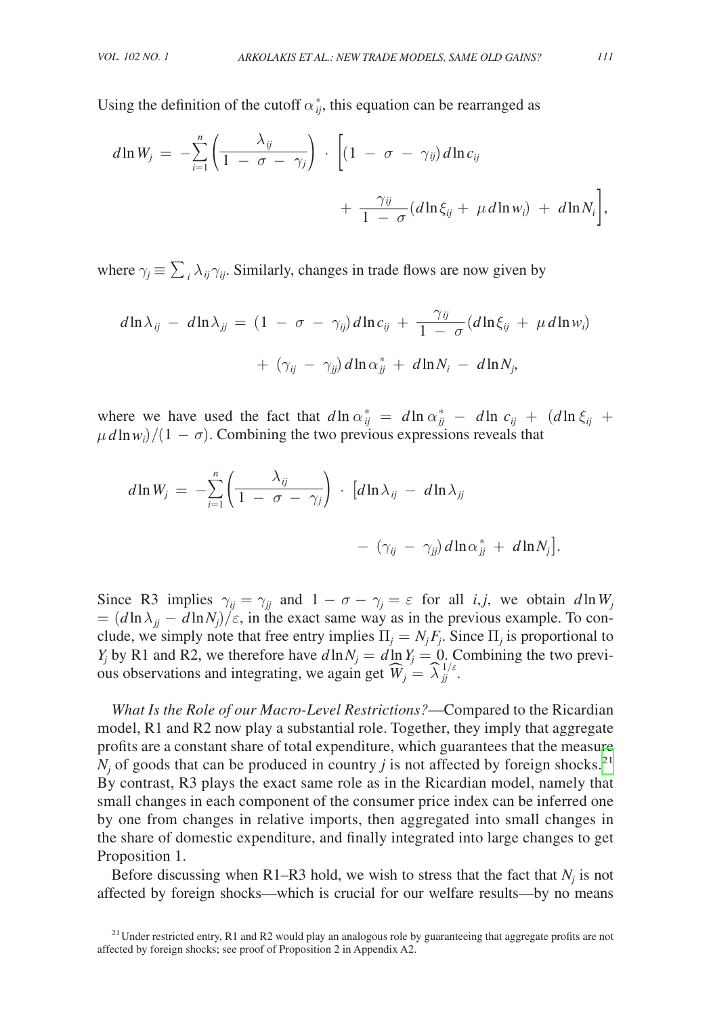Using the definition of the cutoff  $\alpha_{ij}^*$ , this equation can be rearranged as

*d*ln *Wj* = − ∑ *i*=1 *n* (\_ <sup>λ</sup>*ij* <sup>1</sup> <sup>−</sup> <sup>σ</sup> − γ*<sup>j</sup>* ) <sup>⋅</sup> [(<sup>1</sup> <sup>−</sup> <sup>σ</sup> − γ*ij*) *<sup>d</sup>* ln *cij* + \_ γ*ij* 1 − σ (*d*ln ξ*ij* + μ*d*ln *wi* ) <sup>+</sup> *<sup>d</sup>*ln *Ni* ],

where  $\gamma_j \equiv \sum_i \lambda_{ij} \gamma_{ij}$ . Similarly, changes in trade flows are now given by

$$
d\ln \lambda_{ij} - d\ln \lambda_{jj} = (1 - \sigma - \gamma_{ij}) d\ln c_{ij} + \frac{\gamma_{ij}}{1 - \sigma} (d\ln \xi_{ij} + \mu d\ln w_{ij})
$$

$$
+ (\gamma_{ij} - \gamma_{jj}) d\ln c_{jj} + d\ln N_i - d\ln N_j,
$$

 $\mu d \ln w_i$ / $(1 - \sigma)$ . Combining the two previous expressions reveals that

where we have used the fact that 
$$
d\ln \alpha_{ij}^* = d\ln \alpha_{jj}^* - d\ln c_{ij} + (d\ln \xi_{ij} + \mu d\ln w_i)/(1 - \sigma)
$$
. Combining the two previous expressions reveals that  
\n
$$
d\ln W_j = -\sum_{i=1}^n \left(\frac{\lambda_{ij}}{1 - \sigma - \gamma_j}\right) \cdot [d\ln \lambda_{ij} - d\ln \lambda_{jj} - (\gamma_{ij} - \gamma_{jj})d\ln \alpha_{jj}^* + d\ln N_j].
$$

Since R3 implies  $\gamma_{ij} = \gamma_{ji}$  and  $1 - \sigma - \gamma_j = \varepsilon$  for all *i*,*j*, we obtain  $d \ln W_j$  $= (d \ln \lambda_{jj} - d \ln N_j)/\varepsilon$ , in the exact same way as in the previous example. To conclude, we simply note that free entry implies  $\Pi_j = N_j F_j$ . Since  $\Pi_j$  is proportional to *Y<sub>j</sub>* by R1 and R2, we therefore have  $d \ln N_j = d \ln Y_j = 0$ . Combining the two previby R1 and R2, we therefore have  $d\ln N_j = d\ln Y_j = 0$ . Cous observations and integrating, we again get  $\widehat{W}_j = \widehat{\lambda}_{jj}^{1/\epsilon}$ .

*What Is the Role of our Macro-Level Restrictions?*—Compared to the Ricardian model, R1 and R2 now play a substantial role. Together, they imply that aggregate profits are a constant share of total expenditure, which guarantees that the measure  $N_j$  of goods that can be produced in country *j* is not affected by foreign shocks.<sup>[21](#page-17-0)</sup> By contrast, R3 plays the exact same role as in the Ricardian model, namely that small changes in each component of the consumer price index can be inferred one by one from changes in relative imports, then aggregated into small changes in the share of domestic expenditure, and finally integrated into large changes to get Proposition 1.

Before discussing when R1–R3 hold, we wish to stress that the fact that  $N_j$  is not affected by foreign shocks—which is crucial for our welfare results—by no means

<span id="page-17-0"></span> $^{21}$  Under restricted entry, R1 and R2 would play an analogous role by guaranteeing that aggregate profits are not affected by foreign shocks; see proof of Proposition 2 in Appendix A2.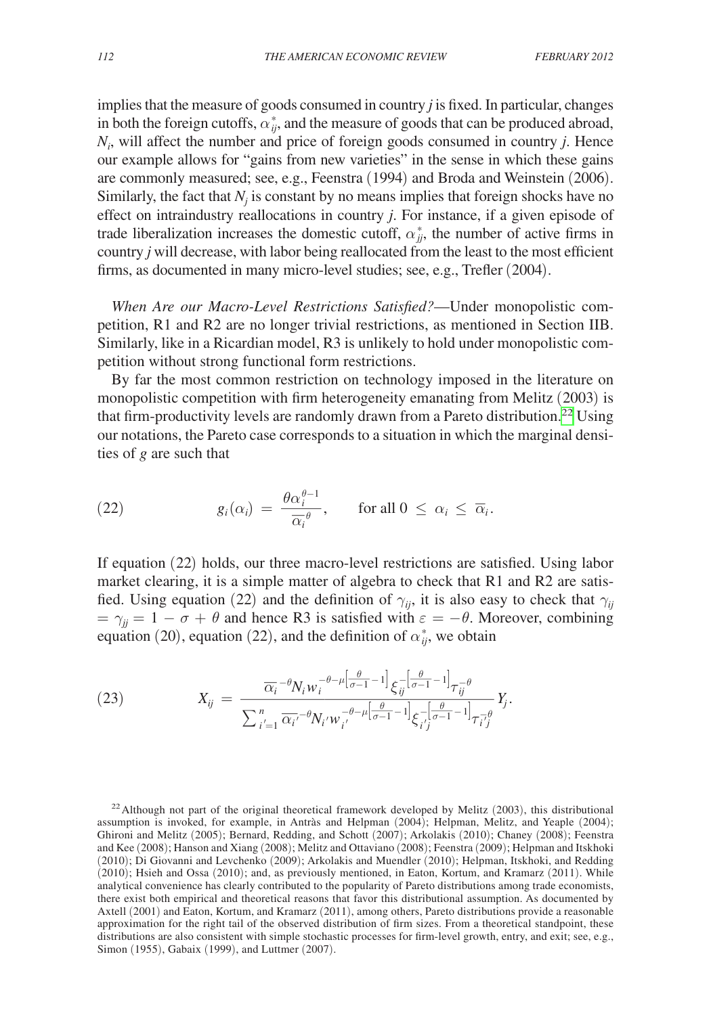implies that the measure of goods consumed in country *j* is fixed. In particular, changes in both the foreign cutoffs,  $\alpha_{ij}^*$ , and the measure of goods that can be produced abroad, *Ni* , will affect the number and price of foreign goods consumed in country *j*. Hence our example allows for "gains from new varieties" in the sense in which these gains are commonly measured; see, e.g., Feenstra (1994) and Broda and Weinstein (2006). Similarly, the fact that  $N_j$  is constant by no means implies that foreign shocks have no effect on intraindustry reallocations in country *j*. For instance, if a given episode of trade liberalization increases the domestic cutoff,  $\alpha_{jj}^*$ , the number of active firms in country *j* will decrease, with labor being reallocated from the least to the most efficient firms, as documented in many micro-level studies; see, e.g., Trefler (2004).

*When Are our Macro-Level Restrictions Satisfied?*—Under monopolistic competition, R1 and R2 are no longer trivial restrictions, as mentioned in Section IIB. Similarly, like in a Ricardian model, R3 is unlikely to hold under monopolistic competition without strong functional form restrictions.

By far the most common restriction on technology imposed in the literature on monopolistic competition with firm heterogeneity emanating from Melitz (2003) is that firm-productivity levels are randomly drawn from a Pareto distribution.<sup>[22](#page-18-0)</sup> Using our notations, the Pareto case corresponds to a situation in which the marginal densities of *g* are such that

(22) 
$$
g_i(\alpha_i) = \frac{\theta \alpha_i^{\theta-1}}{\overline{\alpha_i}^{\theta}}, \quad \text{for all } 0 \leq \alpha_i \leq \overline{\alpha}_i.
$$

If equation (22) holds, our three macro-level restrictions are satisfied. Using labor market clearing, it is a simple matter of algebra to check that R1 and R2 are satisfied. Using equation (22) and the definition of  $\gamma_{ij}$ , it is also easy to check that  $\gamma_{ij}$  $= \gamma_{ij} = 1 - \sigma + \theta$  and hence R3 is satisfied with  $\varepsilon = -\theta$ . Moreover, combining equation (20), equation (22), and the definition of  $\alpha_{ij}^*$ , we obtain

$$
= \gamma_{jj} = 1 - \sigma + \theta \text{ and hence R3 is satisfied with } \varepsilon = -\theta. \text{ Moree}
$$
  
equation (20), equation (22), and the definition of  $\alpha_{ij}^*$ , we obtain  

$$
X_{ij} = \frac{\overline{\alpha_i} - \theta N_i w_i^{-\theta - \mu \left[\frac{\theta}{\sigma - 1} - 1\right]} \xi_{ij}^{-\left[\frac{\theta}{\sigma - 1} - 1\right]} \tau_{ij}^{-\theta}}{\sum_{i'=1}^n \overline{\alpha_{i'}} - \theta N_i' w_{i'}^{-\theta - \mu \left[\frac{\theta}{\sigma - 1} - 1\right]} \xi_{i'}^{-\left[\frac{\theta}{\sigma - 1} - 1\right]} \tau_{i'}^{-\theta}} Y_j.
$$

<span id="page-18-0"></span> $^{22}$ Although not part of the original theoretical framework developed by Melitz (2003), this distributional assumption is invoked, for example, in Antràs and Helpman (2004); Helpman, Melitz, and Yeaple (2004); Ghironi and Melitz (2005); Bernard, Redding, and Schott (2007); Arkolakis (2010); Chaney (2008); Feenstra and Kee (2008); Hanson and Xiang (2008); Melitz and Ottaviano (2008); Feenstra (2009); Helpman and Itskhoki (2010); Di Giovanni and Levchenko (2009); Arkolakis and Muendler (2010); Helpman, Itskhoki, and Redding (2010); Hsieh and Ossa (2010); and, as previously mentioned, in Eaton, Kortum, and Kramarz (2011). While analytical convenience has clearly contributed to the popularity of Pareto distributions among trade economists, there exist both empirical and theoretical reasons that favor this distributional assumption. As documented by Axtell (2001) and Eaton, Kortum, and Kramarz (2011), among others, Pareto distributions provide a reasonable approximation for the right tail of the observed distribution of firm sizes. From a theoretical standpoint, these distributions are also consistent with simple stochastic processes for firm-level growth, entry, and exit; see, e.g., Simon (1955), Gabaix (1999), and Luttmer (2007).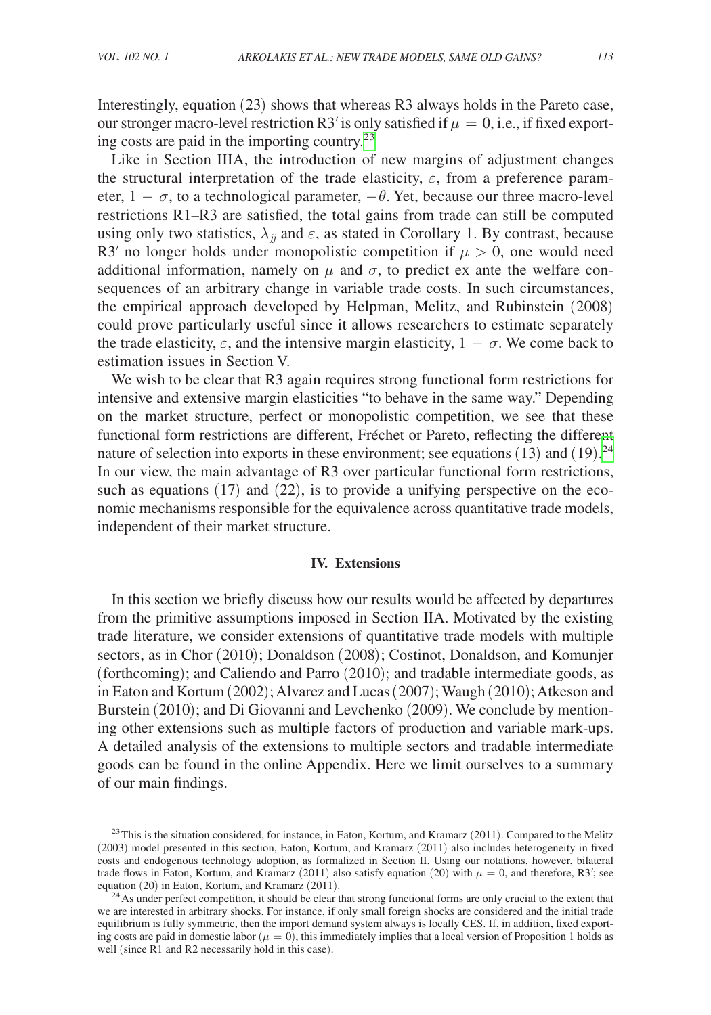<span id="page-19-0"></span>Interestingly, equation (23) shows that whereas R3 always holds in the Pareto case, our stronger macro-level restriction R3' is only satisfied if  $\mu = 0$ , i.e., if fixed exporting costs are paid in the importing country. $^{23}$  $^{23}$  $^{23}$ 

Like in Section IIIA, the introduction of new margins of adjustment changes the structural interpretation of the trade elasticity,  $\varepsilon$ , from a preference parameter,  $1 - \sigma$ , to a technological parameter,  $-\theta$ . Yet, because our three macro-level restrictions R1–R3 are satisfied, the total gains from trade can still be computed using only two statistics,  $\lambda_{ij}$  and  $\varepsilon$ , as stated in Corollary 1. By contrast, because R3' no longer holds under monopolistic competition if  $\mu > 0$ , one would need additional information, namely on  $\mu$  and  $\sigma$ , to predict ex ante the welfare consequences of an arbitrary change in variable trade costs. In such circumstances, the empirical approach developed by Helpman, Melitz, and Rubinstein (2008) could prove particularly useful since it allows researchers to estimate separately the trade elasticity,  $\varepsilon$ , and the intensive margin elasticity,  $1 - \sigma$ . We come back to estimation issues in Section V.

We wish to be clear that R3 again requires strong functional form restrictions for intensive and extensive margin elasticities "to behave in the same way." Depending on the market structure, perfect or monopolistic competition, we see that these functional form restrictions are different, Fréchet or Pareto, reflecting the different nature of selection into exports in these environment; see equations  $(13)$  and  $(19)$ .<sup>[24](#page-19-2)</sup> In our view, the main advantage of R3 over particular functional form restrictions, such as equations (17) and (22), is to provide a unifying perspective on the economic mechanisms responsible for the equivalence across quantitative trade models, independent of their market structure.

#### **IV. Extensions**

In this section we briefly discuss how our results would be affected by departures from the primitive assumptions imposed in Section IIA. Motivated by the existing trade literature, we consider extensions of quantitative trade models with multiple sectors, as in Chor (2010); Donaldson (2008); Costinot, Donaldson, and Komunjer (forthcoming); and Caliendo and Parro (2010); and tradable intermediate goods, as in Eaton and Kortum (2002); Alvarez and Lucas (2007); Waugh (2010); Atkeson and Burstein (2010); and Di Giovanni and Levchenko (2009). We conclude by mentioning other extensions such as multiple factors of production and variable mark-ups. A detailed analysis of the extensions to multiple sectors and tradable intermediate goods can be found in the online Appendix. Here we limit ourselves to a summary of our main findings.

<span id="page-19-1"></span> $^{23}$ This is the situation considered, for instance, in Eaton, Kortum, and Kramarz (2011). Compared to the Melitz (2003) model presented in this section, Eaton, Kortum, and Kramarz (2011) also includes heterogeneity in fixed costs and endogenous technology adoption, as formalized in Section II. Using our notations, however, bilateral trade flows in Eaton, Kortum, and Kramarz (2011) also satisfy equation (20) with  $\mu = 0$ , and therefore, R3'; see equation (20) in Eaton, Kortum, and Kramarz (2011).

<span id="page-19-2"></span><sup>&</sup>lt;sup>24</sup> As under perfect competition, it should be clear that strong functional forms are only crucial to the extent that we are interested in arbitrary shocks. For instance, if only small foreign shocks are considered and the initial trade equilibrium is fully symmetric, then the import demand system always is locally CES. If, in addition, fixed exporting costs are paid in domestic labor ( $\mu = 0$ ), this immediately implies that a local version of Proposition 1 holds as well (since R1 and R2 necessarily hold in this case).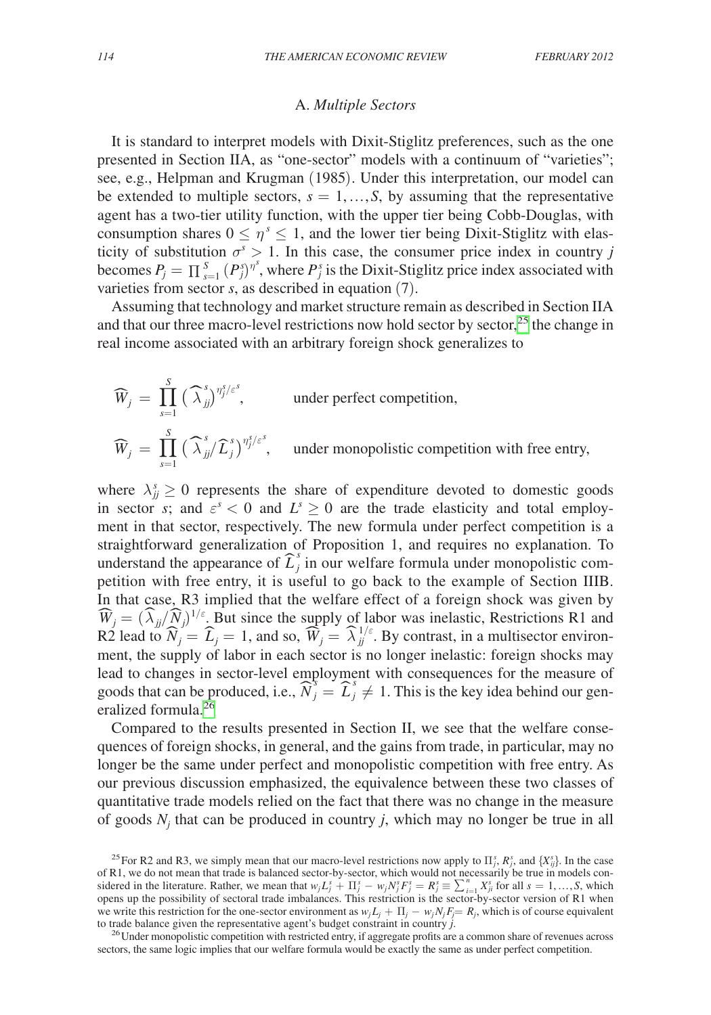#### A. *Multiple Sectors*

<span id="page-20-0"></span>It is standard to interpret models with Dixit-Stiglitz preferences, such as the one presented in Section IIA, as "one-sector" models with a continuum of "varieties"; see, e.g., Helpman and Krugman (1985). Under this interpretation, our model can be extended to multiple sectors,  $s = 1, \ldots, S$ , by assuming that the representative agent has a two-tier utility function, with the upper tier being Cobb-Douglas, with consumption shares  $0 \le \eta^s \le 1$ , and the lower tier being Dixit-Stiglitz with elasticity of substitution  $\sigma^s > 1$ . In this case, the consumer price index in country *j* becomes  $P_j = \prod_{s=1}^S (P_j^s)^{\eta^s}$ , where  $P_j^s$  is the Dixit-Stiglitz price index associated with varieties from sector *s*, as described in equation (7).

Assuming that technology and market structure remain as described in Section IIA and that our three macro-level restrictions now hold sector by sector,<sup>25</sup> the change in real income associated with an arbitrary foreign shock generalizes to

$$
\widehat{W}_j = \prod_{s=1}^S \left( \widehat{\lambda}_{jj}^s \right)^{\eta_j^s / \varepsilon^s}, \qquad \text{under perfect competition},
$$
  

$$
\widehat{W}_j = \prod_{s=1}^S \left( \widehat{\lambda}_{jj}^s / \widehat{L}_j^s \right)^{\eta_j^s / \varepsilon^s}, \qquad \text{under monopolistic competition with free entry},
$$

where  $\lambda_{jj}^s \geq 0$  represents the share of expenditure devoted to domestic goods in sector *s*; and  $\varepsilon^s < 0$  and  $L^s \ge 0$  are the trade elasticity and total employment in that sector, respectively. The new formula under perfect competition is a straightforward generalization of Proposition 1, and requires no explanation. To straightforward generalization of Proposition 1, and requires no explanation. To understand the appearance of  $\hat{L}_j^s$  in our welfare formula under monopolistic competition with free entry, it is useful to go back to the example of Section IIIB. In that case, R3 implied that the welfare effect of a foreign shock was given by In that case, R3 implied that the welfare effect of a foreign shock was given by  $\widehat{W}_j = (\widehat{\lambda}_{jj}/\widehat{N}_j)^{1/\epsilon}$ . But since the supply of labor was inelastic, Restrictions R1 and R2 lead to  $\widehat{N}_j = \widehat{L}_j = 1$ , and so, ment, the supply of labor in each sector is no longer inelastic: foreign shocks may lead to changes in sector-level employment with consequences for the measure of lead to changes in sector-level employees that can be produced, i.e.,  $\widehat{N}_j^s$ oyment with consequences for the measure of<br>=  $\hat{L}_j^s \neq 1$ . This is the key idea behind our generalized formula.<sup>26</sup>

Compared to the results presented in Section II, we see that the welfare consequences of foreign shocks, in general, and the gains from trade, in particular, may no longer be the same under perfect and monopolistic competition with free entry. As our previous discussion emphasized, the equivalence between these two classes of quantitative trade models relied on the fact that there was no change in the measure of goods  $N_j$  that can be produced in country  $j$ , which may no longer be true in all

<span id="page-20-1"></span><sup>&</sup>lt;sup>25</sup> For R2 and R3, we simply mean that our macro-level restrictions now apply to  $\Pi_j^s$ ,  $R_j^s$ , and  $\{X_{ij}^s\}$ . In the case of R1, we do not mean that trade is balanced sector-by-sector, which would not necessarily be true in models considered in the literature. Rather, we mean that  $w_j L_j^s + \Pi_j^s - w_j N_j^s F_j^s = R_j^s \equiv \sum_{i=1}^n X_{ij}^s$  for all  $s = 1, ..., S$ , which opens up the possibility of sectoral trade imbalances. This restriction is the sector-by-sector vers we write this restriction for the one-sector environment as  $w_j L_j + \Pi_j - w_j N_j F_j = R_j$ , which is of course equivalent to trade balance given the representative agent's budget constraint in country  $\hat{j}$ .<br><sup>26</sup>Under monopolistic competition with restricted entry, if aggregate profits are a common share of revenues across

<span id="page-20-2"></span>sectors, the same logic implies that our welfare formula would be exactly the same as under perfect competition.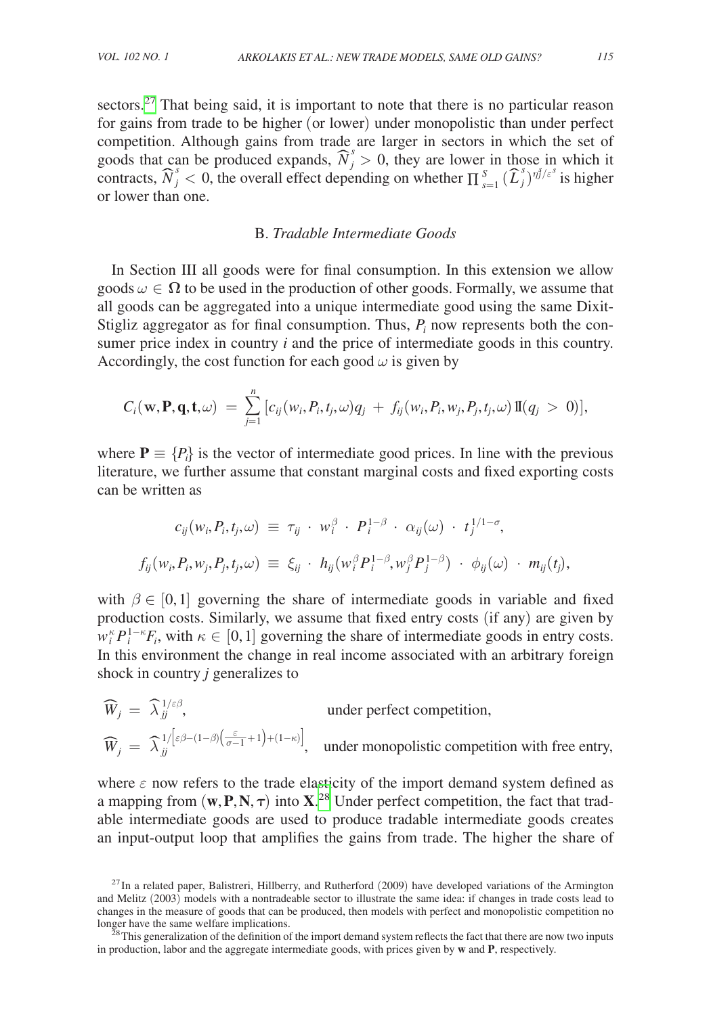<span id="page-21-0"></span>sectors.<sup>27</sup> That being said, it is important to note that there is no particular reason for gains from trade to be higher (or lower) under monopolistic than under perfect competition. Although gains from trade are larger in sectors in which the set of competition. Although gains from trade are larger in sectors in which the set of goods that can be produced expands,  $\widehat{N}_j^s > 0$ , they are lower in those in which it contracts,  $\widehat{N}_j^s < 0$ , the overall effect depend or lower than one.

#### B. *Tradable Intermediate Goods*

In Section III all goods were for final consumption. In this extension we allow goods  $\omega \in \Omega$  to be used in the production of other goods. Formally, we assume that all goods can be aggregated into a unique intermediate good using the same Dixit-Stigliz aggregator as for final consumption. Thus,  $P_i$  now represents both the consumer price index in country *i* and the price of intermediate goods in this country. Accordingly, the cost function for each good  $\omega$  is given by

$$
C_i(\mathbf{w},\mathbf{P},\mathbf{q},\mathbf{t},\omega) = \sum_{j=1}^n [c_{ij}(w_i,P_i,t_j,\omega)q_j + f_{ij}(w_i,P_i,w_j,P_j,t_j,\omega) \mathbb{I}(q_j > 0)],
$$

where  $P \equiv \{P_i\}$  is the vector of intermediate good prices. In line with the previous literature, we further assume that constant marginal costs and fixed exporting costs can be written as

$$
c_{ij}(w_i, P_i, t_j, \omega) \equiv \tau_{ij} \cdot w_i^{\beta} \cdot P_i^{1-\beta} \cdot \alpha_{ij}(\omega) \cdot t_j^{1/1-\sigma},
$$
  

$$
f_{ij}(w_i, P_i, w_j, P_j, t_j, \omega) \equiv \xi_{ij} \cdot h_{ij}(w_i^{\beta} P_i^{1-\beta}, w_j^{\beta} P_j^{1-\beta}) \cdot \phi_{ij}(\omega) \cdot m_{ij}(t_j),
$$

with  $\beta \in [0, 1]$  governing the share of intermediate goods in variable and fixed production costs. Similarly, we assume that fixed entry costs (if any) are given by  $w_i^k P_i^{1-k} F_i$ , with  $\kappa \in [0,1]$  governing the share of intermediate goods in entry costs. In this environment the change in real income associated with an arbitrary foreign

shock in country *j* generalizes to  
\n
$$
\widehat{W}_j = \widehat{\lambda}_{jj}^{1/\varepsilon\beta}, \qquad \text{under perfect competition,}
$$
\n
$$
\widehat{W}_j = \widehat{\lambda}_{jj}^{1/\varepsilon\beta - (1-\beta)\left(\frac{\varepsilon}{\sigma-1} + 1\right) + (1-\kappa)}, \quad \text{under monopolistic competition with free entry,}
$$

where  $\varepsilon$  now refers to the trade elasticity of the import demand system defined as a mapping from (**w**,**P**,**N**,**τ**) into **X**. [28](#page-21-2) Under perfect competition, the fact that tradable intermediate goods are used to produce tradable intermediate goods creates an input-output loop that amplifies the gains from trade. The higher the share of

<span id="page-21-1"></span> $^{27}$  In a related paper, Balistreri, Hillberry, and Rutherford (2009) have developed variations of the Armington and Melitz (2003) models with a nontradeable sector to illustrate the same idea: if changes in trade costs lead to changes in the measure of goods that can be produced, then models with perfect and monopolistic competition no longer have the same welfare implications.

<span id="page-21-2"></span> $^{28}$ This generalization of the definition of the import demand system reflects the fact that there are now two inputs in production, labor and the aggregate intermediate goods, with prices given by **w** and **P**, respectively.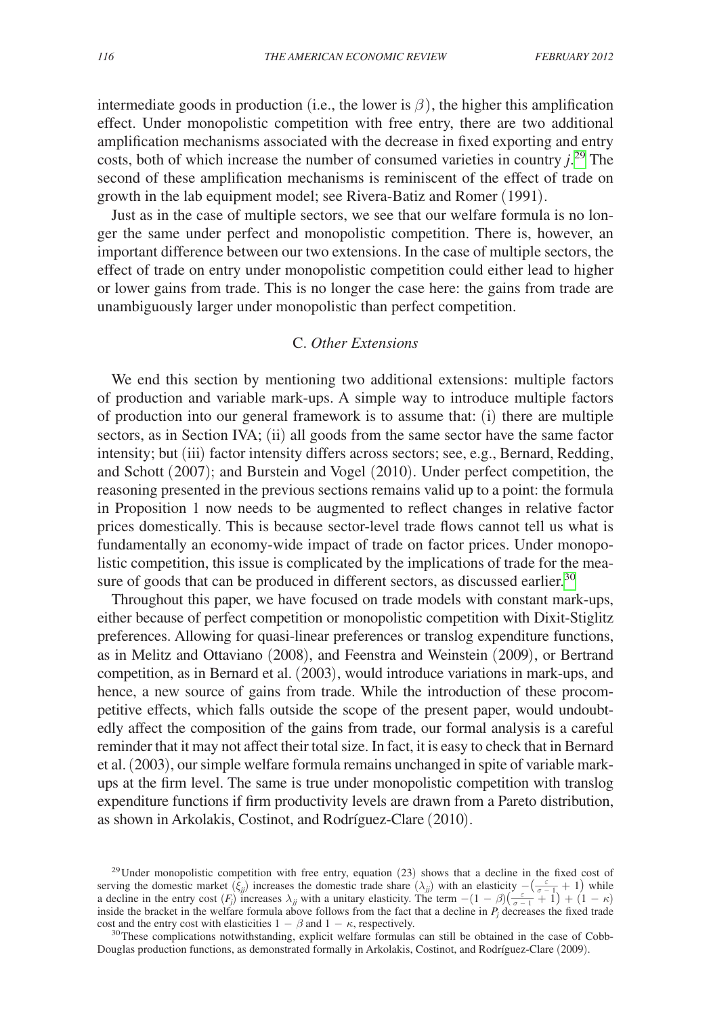<span id="page-22-0"></span>intermediate goods in production (i.e., the lower is  $\beta$ ), the higher this amplification effect. Under monopolistic competition with free entry, there are two additional amplification mechanisms associated with the decrease in fixed exporting and entry costs, both of which increase the number of consumed varieties in country *j*. [29](#page-22-1) The second of these amplification mechanisms is reminiscent of the effect of trade on growth in the lab equipment model; see Rivera-Batiz and Romer (1991).

Just as in the case of multiple sectors, we see that our welfare formula is no longer the same under perfect and monopolistic competition. There is, however, an important difference between our two extensions. In the case of multiple sectors, the effect of trade on entry under monopolistic competition could either lead to higher or lower gains from trade. This is no longer the case here: the gains from trade are unambiguously larger under monopolistic than perfect competition.

#### C. *Other Extensions*

We end this section by mentioning two additional extensions: multiple factors of production and variable mark-ups. A simple way to introduce multiple factors of production into our general framework is to assume that: (i) there are multiple sectors, as in Section IVA; (ii) all goods from the same sector have the same factor intensity; but (iii) factor intensity differs across sectors; see, e.g., Bernard, Redding, and Schott (2007); and Burstein and Vogel (2010). Under perfect competition, the reasoning presented in the previous sections remains valid up to a point: the formula in Proposition 1 now needs to be augmented to reflect changes in relative factor prices domestically. This is because sector-level trade flows cannot tell us what is fundamentally an economy-wide impact of trade on factor prices. Under monopolistic competition, this issue is complicated by the implications of trade for the mea-sure of goods that can be produced in different sectors, as discussed earlier.<sup>[30](#page-22-2)</sup>

Throughout this paper, we have focused on trade models with constant mark-ups, either because of perfect competition or monopolistic competition with Dixit-Stiglitz preferences. Allowing for quasi-linear preferences or translog expenditure functions, as in Melitz and Ottaviano (2008), and Feenstra and Weinstein (2009), or Bertrand competition, as in Bernard et al. (2003), would introduce variations in mark-ups, and hence, a new source of gains from trade. While the introduction of these procompetitive effects, which falls outside the scope of the present paper, would undoubtedly affect the composition of the gains from trade, our formal analysis is a careful reminder that it may not affect their total size. In fact, it is easy to check that in Bernard et al. (2003), our simple welfare formula remains unchanged in spite of variable markups at the firm level. The same is true under monopolistic competition with translog expenditure functions if firm productivity levels are drawn from a Pareto distribution, as shown in Arkolakis, Costinot, and Rodríguez-Clare (2010).

<span id="page-22-1"></span><sup>&</sup>lt;sup>29</sup>Under monopolistic competition with free entry, equation  $(23)$  shows that a decline in the fixed cost of <sup>29</sup> Under monopolistic competition with free entry, equation (23) shows that a decline in the fixed cost of serving the domestic market  $(\xi_{ij})$  increases the domestic trade share  $(\lambda_{ij})$  with an elasticity  $-(\frac{\varepsilon}{\sigma-1}$ inside the bracket in the welfare formula above follows from the fact that a decline in  $P_j$  decreases the fixed trade cost and the entry cost with elasticities  $1 - \beta$  and  $1 - \kappa$ , respectively.<br><sup>30</sup>These complications notwithstanding, explicit welfare formulas can still be obtained in the case of Cobb-

<span id="page-22-2"></span>Douglas production functions, as demonstrated formally in Arkolakis, Costinot, and Rodríguez-Clare (2009).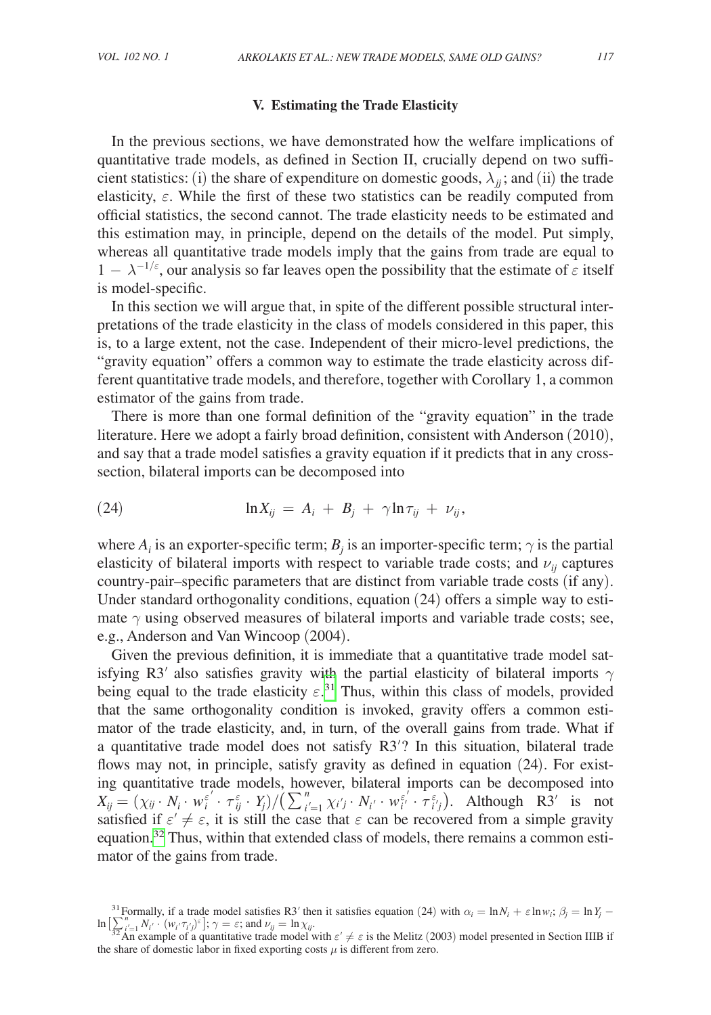#### **V. Estimating the Trade Elasticity**

<span id="page-23-0"></span>In the previous sections, we have demonstrated how the welfare implications of quantitative trade models, as defined in Section II, crucially depend on two sufficient statistics: (i) the share of expenditure on domestic goods,  $\lambda_{ij}$ ; and (ii) the trade elasticity,  $\varepsilon$ . While the first of these two statistics can be readily computed from official statistics, the second cannot. The trade elasticity needs to be estimated and this estimation may, in principle, depend on the details of the model. Put simply, whereas all quantitative trade models imply that the gains from trade are equal to  $1 - \lambda^{-1/\varepsilon}$ , our analysis so far leaves open the possibility that the estimate of  $\varepsilon$  itself is model-specific.

In this section we will argue that, in spite of the different possible structural interpretations of the trade elasticity in the class of models considered in this paper, this is, to a large extent, not the case. Independent of their micro-level predictions, the "gravity equation" offers a common way to estimate the trade elasticity across different quantitative trade models, and therefore, together with Corollary 1, a common estimator of the gains from trade.

There is more than one formal definition of the "gravity equation" in the trade literature. Here we adopt a fairly broad definition, consistent with Anderson (2010), and say that a trade model satisfies a gravity equation if it predicts that in any crosssection, bilateral imports can be decomposed into

(24) 
$$
\ln X_{ij} = A_i + B_j + \gamma \ln \tau_{ij} + \nu_{ij},
$$

where  $A_i$  is an exporter-specific term;  $B_j$  is an importer-specific term;  $\gamma$  is the partial elasticity of bilateral imports with respect to variable trade costs; and  $\nu_{ii}$  captures country-pair–specific parameters that are distinct from variable trade costs (if any). Under standard orthogonality conditions, equation (24) offers a simple way to estimate  $\gamma$  using observed measures of bilateral imports and variable trade costs; see, e.g., Anderson and Van Wincoop (2004).

Given the previous definition, it is immediate that a quantitative trade model satisfying R3<sup>'</sup> also satisfies gravity with the partial elasticity of bilateral imports  $\gamma$ being equal to the trade elasticity  $\varepsilon^{31}$  Thus, within this class of models, provided that the same orthogonality condition is invoked, gravity offers a common estimator of the trade elasticity, and, in turn, of the overall gains from trade. What if a quantitative trade model does not satisfy R3′? In this situation, bilateral trade flows may not, in principle, satisfy gravity as defined in equation (24). For existing quantitative trade models, however, bilateral imports can be decomposed into  $X_{ij} = (\chi_{ij} \cdot N_i \cdot w_i^{\epsilon'} \cdot \tau_{ij}^{\epsilon} \cdot Y_j)/(\sum_{i'=1}^n \chi_{i'j} \cdot N_{i'} \cdot w_{i'}^{\epsilon'} \cdot \tau_{i'j}^{\epsilon})$ . Although R3' is not satisfied if  $\varepsilon' \neq \varepsilon$ , it is still the case that  $\varepsilon$  can be recovered from a simple gravity equation.<sup>32</sup> Thus, within that extended class of models, there remains a common estimator of the gains from trade.

<span id="page-23-1"></span><sup>&</sup>lt;sup>31</sup> Formally, if a trade model satisfies R3′ then it satisfies equation (24) with  $\alpha_i = \ln N_i + \varepsilon \ln w_i$ ;  $\beta_i = \ln Y_i$  – In  $\left[\sum_{3i'=1}^{n} N_{i'} \cdot (w_{i'} \tau_{i'})^2\right]$ ;  $\gamma = \varepsilon$ ; and  $\nu_{ij} = \ln \chi_{ij}$ .<br> $\lambda_{32} = \frac{\varepsilon}{2}$ . An example of a quantitative trade model with  $\varepsilon' \neq \varepsilon$  is the Melitz (2003) model presented in Section IIIB if

<span id="page-23-2"></span>the share of domestic labor in fixed exporting costs  $\mu$  is different from zero.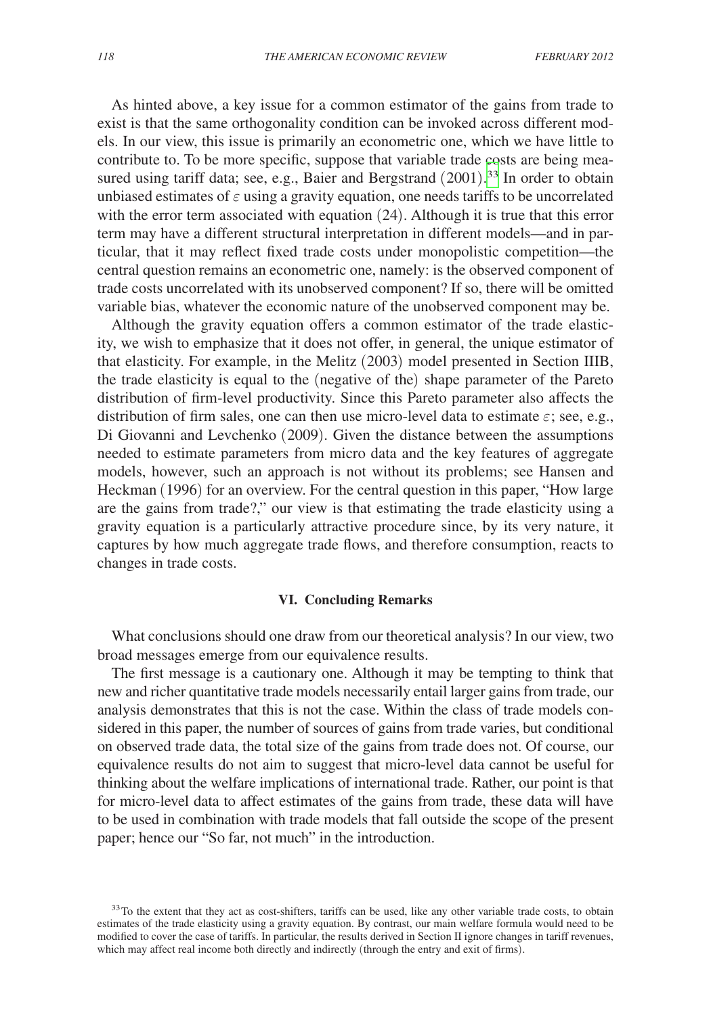<span id="page-24-0"></span>As hinted above, a key issue for a common estimator of the gains from trade to exist is that the same orthogonality condition can be invoked across different models. In our view, this issue is primarily an econometric one, which we have little to contribute to. To be more specific, suppose that variable trade costs are being measured using tariff data; see, e.g., Baier and Bergstrand  $(2001)$ .<sup>[33](#page-24-1)</sup> In order to obtain unbiased estimates of  $\varepsilon$  using a gravity equation, one needs tariffs to be uncorrelated with the error term associated with equation (24). Although it is true that this error term may have a different structural interpretation in different models—and in particular, that it may reflect fixed trade costs under monopolistic competition—the central question remains an econometric one, namely: is the observed component of trade costs uncorrelated with its unobserved component? If so, there will be omitted variable bias, whatever the economic nature of the unobserved component may be.

Although the gravity equation offers a common estimator of the trade elasticity, we wish to emphasize that it does not offer, in general, the unique estimator of that elasticity. For example, in the Melitz (2003) model presented in Section IIIB, the trade elasticity is equal to the (negative of the) shape parameter of the Pareto distribution of firm-level productivity. Since this Pareto parameter also affects the distribution of firm sales, one can then use micro-level data to estimate  $\varepsilon$ ; see, e.g., Di Giovanni and Levchenko (2009). Given the distance between the assumptions needed to estimate parameters from micro data and the key features of aggregate models, however, such an approach is not without its problems; see Hansen and Heckman (1996) for an overview. For the central question in this paper, "How large are the gains from trade?," our view is that estimating the trade elasticity using a gravity equation is a particularly attractive procedure since, by its very nature, it captures by how much aggregate trade flows, and therefore consumption, reacts to changes in trade costs.

#### **VI. Concluding Remarks**

What conclusions should one draw from our theoretical analysis? In our view, two broad messages emerge from our equivalence results.

The first message is a cautionary one. Although it may be tempting to think that new and richer quantitative trade models necessarily entail larger gains from trade, our analysis demonstrates that this is not the case. Within the class of trade models considered in this paper, the number of sources of gains from trade varies, but conditional on observed trade data, the total size of the gains from trade does not. Of course, our equivalence results do not aim to suggest that micro-level data cannot be useful for thinking about the welfare implications of international trade. Rather, our point is that for micro-level data to affect estimates of the gains from trade, these data will have to be used in combination with trade models that fall outside the scope of the present paper; hence our "So far, not much" in the introduction.

<span id="page-24-1"></span><sup>&</sup>lt;sup>33</sup>To the extent that they act as cost-shifters, tariffs can be used, like any other variable trade costs, to obtain estimates of the trade elasticity using a gravity equation. By contrast, our main welfare formula would need to be modified to cover the case of tariffs. In particular, the results derived in Section II ignore changes in tariff revenues, which may affect real income both directly and indirectly (through the entry and exit of firms).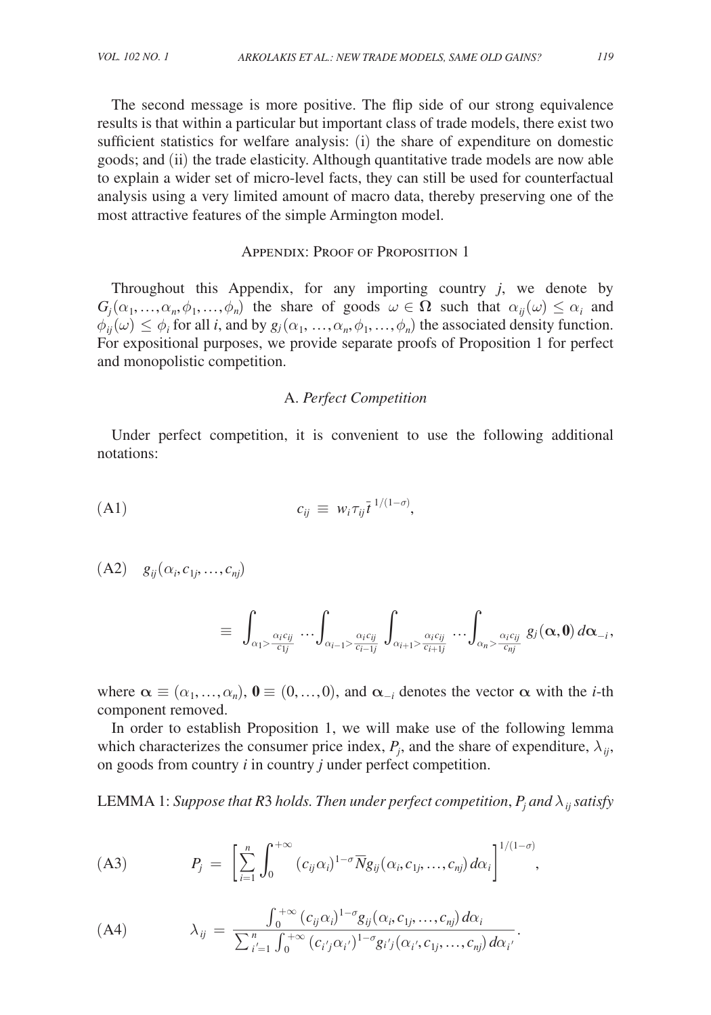<span id="page-25-0"></span>The second message is more positive. The flip side of our strong equivalence results is that within a particular but important class of trade models, there exist two sufficient statistics for welfare analysis: (i) the share of expenditure on domestic goods; and (ii) the trade elasticity. Although quantitative trade models are now able to explain a wider set of micro-level facts, they can still be used for counterfactual analysis using a very limited amount of macro data, thereby preserving one of the most attractive features of the simple Armington model.

#### Appendix: Proof of Proposition 1

Throughout this Appendix, for any importing country *j*, we denote by  $G_j(\alpha_1,\ldots,\alpha_n,\phi_1,\ldots,\phi_n)$  the share of goods  $\omega \in \Omega$  such that  $\alpha_{ij}(\omega) \leq \alpha_i$  and  $\phi_{ij}(\omega) \leq \phi_i$  for all *i*, and by  $g_j(\alpha_1, ..., \alpha_n, \phi_1, ..., \phi_n)$  the associated density function. For expositional purposes, we provide separate proofs of Proposition 1 for perfect and monopolistic competition.

#### A. *Perfect Competition*

Under perfect competition, it is convenient to use the following additional notations:

$$
c_{ij} \equiv w_i \tau_{ij} \bar{t}^{1/(1-\sigma)},
$$

$$
(A2) \t g_{ij}(\alpha_i, c_{1j}, \ldots, c_{nj})
$$

$$
\equiv \int_{\alpha_1 > \frac{\alpha_i c_{ij}}{c_{1j}}} \ldots \int_{\alpha_{i-1} > \frac{\alpha_i c_{ij}}{c_{i-1j}}} \int_{\alpha_{i+1} > \frac{\alpha_i c_{ij}}{c_{i+1j}}} \ldots \int_{\alpha_n > \frac{\alpha_i c_{ij}}{c_{nj}}} g_j(\alpha, \mathbf{0}) d\alpha_{-i},
$$

where  $\alpha \equiv (\alpha_1, ..., \alpha_n)$ ,  $\mathbf{0} \equiv (0, ..., 0)$ , and  $\alpha_{-i}$  denotes the vector  $\alpha$  with the *i*-th component removed.

In order to establish Proposition 1, we will make use of the following lemma which characterizes the consumer price index,  $P_j$ , and the share of expenditure,  $\lambda_{ij}$ , on goods from country *i* in country *j* under perfect competition.

LEMMA 1: Suppose that R3 holds. Then under perfect competition,  $P_j$  and  $\lambda_{ij}$  satisfy

(A3) 
$$
P_j = \left[ \sum_{i=1}^n \int_0^{+\infty} (c_{ij} \alpha_i)^{1-\sigma} \overline{N} g_{ij}(\alpha_i, c_{1j}, \dots, c_{nj}) d\alpha_i \right]^{1/(1-\sigma)},
$$

(A3)  
\n
$$
P_j = \left[ \sum_{i=1}^r \int_0^{r} (c_{ij} \alpha_i)^{1-\sigma} N g_{ij}(\alpha_i, c_{1j}, \dots, c_{nj}) d\alpha_i \right]
$$
\n(A4)  
\n
$$
\lambda_{ij} = \frac{\int_0^{r} (\alpha_i, c_{ij} \alpha_i)^{1-\sigma} g_{ij}(\alpha_i, c_{1j}, \dots, c_{nj}) d\alpha_i}{\sum_{i'=1}^n \int_0^{r} (\alpha_i, c_{i'} \alpha_{i'})^{1-\sigma} g_{i'j}(\alpha_{i'}, c_{1j}, \dots, c_{nj}) d\alpha_{i'}}.
$$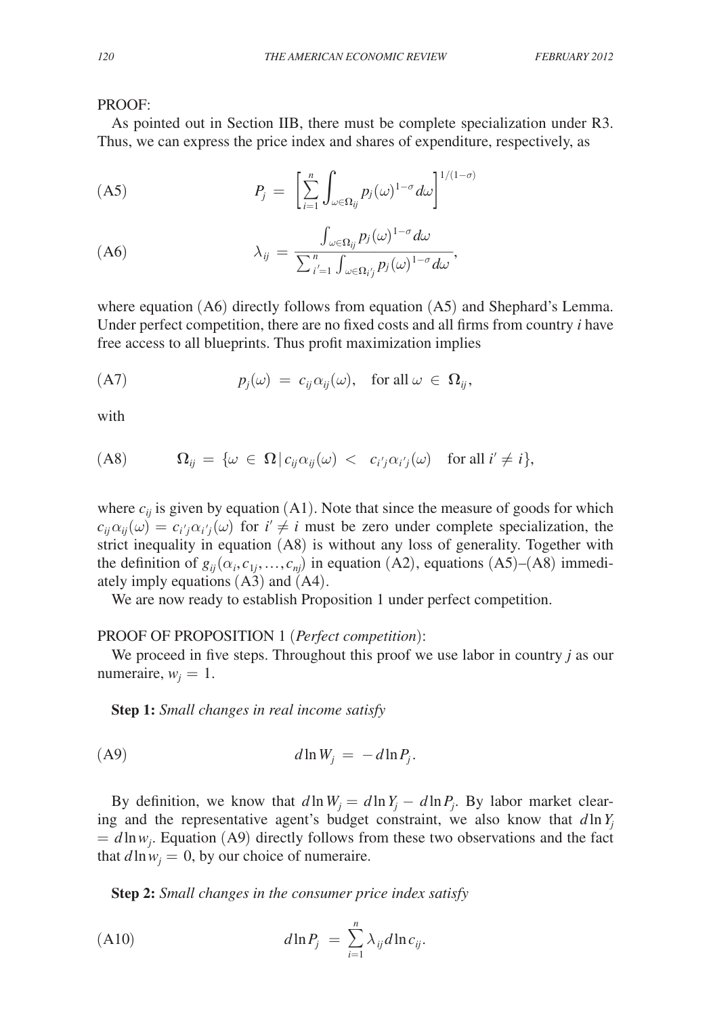PROOF:

As pointed out in Section IIB, there must be complete specialization under R3. Thus, we can express the price index and shares of expenditure, respectively, as

(A5)  
\n
$$
P_{j} = \left[ \sum_{i=1}^{n} \int_{\omega \in \Omega_{ij}} p_{j}(\omega)^{1-\sigma} d\omega \right]^{1/(1-\sigma)}
$$
\n
$$
\lambda_{ij} = \frac{\int_{\omega \in \Omega_{ij}} p_{j}(\omega)^{1-\sigma} d\omega}{\sum_{i'=1}^{n} \int_{\omega \in \Omega_{i'j}} p_{j}(\omega)^{1-\sigma} d\omega},
$$

(A6) 
$$
\lambda_{ij} = \frac{\int_{\omega \in \Omega_{ij}} p_j(\omega)^{1-\sigma} d\omega}{\sum_{i'=1}^n \int_{\omega \in \Omega_{i'j}} p_j(\omega)^{1-\sigma} d\omega},
$$

where equation (A6) directly follows from equation (A5) and Shephard's Lemma. Under perfect competition, there are no fixed costs and all firms from country *i* have free access to all blueprints. Thus profit maximization implies

$$
(A7) \t\t\t p_j(\omega) = c_{ij}\alpha_{ij}(\omega), \t\t for all  $\omega \in \Omega_{ij}$ ,
$$

with

$$
\text{(A8)} \qquad \qquad \Omega_{ij} = \{ \omega \in \Omega \, | \, c_{ij} \alpha_{ij}(\omega) < c_{i'j} \alpha_{i'j}(\omega) \quad \text{for all } i' \neq i \},
$$

where  $c_{ij}$  is given by equation (A1). Note that since the measure of goods for which  $c_{ij}\alpha_{ij}(\omega) = c_{i'j}\alpha_{i'j}(\omega)$  for  $i' \neq i$  must be zero under complete specialization, the strict inequality in equation (A8) is without any loss of generality. Together with the definition of  $g_{ij}(\alpha_i, c_{1j},..., c_{nj})$  in equation (A2), equations (A5)–(A8) immediately imply equations (A3) and (A4).

We are now ready to establish Proposition 1 under perfect competition.

#### Proof of Proposition 1 (*Perfect competition*):

We proceed in five steps. Throughout this proof we use labor in country *j* as our numeraire,  $w_i = 1$ .

**Step 1:** *Small changes in real income satisfy*

$$
(A9) \t\t dln W_j = -dln P_j.
$$

By definition, we know that  $d \ln W_i = d \ln Y_i - d \ln P_i$ . By labor market clearing and the representative agent's budget constraint, we also know that  $d \ln Y_i$  $=$  *d* ln  $w_i$ . Equation (A9) directly follows from these two observations and the fact that  $d \ln w_i = 0$ , by our choice of numeraire.

**Step 2:** *Small changes in the consumer price index satisfy*

$$
d\ln P_j = \sum_{i=1}^n \lambda_{ij} d\ln c_{ij}.
$$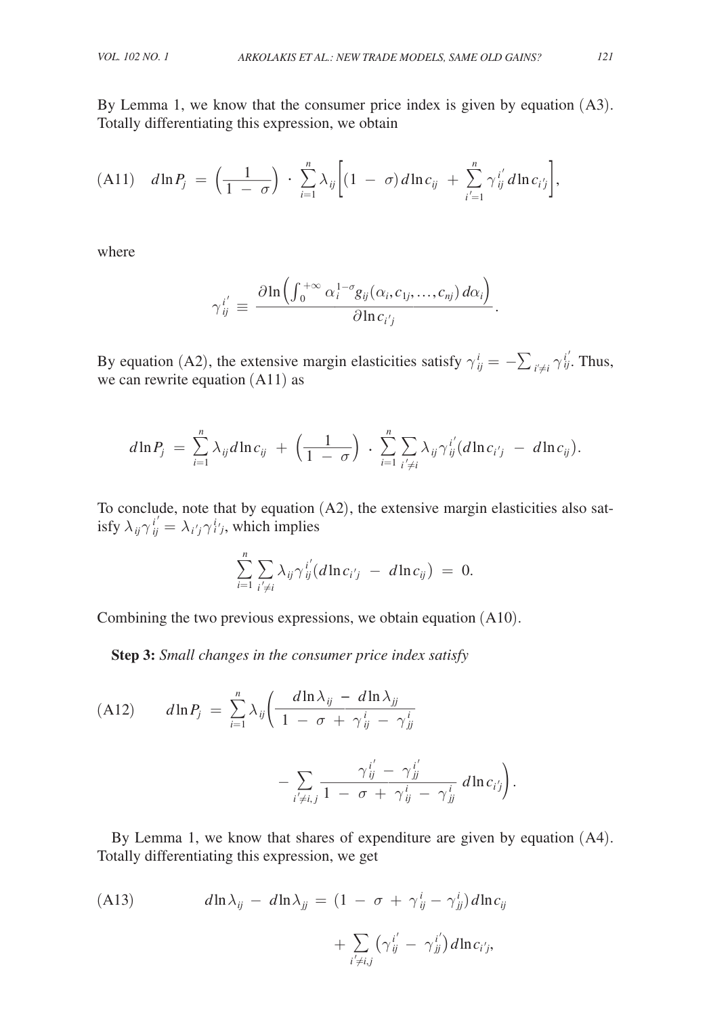By Lemma 1, we know that the consumer price index is given by equation (A3). Totally differentiating this expression, we obtain

(A11) 
$$
d\ln P_j = \left(\frac{1}{1-\sigma}\right) \cdot \sum_{i=1}^n \lambda_{ij} \bigg[ (1-\sigma) d\ln c_{ij} + \sum_{i'=1}^n \gamma_{ij}^{i'} d\ln c_{i'j} \bigg],
$$

where

where  
\n
$$
\gamma_{ij}^{i'} \equiv \frac{\partial \ln \left( \int_0^{+\infty} \alpha_i^{1-\sigma} g_{ij}(\alpha_i, c_{1j}, ..., c_{nj}) d\alpha_i \right)}{\partial \ln c_{i'j}}.
$$

.

By equation (A2), the extensive margin elasticities satisfy  $\gamma_{ij}^i = -\sum_{i' \neq i} \gamma_{ij}^{i'}$ . Thus, we can rewrite equation (A11) as

$$
d\ln P_j = \sum_{i=1}^n \lambda_{ij} d\ln c_{ij} + \left(\frac{1}{1-\sigma}\right) \cdot \sum_{i=1}^n \sum_{i'\neq i} \lambda_{ij} \gamma_{ij}^{i'}(d\ln c_{i'j} - d\ln c_{ij}).
$$

To conclude, note that by equation (A2), the extensive margin elasticities also satisfy  $\lambda_{ij} \gamma_{ij}^{i'} = \lambda_{i'j} \gamma_{i'j}^{i}$ , which implies

$$
\sum_{i=1}^n\sum_{i'\neq i}\lambda_{ij}\gamma_{ij}^{i'}(d\ln c_{i'j}\;-\;d\ln c_{ij})\;=\;0.
$$

Combining the two previous expressions, we obtain equation (A10).

**Step 3:** Small changes in the consumer price index satisfy  
(A12) 
$$
d\ln P_j = \sum_{i=1}^n \lambda_{ij} \left( \frac{d\ln \lambda_{ij} - d\ln \lambda_{jj}}{1 - \sigma + \gamma_{ij}^i - \gamma_{jj}^i} \right)
$$

$$
\gamma_{ij}^{i} \left( 1 - \sigma + \gamma_{ij}^{i} - \gamma_{jj}^{i} \right)
$$

$$
- \sum_{i' \neq i,j} \frac{\gamma_{ij}^{i'} - \gamma_{jj}^{i'}}{1 - \sigma + \gamma_{ij}^{i} - \gamma_{jj}^{i}} d\ln c_{i'j} \bigg).
$$

By Lemma 1, we know that shares of expenditure are given by equation (A4). Totally differentiating this expression, we get

(A13) 
$$
d\ln \lambda_{ij} - d\ln \lambda_{jj} = (1 - \sigma + \gamma_{ij}^{i} - \gamma_{jj}^{i})d\ln c_{ij} + \sum_{i' \neq i,j} (\gamma_{ij}^{i'} - \gamma_{jj}^{i'})d\ln c_{i'j},
$$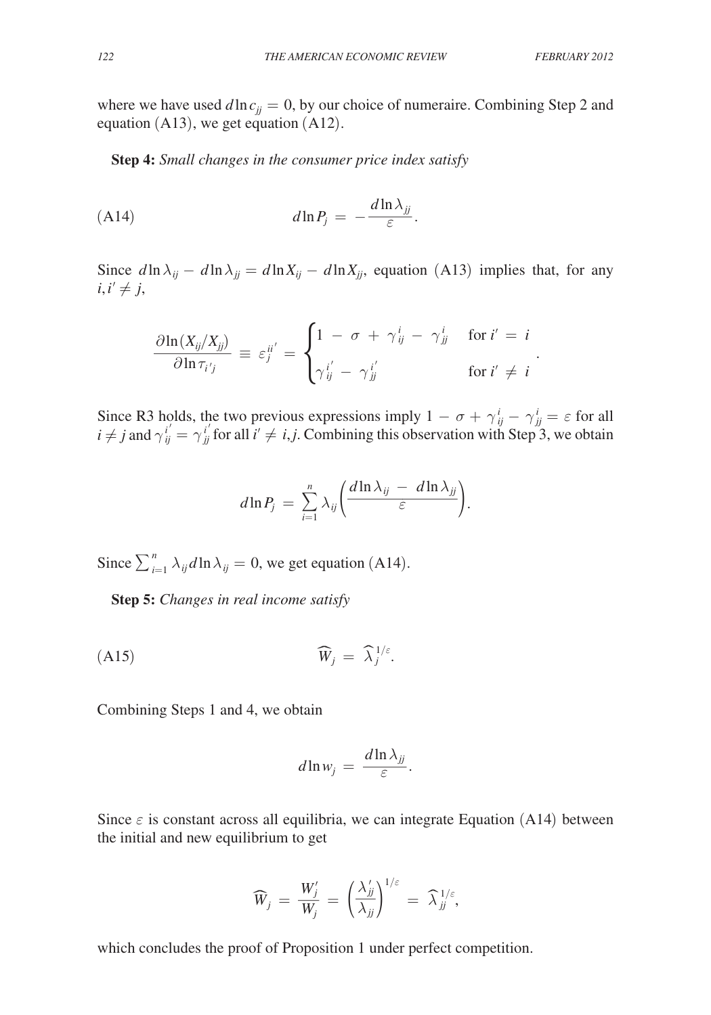where we have used  $d \ln c_{ij} = 0$ , by our choice of numeraire. Combining Step 2 and equation (A13), we get equation (A12).

**Step 4:** *Small changes in the consumer price index satisfy*

(A14) 
$$
d\ln P_j = -\frac{d\ln\lambda_{jj}}{\varepsilon}.
$$

Since  $d \ln \lambda_{ij} - d \ln \lambda_{ji} = d \ln X_{ij} - d \ln X_{ji}$ , equation (A13) implies that, for any  $i, i' \neq j$ ,

1 − σ + γ *ij <sup>i</sup>* − γ *jj <sup>i</sup>* for *i*′ = *i* <sup>∂</sup>ln(*Xij*/*Xjj*) \_ ∂ln <sup>τ</sup>*<sup>i</sup>*′*<sup>j</sup>* ≡ ε*<sup>j</sup> ii*′ <sup>=</sup> { . γ *ij <sup>i</sup>*′ − γ *jj <sup>i</sup>*′ for *i*′ ≠ *i*

Since R3 holds, the two previous expressions imply  $1 - \sigma + \gamma_{ij}^i - \gamma_{jj}^i = \varepsilon$  for all  $i \neq j$  and  $\gamma_{ij}^{i'} = \gamma_{jj}^{i'}$  for all  $i' \neq i, j$ . Combining this observation with Step 3, we obtain

$$
d\ln P_j = \sum_{i=1}^n \lambda_{ij} \bigg( \frac{d\ln \lambda_{ij} - d\ln \lambda_{jj}}{\varepsilon} \bigg).
$$

Since  $\sum_{i=1}^{n} \lambda_{ij} d \ln \lambda_{ij} = 0$ , we get equation (A14).

**Step 5:** *Changes in real income satisfy*

$$
\widehat{W}_j = \widehat{\lambda}_j^{1/\varepsilon}.
$$

Combining Steps 1 and 4, we obtain

$$
d\ln w_j = \frac{d\ln\lambda_{jj}}{\varepsilon}.
$$

Since  $\varepsilon$  is constant across all equilibria, we can integrate Equation (A14) between the initial and new equilibrium to get

$$
\widehat W_j \,=\, \frac{W_j'}{W_j} \,=\, \Big(\frac{\lambda_{jj}'}{\lambda_{jj}}\Big)^{1/\varepsilon} \,=\, \,\widehat\lambda_{jj}^{\,1/\varepsilon},
$$

which concludes the proof of Proposition 1 under perfect competition.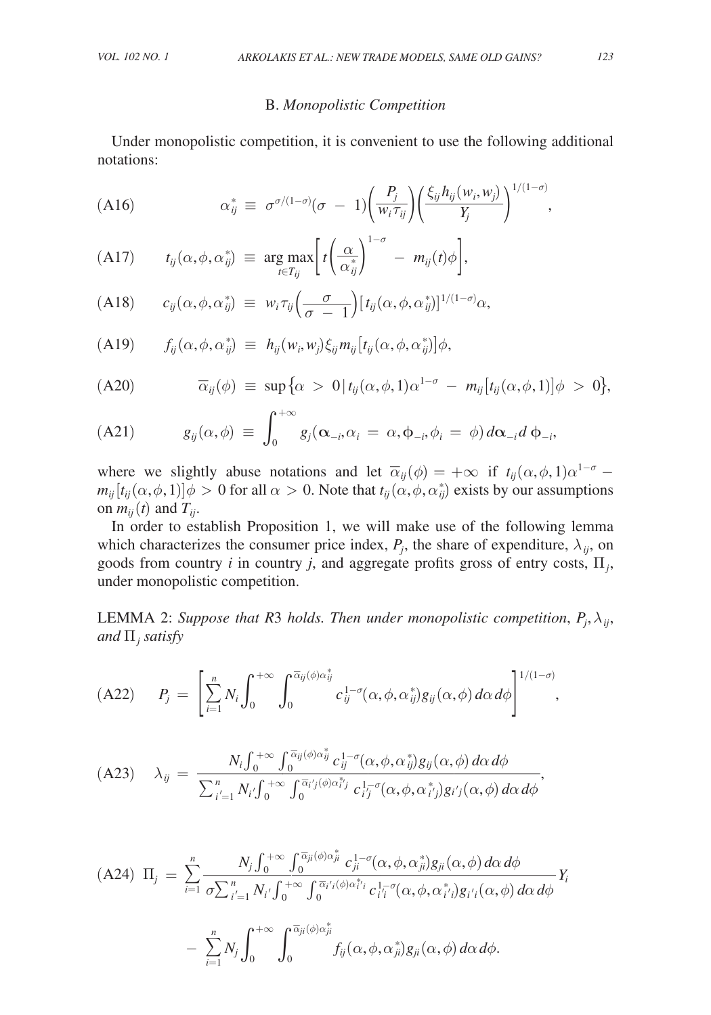#### B. *Monopolistic Competition*

notations:

<span id="page-29-0"></span>Under monopolistic competition, it is convenient to use the following additional  
notations:  
\n
$$
\alpha_{ij}^* \equiv \sigma^{\sigma/(1-\sigma)}(\sigma - 1) \left( \frac{P_j}{w_i \tau_{ij}} \right) \left( \frac{\xi_{ij} h_{ij}(w_i, w_j)}{Y_j} \right)^{1/(1-\sigma)},
$$
\n
$$
(117) \qquad (118) \qquad (119) \qquad (119) \qquad (119) \qquad (119) \qquad (119) \qquad (110) \qquad (110) \qquad (110) \qquad (110) \qquad (110) \qquad (111) \qquad (111) \qquad (111) \qquad (111) \qquad (111) \qquad (112) \qquad (112) \qquad (112) \qquad (113) \qquad (113) \qquad (113) \qquad (113) \qquad (113) \qquad (113) \qquad (113) \qquad (113) \qquad (113) \qquad (113) \qquad (113) \qquad (113) \qquad (113) \qquad (113) \qquad (113) \qquad (113) \qquad (113) \qquad (113) \qquad (113) \qquad (113) \qquad (113) \qquad (113) \qquad (113) \qquad (113) \qquad (113) \qquad (113) \qquad (113) \qquad (113) \qquad (113) \qquad (113) \qquad (113) \qquad (113) \qquad (113) \qquad (113) \qquad (113) \qquad (113) \qquad (113) \qquad (113) \qquad (113) \qquad (113) \qquad (113) \qquad (113) \qquad (113) \qquad (113) \qquad (113) \qquad (113) \qquad (113) \qquad (113) \qquad (113) \qquad (113) \qquad (113) \qquad (113) \qquad (113) \qquad (113) \qquad (113) \qquad (113) \qquad (113) \qquad (113) \qquad (113) \qquad (113) \qquad (113) \qquad (1
$$

(A17) 
$$
t_{ij}(\alpha, \phi, \alpha_{ij}^*) \equiv \arg \max_{t \in T_{ij}} \left[ t \left( \frac{\alpha}{\alpha_{ij}^*} \right)^{1-\sigma} - m_{ij}(t) \phi \right],
$$

(A17) 
$$
t_{ij}(\alpha, \phi, \alpha_{ij}) \equiv \arg \max_{t \in T_{ij}} \left[ t \left( \frac{\overline{\alpha}_{ij}}{\alpha_{ij}} \right) - m_{ij}(t) \phi \right],
$$
  
(A18) 
$$
c_{ij}(\alpha, \phi, \alpha_{ij}^*) \equiv w_i \tau_{ij} \left( \frac{\sigma}{\sigma - 1} \right) [t_{ij}(\alpha, \phi, \alpha_{ij}^*)]^{1/(1-\sigma)} \alpha,
$$

(A19) 
$$
f_{ij}(\alpha, \phi, \alpha_{ij}^*) \equiv h_{ij}(w_i, w_j) \xi_{ij} m_{ij} [t_{ij}(\alpha, \phi, \alpha_{ij}^*)] \phi,
$$

(A20) 
$$
\overline{\alpha}_{ij}(\phi) \equiv \sup \{ \alpha > 0 \mid t_{ij}(\alpha, \phi, 1) \alpha^{1-\sigma} - m_{ij} [t_{ij}(\alpha, \phi, 1)] \phi > 0 \},
$$

(A21) 
$$
g_{ij}(\alpha,\phi) \equiv \int_0^{+\infty} g_j(\alpha_{-i},\alpha_i = \alpha,\phi_{-i},\phi_i = \phi) d\alpha_{-i} d\phi_{-i},
$$

where we slightly abuse notations and let  $\overline{\alpha}_{ij}(\phi) = +\infty$  if  $t_{ij}(\alpha, \phi, 1)\alpha^{1-\sigma}$  $m_{ij}[t_{ij}(\alpha,\phi,1)]\phi > 0$  for all  $\alpha > 0$ . Note that  $t_{ij}(\alpha,\phi,\alpha_{ij}^*)$  exists by our assumptions on  $m_{ii}(t)$  and  $T_{ii}$ .

In order to establish Proposition 1, we will make use of the following lemma which characterizes the consumer price index,  $P_j$ , the share of expenditure,  $\lambda_{ij}$ , on goods from country *i* in country *j*, and aggregate profits gross of entry costs,  $\Pi_i$ , under monopolistic competition.

**LEMMA** 2: *Suppose that R3 holds. Then under monopolistic competition,*  $P_i, \lambda_i$ *and* Π*<sup>j</sup> satisfy*

(A22) 
$$
P_j = \left[\sum_{i=1}^n N_i \int_0^{+\infty} \int_0^{\overline{\alpha}_{ij}(\phi)\alpha_{ij}^*} c_{ij}^{1-\sigma}(\alpha,\phi,\alpha_{ij}^*) g_{ij}(\alpha,\phi) d\alpha d\phi\right]^{1/(1-\sigma)},
$$

(A22) 
$$
P_j = \left[ \sum_{i=1}^N N_i \int_0^{\infty} \int_0^{\infty} c_{ij}^{1-\sigma}(\alpha, \phi, \alpha_{ij}^*) g_{ij}(\alpha, \phi) d\alpha d\phi \right]
$$
  
(A23) 
$$
\lambda_{ij} = \frac{N_i \int_0^{+\infty} \int_0^{\overline{\alpha}_{ij}(\phi)\alpha_{ij}^*} c_{ij}^{1-\sigma}(\alpha, \phi, \alpha_{ij}^*) g_{ij}(\alpha, \phi) d\alpha d\phi}{\sum_{i'=1}^n N_i \int_0^{+\infty} \int_0^{\overline{\alpha}_{i'}(\phi)\alpha_{i'}^*} c_{i'j}^{1-\sigma}(\alpha, \phi, \alpha_{i'j}^*) g_{i'j}(\alpha, \phi) d\alpha d\phi},
$$

$$
\sum_{i'=1}^{n} N_{i'} \int_{0}^{+\infty} \int_{0}^{\alpha_{i}} J_{i}(\varphi) \alpha_{i}^{*} \int_{0}^{1-\sigma} (\alpha, \phi, \alpha_{i}^{*}) g_{i'}(\alpha, \phi) d\alpha d\phi
$$
\n(A24) 
$$
\Pi_{j} = \sum_{i=1}^{n} \frac{N_{j} \int_{0}^{+\infty} \int_{0}^{\overline{\alpha}_{ji}(\phi) \alpha_{ji}^{*}} c_{ji}^{1-\sigma}(\alpha, \phi, \alpha_{ji}) g_{ji}(\alpha, \phi) d\alpha d\phi}{\sigma \sum_{i'=1}^{n} N_{i'} \int_{0}^{+\infty} \int_{0}^{\overline{\alpha}_{i'}(\phi) \alpha_{i'}^{*} \int_{0}^{1-\sigma} (\alpha, \phi, \alpha_{i'}^{*}) g_{i'}(\alpha, \phi) d\alpha d\phi} Y_{i'} - \sum_{i=1}^{n} N_{j} \int_{0}^{+\infty} \int_{0}^{\overline{\alpha}_{ji}(\phi) \alpha_{ji}^{*}} f_{ij}(\alpha, \phi, \alpha_{ji}^{*}) g_{ji}(\alpha, \phi) d\alpha d\phi.
$$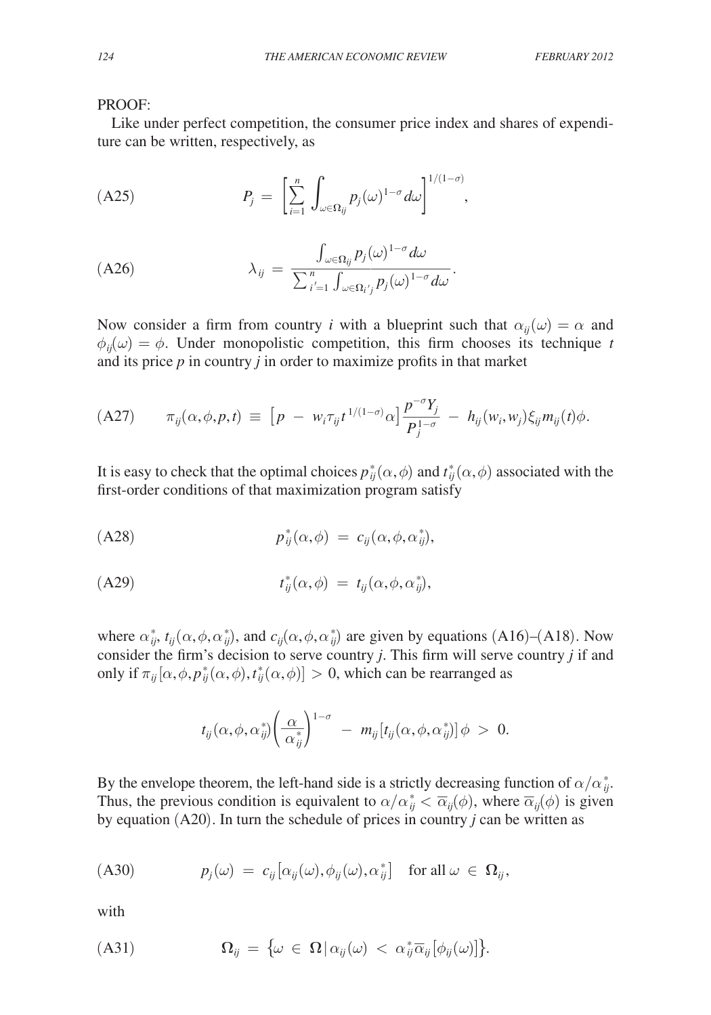#### PROOF:

Like under perfect competition, the consumer price index and shares of expenditure can be written, respectively, as

(A25) 
$$
P_j = \left[ \sum_{i=1}^n \int_{\omega \in \Omega_{ij}} p_j(\omega)^{1-\sigma} d\omega \right]^{1/(1-\sigma)},
$$

(A25)  
\n
$$
P_{j} = \left[ \sum_{i=1} \int_{\omega \in \Omega_{ij}} p_{j}(\omega)^{1-\sigma} d\omega \right]
$$
\n(A26)  
\n
$$
\lambda_{ij} = \frac{\int_{\omega \in \Omega_{ij}} p_{j}(\omega)^{1-\sigma} d\omega}{\sum_{i'=1}^{n} \int_{\omega \in \Omega_{i'j}} p_{j}(\omega)^{1-\sigma} d\omega}.
$$

Now consider a firm from country *i* with a blueprint such that  $\alpha_{ii}(\omega) = \alpha$  and  $\phi_{ii}(\omega) = \phi$ . Under monopolistic competition, this firm chooses its technique *t* and its price *p* in country *j* in order to maximize profits in that market

(A27) 
$$
\pi_{ij}(\alpha,\phi,p,t) \equiv [p - w_i \tau_{ij} t^{1/(1-\sigma)} \alpha] \frac{p^{-\sigma} Y_j}{P_j^{1-\sigma}} - h_{ij}(w_i, w_j) \xi_{ij} m_{ij}(t) \phi.
$$

It is easy to check that the optimal choices  $p_{ij}^*(\alpha, \phi)$  and  $t_{ij}^*(\alpha, \phi)$  associated with the first-order conditions of that maximization program satisfy

$$
(A28) \t\t\t p_{ij}^*(\alpha,\phi) = c_{ij}(\alpha,\phi,\alpha_{ij}^*),
$$

$$
(A29) \t t_{ij}^*(\alpha,\phi) = t_{ij}(\alpha,\phi,\alpha_{ij}^*),
$$

where  $\alpha_{ij}^*$ ,  $t_{ij}(\alpha, \phi, \alpha_{ij}^*)$ , and  $c_{ij}(\alpha, \phi, \alpha_{ij}^*)$  are given by equations (A16)–(A18). Now consider the firm's decision to serve country *j*. This firm will serve country *j* if and only if  $\pi_{ij}[\alpha, \phi, p_{ij}^*(\alpha, \phi), t_{ij}^*(\alpha, \phi)] > 0$ , which can be rearranged as

$$
t_{ij}(\alpha,\phi,\alpha_{ij}^*)\left(\frac{\alpha}{\alpha_{ij}^*}\right)^{1-\sigma} - m_{ij}[t_{ij}(\alpha,\phi,\alpha_{ij}^*)]\phi > 0.
$$

By the envelope theorem, the left-hand side is a strictly decreasing function of  $\alpha/\alpha_{ij}^*$ . Thus, the previous condition is equivalent to  $\alpha/\alpha_{ij}^* < \overline{\alpha}_{ij}(\phi)$ , where  $\overline{\alpha}_{ij}(\phi)$  is given by equation (A20). In turn the schedule of prices in country *j* can be written as

$$
(A30) \t\t p_j(\omega) = c_{ij} [\alpha_{ij}(\omega), \phi_{ij}(\omega), \alpha_{ij}^*] \t\t \text{for all } \omega \in \Omega_{ij},
$$

with

(A31) 
$$
\Omega_{ij} = \{ \omega \in \Omega \, | \, \alpha_{ij}(\omega) < \alpha_{ij}^* \overline{\alpha}_{ij} [\phi_{ij}(\omega)] \}.
$$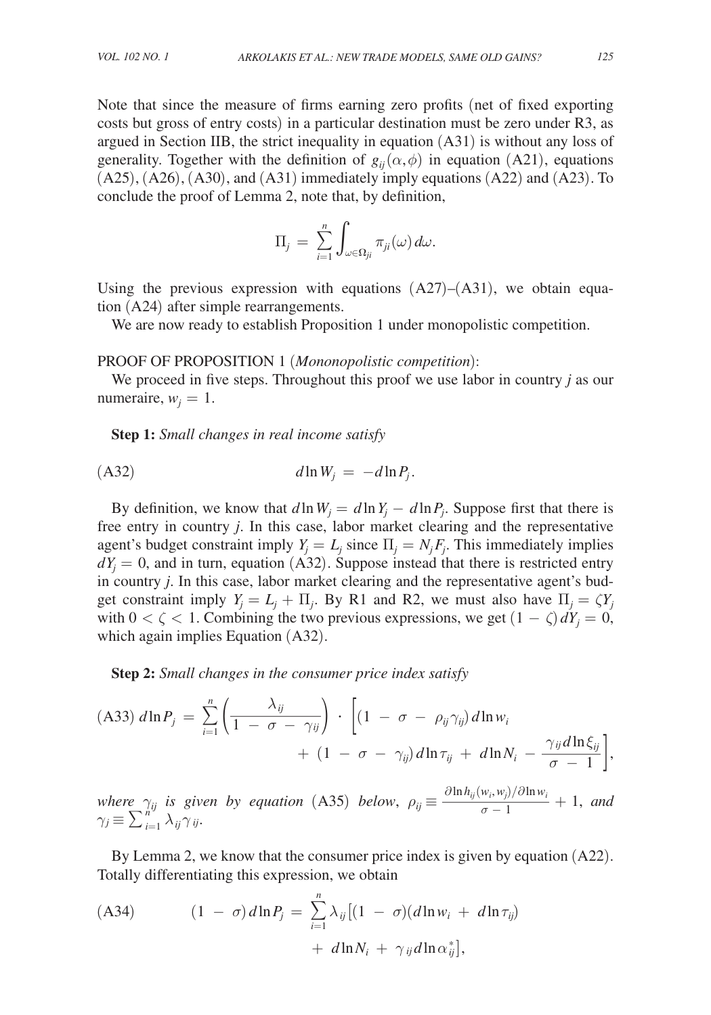Note that since the measure of firms earning zero profits (net of fixed exporting costs but gross of entry costs) in a particular destination must be zero under R3, as argued in Section IIB, the strict inequality in equation (A31) is without any loss of generality. Together with the definition of  $g_{ii}(\alpha, \phi)$  in equation (A21), equations (A25), (A26), (A30), and (A31) immediately imply equations (A22) and (A23). To conclude the proof of Lemma 2, note that, by definition,

$$
\Pi_j \,=\, \sum_{i=1}^n \int_{\omega \in \Omega_{ji}} \pi_{ji}(\omega) \, d\omega.
$$

Using the previous expression with equations  $(A27)–(A31)$ , we obtain equation (A24) after simple rearrangements.

We are now ready to establish Proposition 1 under monopolistic competition.

#### Proof of Proposition 1 (*Mononopolistic competition*):

We proceed in five steps. Throughout this proof we use labor in country *j* as our numeraire,  $w_i = 1$ .

**Step 1:** *Small changes in real income satisfy*

$$
(A32) \t\t\t\t\t\t\t d\ln W_j = -d\ln P_j.
$$

By definition, we know that  $d \ln W_i = d \ln Y_i - d \ln P_i$ . Suppose first that there is free entry in country *j*. In this case, labor market clearing and the representative agent's budget constraint imply  $Y_j = L_j$  since  $\Pi_j = N_j F_j$ . This immediately implies  $dY_i = 0$ , and in turn, equation (A32). Suppose instead that there is restricted entry in country *j*. In this case, labor market clearing and the representative agent's budget constraint imply  $Y_j = L_j + \Pi_j$ . By R1 and R2, we must also have  $\Pi_j = \zeta Y_j$ with  $0 < \zeta < 1$ . Combining the two previous expressions, we get  $(1 - \zeta) dY_i = 0$ , which again implies Equation  $(A32)$ .

**Step 2:** *Small changes in the consumer price index satisfy*

which again implies Equation (A32).  
\n**Step 2:** Small changes in the consumer price index satisfy  
\n(A33) 
$$
d\ln P_j = \sum_{i=1}^n \left( \frac{\lambda_{ij}}{1 - \sigma - \gamma_{ij}} \right) \cdot \left[ (1 - \sigma - \rho_{ij}\gamma_{ij}) d\ln w_i + (1 - \sigma - \gamma_{ij}) d\ln \tau_{ij} + d\ln N_i - \frac{\gamma_{ij} d\ln \xi_{ij}}{\sigma - 1} \right],
$$
  
\nwhere  $\gamma_{ij}$  is given by equation (A35) below,  $\rho_{ij} \equiv \frac{\partial \ln h_{ij}(w_i, w_j)/\partial \ln w_i}{\sigma - 1} + 1$ , and  
\n $\gamma_j \equiv \sum_{i=1}^{n_j} \lambda_{ij} \gamma_{ij}$ .

*where*  $\gamma_{ij}$  *is given by equation* (A35) *below,*  $\rho_{ij} \equiv \frac{\partial \ln h_{ij}(w_i, w_j)}{\sigma - \sigma_i}$ 

By Lemma 2, we know that the consumer price index is given by equation (A22). Totally differentiating this expression, we obtain

(A34) 
$$
(1 - \sigma) d\ln P_j = \sum_{i=1}^n \lambda_{ij} [(1 - \sigma)(d\ln w_i + d\ln \tau_{ij}) + d\ln N_i + \gamma_{ij} d\ln \alpha_{ij}^*],
$$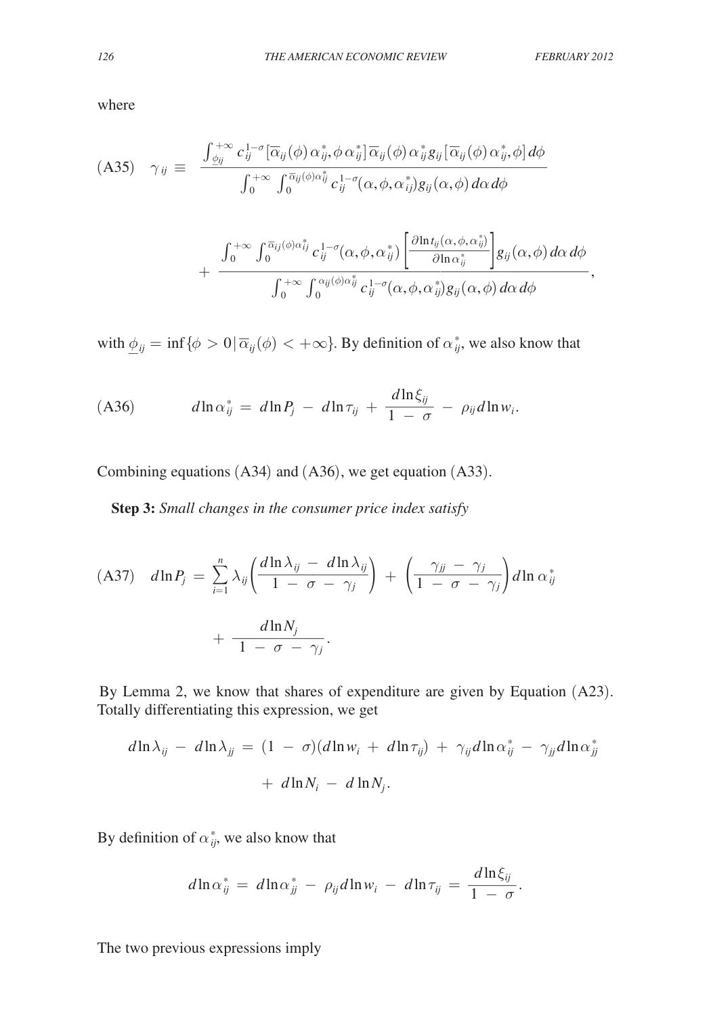where

where  
\n(A35) 
$$
\gamma_{ij} \equiv \frac{\int_{\phi_{ij}}^{+\infty} c_{ij}^{1-\sigma} [\overline{\alpha}_{ij}(\phi) \alpha_{ij}^*, \phi \alpha_{ij}^*] \overline{\alpha}_{ij}(\phi) \alpha_{ij}^* g_{ij} [\overline{\alpha}_{ij}(\phi) \alpha_{ij}^*, \phi] d\phi}{\int_{0}^{+\infty} \int_{0}^{\overline{\alpha}_{ij}(\phi) \alpha_{ij}^*} c_{ij}^{1-\sigma}(\alpha, \phi, \alpha_{ij}^*) g_{ij}(\alpha, \phi) d\alpha d\phi} + \frac{\int_{0}^{+\infty} \int_{0}^{\overline{\alpha}_{ij}(\phi) \alpha_{ij}^*} c_{ij}^{1-\sigma}(\alpha, \phi, \alpha_{ij}^*) \left[ \frac{\partial \ln t_{ij}(\alpha, \phi, \alpha_{ij}^*)}{\partial \ln \alpha_{ij}^*} \right] g_{ij}(\alpha, \phi) d\alpha d\phi}{\int_{0}^{+\infty} \int_{0}^{\alpha_{ij}(\phi) \alpha_{ij}^*} c_{ij}^{1-\sigma}(\alpha, \phi, \alpha_{ij}^*) g_{ij}(\alpha, \phi) d\alpha d\phi},
$$

with  $\underline{\phi}_{ij} = \inf \{ \phi > 0 \, | \, \overline{\alpha}_{ij}(\phi) < +\infty \}$ . By definition of  $\alpha_{ij}^*$ , we also know that

(A36) 
$$
d\ln \alpha_{ij}^* = d\ln P_j - d\ln \tau_{ij} + \frac{d\ln \xi_{ij}}{1 - \sigma} - \rho_{ij} d\ln w_i.
$$

Combining equations (A34) and (A36), we get equation (A33).

**Step 3:** *Small changes in the consumer price index satisfy*

**Step 3:** Small changes in the consumer price index satisfy  
\n(A37) 
$$
d\ln P_j = \sum_{i=1}^n \lambda_{ij} \left( \frac{d\ln \lambda_{ij} - d\ln \lambda_{ij}}{1 - \sigma - \gamma_j} \right) + \left( \frac{\gamma_{jj} - \gamma_j}{1 - \sigma - \gamma_j} \right) d\ln \alpha_{ij}^*
$$
\n
$$
+ \frac{d\ln N_j}{1 - \sigma - \gamma_j}.
$$

By Lemma 2, we know that shares of expenditure are given by Equation (A23). Totally differentiating this expression, we get

$$
d\ln\lambda_{ij} - d\ln\lambda_{jj} = (1 - \sigma)(d\ln w_i + d\ln\tau_{ij}) + \gamma_{ij}d\ln\alpha_{ij}^* - \gamma_{jj}d\ln\alpha_{jj}^*
$$

$$
+ d\ln N_i - d\ln N_j.
$$

By definition of  $\alpha_{ij}^*$ , we also know that

of 
$$
\alpha_{ij}
$$
, we also know that  
\n
$$
d\ln \alpha_{ij}^* = d\ln \alpha_{jj}^* - \rho_{ij} d\ln w_i - d\ln \tau_{ij} = \frac{d\ln \xi_{ij}}{1 - \sigma}.
$$

The two previous expressions imply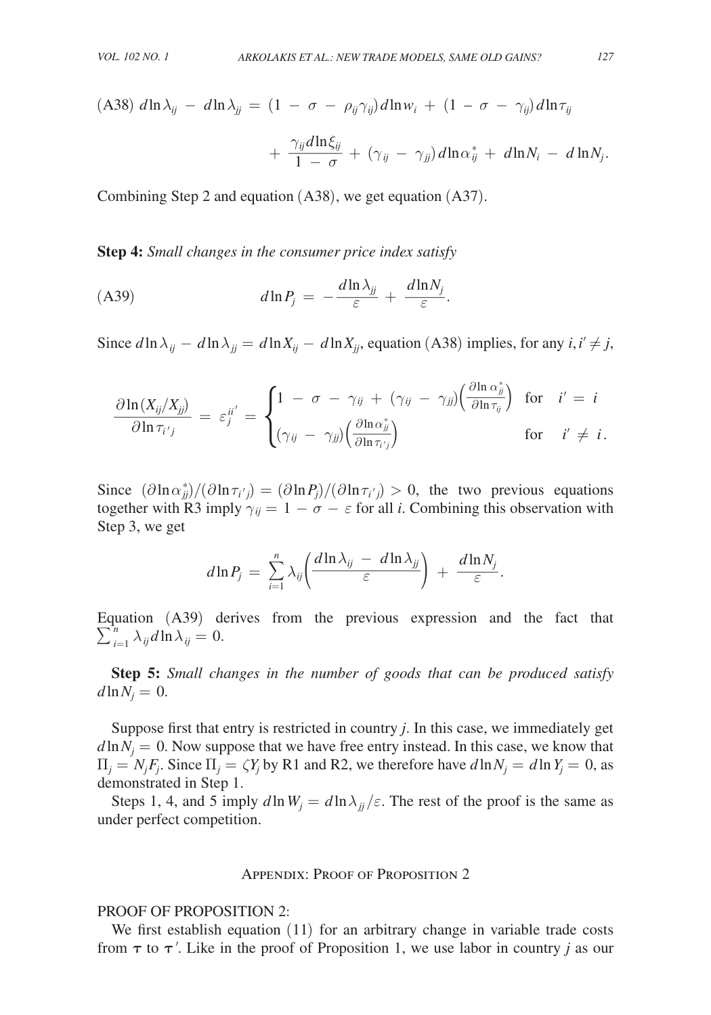<span id="page-33-0"></span>(A38) 
$$
d\ln \lambda_{ij} - d\ln \lambda_{jj} = (1 - \sigma - \rho_{ij}\gamma_{ij})d\ln w_i + (1 - \sigma - \gamma_{ij})d\ln \tau_{ij}
$$
  
 
$$
+ \frac{\gamma_{ij}d\ln \xi_{ij}}{1 - \sigma} + (\gamma_{ij} - \gamma_{jj})d\ln \alpha_{ij}^* + d\ln N_i - d\ln N_j.
$$

Combining Step 2 and equation (A38), we get equation (A37).

**Step 4:** *Small changes in the consumer price index satisfy*

(A39) 
$$
d\ln P_j = -\frac{d\ln \lambda_{jj}}{\varepsilon} + \frac{d\ln N_j}{\varepsilon}.
$$

Since 
$$
d \ln \lambda_{ij} - d \ln \lambda_{jj} = d \ln X_{ij} - d \ln X_{jj}
$$
, equation (A38) implies, for any  $i, i' \neq j$ ,  

$$
\frac{\partial \ln(X_{ij}/X_{jj})}{\partial \ln \tau_{i'j}} = \varepsilon_j^{ii'} = \begin{cases} 1 - \sigma - \gamma_{ij} + (\gamma_{ij} - \gamma_{jj})(\frac{\partial \ln \alpha_{jj}^*}{\partial \ln \tau_{ij}}) & \text{for} \quad i' = i \\ (\gamma_{ij} - \gamma_{jj})(\frac{\partial \ln \alpha_{jj}^*}{\partial \ln \tau_{i'j}}) & \text{for} \quad i' \neq i. \end{cases}
$$

Since  $(\partial \ln \alpha_{jj}^*)/(\partial \ln \tau_{i'j}) = (\partial \ln P_j)/(\partial \ln \tau_{i'j}) > 0$ , the two previous equations together with R3 imply  $\gamma_{ij} = 1 - \sigma - \varepsilon$  for all *i*. Combining this observation with Step 3, we get

$$
d\ln P_j = \sum_{i=1}^n \lambda_{ij} \left( \frac{d\ln \lambda_{ij} - d\ln \lambda_{jj}}{\varepsilon} \right) + \frac{d\ln N_j}{\varepsilon}.
$$

Equation (A39) derives from the previous expression and the fact that  $\sum_{i=1}^{n} \lambda_{ij} d\ln \lambda_{ij} = 0.$ 

**Step 5:** *Small changes in the number of goods that can be produced satisfy*  $d \ln N_i = 0$ .

Suppose first that entry is restricted in country *j*. In this case, we immediately get  $d \ln N_i = 0$ . Now suppose that we have free entry instead. In this case, we know that  $\Pi_j = N_j F_j$ . Since  $\Pi_j = \zeta Y_j$  by R1 and R2, we therefore have  $d \ln N_j = d \ln Y_j = 0$ , as demonstrated in Step 1.

Steps 1, 4, and 5 imply  $d\ln W_j = d\ln \lambda_{jj}/\varepsilon$ . The rest of the proof is the same as under perfect competition.

#### APPENDIX: PROOF OF PROPOSITION 2

#### PROOF OF PROPOSITION 2:

We first establish equation (11) for an arbitrary change in variable trade costs from **τ** to **τ**′. Like in the proof of Proposition 1, we use labor in country *j* as our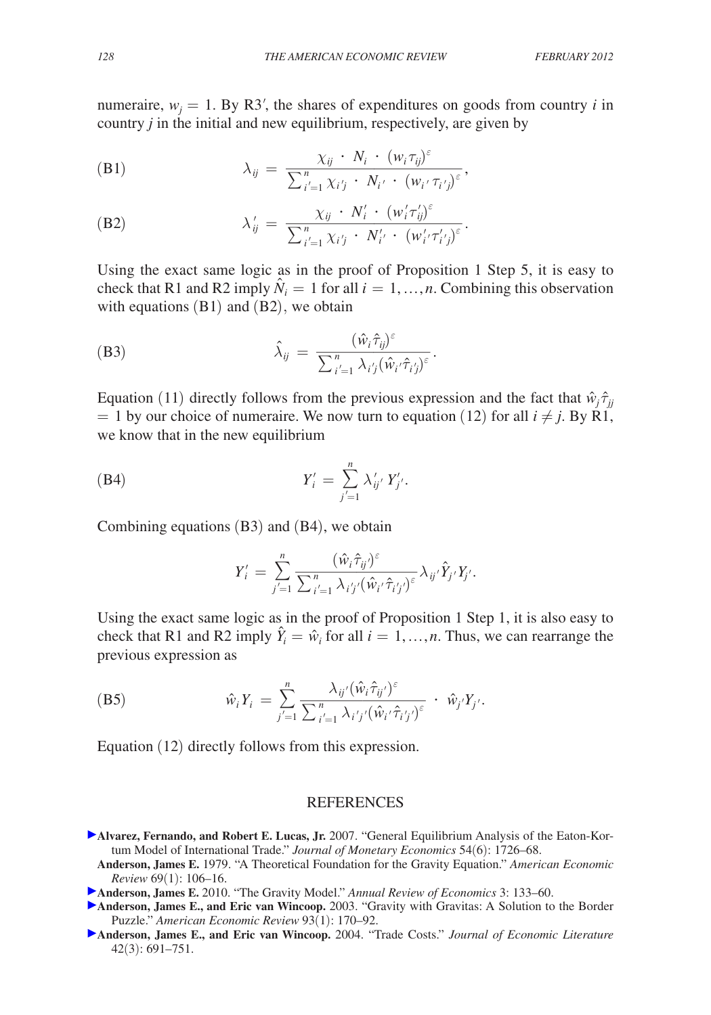numeraire,  $w_j = 1$ . By R3', the shares of expenditures on goods from country *i* in country *j* in the initial and new equilibrium, respectively, are given by

<span id="page-34-0"></span>numeraire, 
$$
w_j = 1
$$
. By R3', the shares of expenditures on g  
\ncontry *j* in the initial and new equilibrium, respectively, are  
\n(B1) 
$$
\lambda_{ij} = \frac{\chi_{ij} \cdot N_i \cdot (w_i \tau_{ij})^{\varepsilon}}{\sum_{i'=1}^{n} \chi_{i'j} \cdot N_{i'} \cdot (w_{i'} \tau_{i'j})^{\varepsilon}},
$$
\n(B2) 
$$
\lambda'_{ii} = \frac{\chi_{ij} \cdot N'_i \cdot (w'_i \tau'_{ij})^{\varepsilon}}{\lambda'_{ii}}.
$$

(B1)  
\n
$$
\lambda_{ij} = \frac{\chi_{ij} \cdot N_i \cdot (w_i \tau_{ij})^{\varepsilon}}{\sum_{i'=1}^n \chi_{i'j} \cdot N_{i'} \cdot (w_{i'} \tau_{i'j})^{\varepsilon}},
$$
\n(B2)  
\n
$$
\lambda'_{ij} = \frac{\chi_{ij} \cdot N'_i \cdot (w'_i \tau'_{ij})^{\varepsilon}}{\sum_{i'=1}^n \chi_{i'j} \cdot N'_{i'} \cdot (w'_{i'} \tau'_{i'j})^{\varepsilon}}.
$$
\nUsing the exact same logic as in the proof of Proposition

Using the exact same logic as in the proof of Proposition 1 Step 5, it is easy to check that R1 and R2 imply  $\hat{N}_i = 1$  for all  $i = 1, ..., n$ . Combining this observation with equations  $(B1)$  and  $(B2)$ , we obtain

with equations (B1) and (B2), we obtain  
\n(B3) 
$$
\hat{\lambda}_{ij} = \frac{(\hat{w}_i \hat{\tau}_{ij})^{\varepsilon}}{\sum_{i'=1}^n \lambda_{i'j} (\hat{w}_{i'} \hat{\tau}_{i'j})^{\varepsilon}}.
$$

Equation (11) directly follows from the previous expression and the fact that  $\hat{w}_j \hat{\tau}_{jj}$  $= 1$  by our choice of numeraire. We now turn to equation (12) for all  $i \neq j$ . By R1, we know that in the new equilibrium

(B4) 
$$
Y'_{i} = \sum_{j'=1}^{n} \lambda'_{ij'} Y'_{j'}.
$$

Combining equations (B3) and (B4), we obtain

Combining equations (B3) and (B4), we obtain  
\n
$$
Y'_{i} = \sum_{j'=1}^{n} \frac{(\hat{w}_{i}\hat{\tau}_{ij})^{\varepsilon}}{\sum_{i'=1}^{n} \lambda_{i'j'}(\hat{w}_{i'}\hat{\tau}_{i'j'})^{\varepsilon}} \lambda_{ij'} \hat{Y}_{j'} Y_{j'}.
$$

Using the exact same logic as in the proof of Proposition 1 Step 1, it is also easy to check that R1 and R2 imply  $\hat{Y}_i = \hat{w}_i$  for all  $i = 1, ..., n$ . Thus, we can rearrange the previous expression as

$$
\begin{aligned}\n\text{check that K1 and K2 imply } Y_i &= W_i \text{ for all } i = 1, \dots, n. \text{ Thus,} \\
\text{previous expression as} \\
\text{(B5)} \qquad \hat{w}_i Y_i &= \sum_{j'=1}^n \frac{\lambda_{ij'} (\hat{w}_i \hat{\tau}_{ij'})^\varepsilon}{\sum_{i'=1}^n \lambda_{i'j'} (\hat{w}_{i'} \hat{\tau}_{i'j'})^\varepsilon} \cdot \hat{w}_{j'} Y_{j'}.\n\end{aligned}
$$

Equation (12) directly follows from this expression.

#### **REFERENCES**

- **Alvarez, Fernando, and Robert E. Lucas, Jr.** 2007. "General Equilibrium Analysis of the Eaton-Kortum Model of International Trade." *Journal of Monetary Economics* 54(6): 1726–68.
	- **Anderson, James E.** 1979. "A Theoretical Foundation for the Gravity Equation." *American Economic Review* 69(1): 106–16.
- **Anderson, James E.** 2010. "The Gravity Model." *Annual Review of Economics* 3: 133–60.
- **Anderson, James E., and Eric van Wincoop.** 2003. "Gravity with Gravitas: A Solution to the Border Puzzle." *American Economic Review* 93(1): 170–92.
- **Anderson, James E., and Eric van Wincoop.** 2004. "Trade Costs." *Journal of Economic Literature* 42(3): 691–751.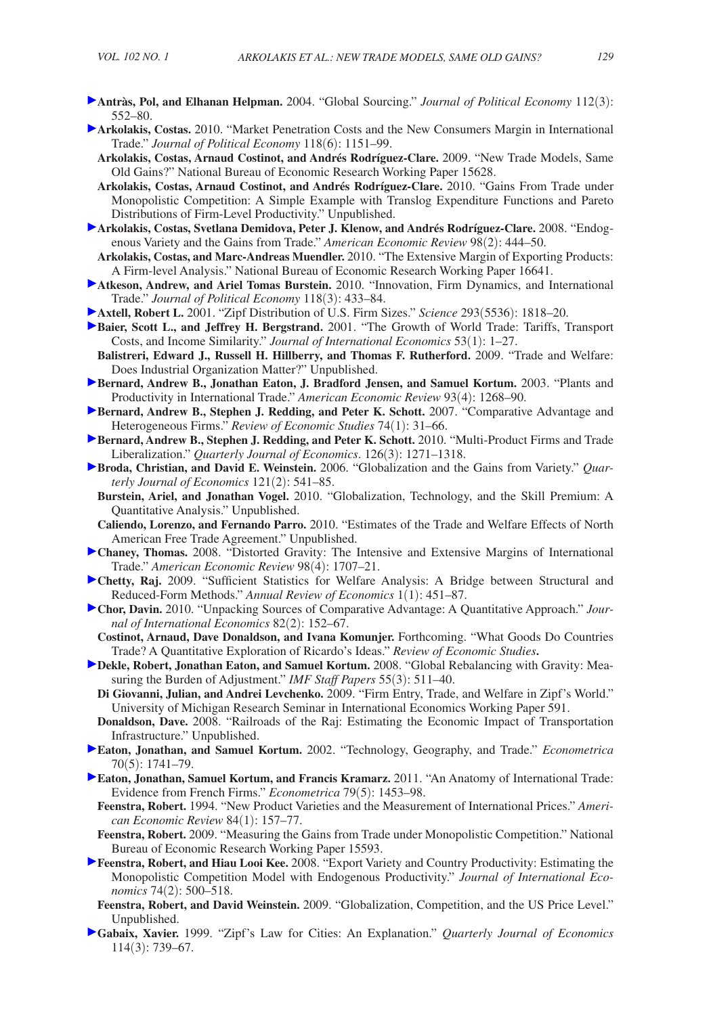- **Antràs, Pol, and Elhanan Helpman.** 2004. "Global Sourcing." *Journal of Political Economy* 112(3): 552–80.
- **Arkolakis, Costas.** 2010. "Market Penetration Costs and the New Consumers Margin in International Trade." *Journal of Political Economy* 118(6): 1151–99.
- **Arkolakis, Costas, Arnaud Costinot, and Andrés Rodríguez-Clare.** 2009. "New Trade Models, Same Old Gains?" National Bureau of Economic Research Working Paper 15628.
- **Arkolakis, Costas, Arnaud Costinot, and Andrés Rodríguez-Clare.** 2010. "Gains From Trade under Monopolistic Competition: A Simple Example with Translog Expenditure Functions and Pareto Distributions of Firm-Level Productivity." Unpublished.
- **Arkolakis, Costas, Svetlana Demidova, Peter J. Klenow, and Andrés Rodríguez-Clare.** 2008. "Endogenous Variety and the Gains from Trade." *American Economic Review* 98(2): 444–50.
- **Arkolakis, Costas, and Marc-Andreas Muendler.** 2010. "The Extensive Margin of Exporting Products: A Firm-level Analysis." National Bureau of Economic Research Working Paper 16641.
- **Atkeson, Andrew, and Ariel Tomas Burstein.** 2010. "Innovation, Firm Dynamics, and International Trade." *Journal of Political Economy* 118(3): 433–84.
- **Axtell, Robert L.** 2001. "Zipf Distribution of U.S. Firm Sizes." *Science* 293(5536): 1818–20.
- **Baier, Scott L., and Jeffrey H. Bergstrand.** 2001. "The Growth of World Trade: Tariffs, Transport Costs, and Income Similarity." *Journal of International Economics* 53(1): 1–27.
- **Balistreri, Edward J., Russell H. Hillberry, and Thomas F. Rutherford.** 2009. "Trade and Welfare: Does Industrial Organization Matter?" Unpublished.
- **Bernard, Andrew B., Jonathan Eaton, J. Bradford Jensen, and Samuel Kortum.** 2003. "Plants and Productivity in International Trade." *American Economic Review* 93(4): 1268–90.
- **Bernard, Andrew B., Stephen J. Redding, and Peter K. Schott. 2007. "Comparative Advantage and** Heterogeneous Firms." *Review of Economic Studies* 74(1): 31–66.
- **Bernard, Andrew B., Stephen J. Redding, and Peter K. Schott. 2010. "Multi-Product Firms and Trade** Liberalization." *Quarterly Journal of Economics*. 126(3): 1271–1318.
- **Broda, Christian, and David E. Weinstein.** 2006. "Globalization and the Gains from Variety." *Quarterly Journal of Economics* 121(2): 541–85.
	- **Burstein, Ariel, and Jonathan Vogel.** 2010. "Globalization, Technology, and the Skill Premium: A Quantitative Analysis." Unpublished.
	- **Caliendo, Lorenzo, and Fernando Parro.** 2010. "Estimates of the Trade and Welfare Effects of North American Free Trade Agreement." Unpublished.
- **Chaney, Thomas.** 2008. "Distorted Gravity: The Intensive and Extensive Margins of International Trade." *American Economic Review* 98(4): 1707–21.
- **Chetty, Raj.** 2009. "Sufficient Statistics for Welfare Analysis: A Bridge between Structural and Reduced-Form Methods." *Annual Review of Economics* 1(1): 451–87.
- **Chor, Davin.** 2010. "Unpacking Sources of Comparative Advantage: A Quantitative Approach." *Journal of International Economics* 82(2): 152–67.
	- **Costinot, Arnaud, Dave Donaldson, and Ivana Komunjer.** Forthcoming. "What Goods Do Countries Trade? A Quantitative Exploration of Ricardo's Ideas." *Review of Economic Studies***.**
- **Dekle, Robert, Jonathan Eaton, and Samuel Kortum.** 2008. "Global Rebalancing with Gravity: Measuring the Burden of Adjustment." *IMF Staff Papers* 55(3): 511–40.
- **Di Giovanni, Julian, and Andrei Levchenko.** 2009. "Firm Entry, Trade, and Welfare in Zipf's World." University of Michigan Research Seminar in International Economics Working Paper 591.
- **Donaldson, Dave.** 2008. "Railroads of the Raj: Estimating the Economic Impact of Transportation Infrastructure." Unpublished.
- **Eaton, Jonathan, and Samuel Kortum.** 2002. "Technology, Geography, and Trade." *Econometrica* 70(5): 1741–79.
- **Eaton, Jonathan, Samuel Kortum, and Francis Kramarz.** 2011. "An Anatomy of International Trade: Evidence from French Firms." *Econometrica* 79(5): 1453–98.
- **Feenstra, Robert.** 1994. "New Product Varieties and the Measurement of International Prices." *American Economic Review* 84(1): 157–77.
- **Feenstra, Robert.** 2009. "Measuring the Gains from Trade under Monopolistic Competition." National Bureau of Economic Research Working Paper 15593.
- **Feenstra, Robert, and Hiau Looi Kee.** 2008. "Export Variety and Country Productivity: Estimating the Monopolistic Competition Model with Endogenous Productivity." *Journal of International Economics* 74(2): 500–518.
- **Feenstra, Robert, and David Weinstein.** 2009. "Globalization, Competition, and the US Price Level." Unpublished.
- **Gabaix, Xavier.** 1999. "Zipf's Law for Cities: An Explanation." *Quarterly Journal of Economics* 114(3): 739–67.